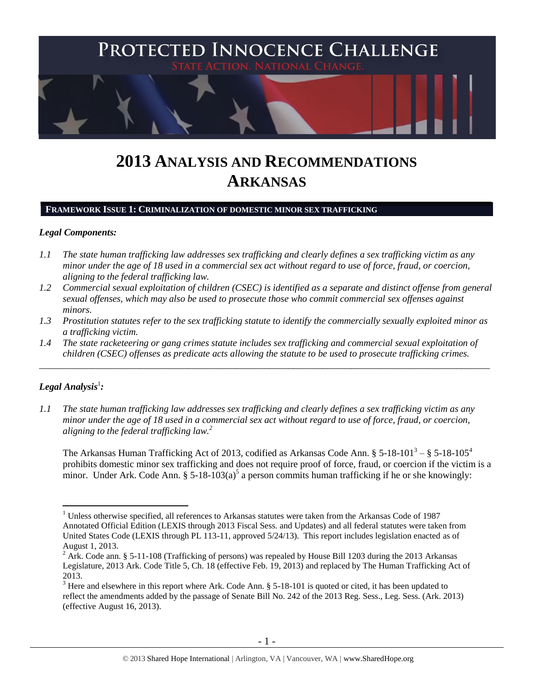

# **2013 ANALYSIS AND RECOMMENDATIONS ARKANSAS**

#### **FRAMEWORK ISSUE 1: CRIMINALIZATION OF DOMESTIC MINOR SEX TRAFFICKING**

## *Legal Components:*

- *1.1 The state human trafficking law addresses sex trafficking and clearly defines a sex trafficking victim as any minor under the age of 18 used in a commercial sex act without regard to use of force, fraud, or coercion, aligning to the federal trafficking law.*
- *1.2 Commercial sexual exploitation of children (CSEC) is identified as a separate and distinct offense from general sexual offenses, which may also be used to prosecute those who commit commercial sex offenses against minors.*
- *1.3 Prostitution statutes refer to the sex trafficking statute to identify the commercially sexually exploited minor as a trafficking victim.*
- *1.4 The state racketeering or gang crimes statute includes sex trafficking and commercial sexual exploitation of children (CSEC) offenses as predicate acts allowing the statute to be used to prosecute trafficking crimes.*

\_\_\_\_\_\_\_\_\_\_\_\_\_\_\_\_\_\_\_\_\_\_\_\_\_\_\_\_\_\_\_\_\_\_\_\_\_\_\_\_\_\_\_\_\_\_\_\_\_\_\_\_\_\_\_\_\_\_\_\_\_\_\_\_\_\_\_\_\_\_\_\_\_\_\_\_\_\_\_\_\_\_\_\_\_\_\_\_\_\_\_\_\_\_

# $\bm{L}$ egal Analysis $^1$ :

 $\overline{a}$ 

*1.1 The state human trafficking law addresses sex trafficking and clearly defines a sex trafficking victim as any minor under the age of 18 used in a commercial sex act without regard to use of force, fraud, or coercion, aligning to the federal trafficking law.<sup>2</sup>*

<span id="page-0-2"></span><span id="page-0-1"></span><span id="page-0-0"></span>The Arkansas Human Trafficking Act of 2013, codified as Arkansas Code Ann. § 5-18-101<sup>3</sup> – § 5-18-105<sup>4</sup> prohibits domestic minor sex trafficking and does not require proof of force, fraud, or coercion if the victim is a minor. Under Ark. Code Ann. §  $5-18-103(a)^5$  a person commits human trafficking if he or she knowingly:

<sup>&</sup>lt;sup>1</sup> Unless otherwise specified, all references to Arkansas statutes were taken from the Arkansas Code of 1987 Annotated Official Edition (LEXIS through 2013 Fiscal Sess. and Updates) and all federal statutes were taken from United States Code (LEXIS through PL 113-11, approved 5/24/13). This report includes legislation enacted as of August 1, 2013.

<sup>&</sup>lt;sup>2</sup> Ark. Code ann. § 5-11-108 (Trafficking of persons) was repealed by House Bill 1203 during the 2013 Arkansas Legislature, 2013 Ark. Code Title 5, Ch. 18 (effective Feb. 19, 2013) and replaced by The Human Trafficking Act of 2013.

 $3$  Here and elsewhere in this report where Ark. Code Ann. § 5-18-101 is quoted or cited, it has been updated to reflect the amendments added by the passage of Senate Bill No. 242 of the 2013 Reg. Sess., Leg. Sess. (Ark. 2013) (effective August 16, 2013).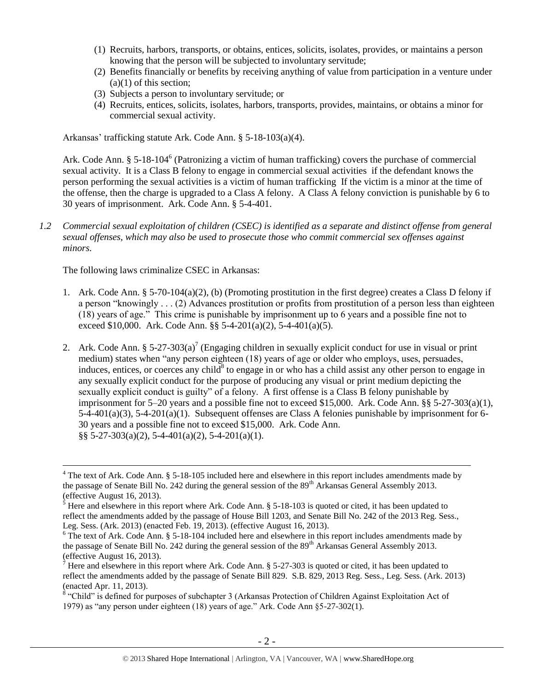- (1) Recruits, harbors, transports, or obtains, entices, solicits, isolates, provides, or maintains a person knowing that the person will be subjected to involuntary servitude;
- (2) Benefits financially or benefits by receiving anything of value from participation in a venture under  $(a)(1)$  of this section;
- (3) Subjects a person to involuntary servitude; or
- (4) Recruits, entices, solicits, isolates, harbors, transports, provides, maintains, or obtains a minor for commercial sexual activity.

Arkansas' trafficking statute Ark. Code Ann. § 5-18-103(a)(4).

Ark. Code Ann. § 5-18-104<sup>6</sup> (Patronizing a victim of human trafficking) covers the purchase of commercial sexual activity. It is a Class B felony to engage in commercial sexual activities if the defendant knows the person performing the sexual activities is a victim of human trafficking If the victim is a minor at the time of the offense, then the charge is upgraded to a Class A felony. A Class A felony conviction is punishable by 6 to 30 years of imprisonment. Ark. Code Ann. § 5-4-401.

*1.2 Commercial sexual exploitation of children (CSEC) is identified as a separate and distinct offense from general sexual offenses, which may also be used to prosecute those who commit commercial sex offenses against minors.*

The following laws criminalize CSEC in Arkansas:

- 1. Ark. Code Ann. § 5-70-104(a)(2), (b) (Promoting prostitution in the first degree) creates a Class D felony if a person "knowingly . . . (2) Advances prostitution or profits from prostitution of a person less than eighteen (18) years of age." This crime is punishable by imprisonment up to 6 years and a possible fine not to exceed \$10,000. Ark. Code Ann.  $\S$ § 5-4-201(a)(2), 5-4-401(a)(5).
- <span id="page-1-0"></span>2. Ark. Code Ann. § 5-27-303(a)<sup>7</sup> (Engaging children in sexually explicit conduct for use in visual or print medium) states when "any person eighteen (18) years of age or older who employs, uses, persuades, induces, entices, or coerces any child<sup>8</sup> to engage in or who has a child assist any other person to engage in any sexually explicit conduct for the purpose of producing any visual or print medium depicting the sexually explicit conduct is guilty" of a felony. A first offense is a Class B felony punishable by imprisonment for 5–20 years and a possible fine not to exceed \$15,000. Ark. Code Ann. §§ 5-27-303(a)(1), 5-4-401(a)(3), 5-4-201(a)(1). Subsequent offenses are Class A felonies punishable by imprisonment for 6- 30 years and a possible fine not to exceed \$15,000. Ark. Code Ann. §§ 5-27-303(a)(2), 5-4-401(a)(2), 5-4-201(a)(1).

<sup>&</sup>lt;sup>4</sup> The text of Ark. Code Ann. § 5-18-105 included here and elsewhere in this report includes amendments made by the passage of Senate Bill No. 242 during the general session of the 89<sup>th</sup> Arkansas General Assembly 2013. (effective August 16, 2013).

 $\frac{5}{5}$  Here and elsewhere in this report where Ark. Code Ann. § 5-18-103 is quoted or cited, it has been updated to reflect the amendments added by the passage of House Bill 1203, and Senate Bill No. 242 of the 2013 Reg. Sess., Leg. Sess. (Ark. 2013) (enacted Feb. 19, 2013). (effective August 16, 2013).

<sup>&</sup>lt;sup>6</sup> The text of Ark. Code Ann. § 5-18-104 included here and elsewhere in this report includes amendments made by the passage of Senate Bill No. 242 during the general session of the  $89<sup>th</sup>$  Arkansas General Assembly 2013. (effective August 16, 2013).

<sup>&</sup>lt;sup>7</sup> Here and elsewhere in this report where Ark. Code Ann. § 5-27-303 is quoted or cited, it has been updated to reflect the amendments added by the passage of Senate Bill 829. S.B. 829, 2013 Reg. Sess., Leg. Sess. (Ark. 2013) (enacted Apr. 11, 2013).

 $8$  "Child" is defined for purposes of subchapter 3 (Arkansas Protection of Children Against Exploitation Act of 1979) as "any person under eighteen (18) years of age." Ark. Code Ann §5-27-302(1).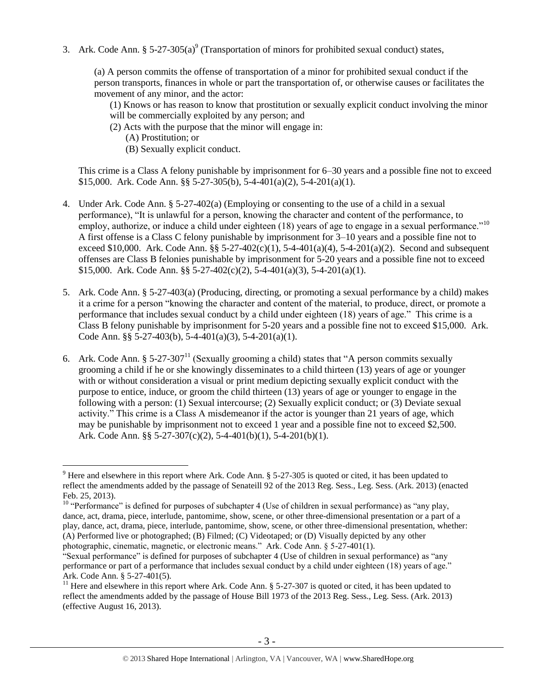3. Ark. Code Ann.  $\S 5-27-305(a)^9$  (Transportation of minors for prohibited sexual conduct) states,

(a) A person commits the offense of transportation of a minor for prohibited sexual conduct if the person transports, finances in whole or part the transportation of, or otherwise causes or facilitates the movement of any minor, and the actor:

<span id="page-2-0"></span>(1) Knows or has reason to know that prostitution or sexually explicit conduct involving the minor will be commercially exploited by any person; and

- (2) Acts with the purpose that the minor will engage in:
	- (A) Prostitution; or

 $\overline{a}$ 

(B) Sexually explicit conduct.

This crime is a Class A felony punishable by imprisonment for 6–30 years and a possible fine not to exceed \$15,000. Ark. Code Ann. §§ 5-27-305(b), 5-4-401(a)(2), 5-4-201(a)(1).

- 4. Under Ark. Code Ann. § 5-27-402(a) (Employing or consenting to the use of a child in a sexual performance), "It is unlawful for a person, knowing the character and content of the performance, to employ, authorize, or induce a child under eighteen  $(18)$  years of age to engage in a sexual performance."<sup>10</sup> A first offense is a Class C felony punishable by imprisonment for 3–10 years and a possible fine not to exceed \$10,000. Ark. Code Ann. §§ 5-27-402(c)(1), 5-4-401(a)(4), 5-4-201(a)(2). Second and subsequent offenses are Class B felonies punishable by imprisonment for 5-20 years and a possible fine not to exceed \$15,000. Ark. Code Ann. §§ 5-27-402(c)(2), 5-4-401(a)(3), 5-4-201(a)(1).
- 5. Ark. Code Ann. § 5-27-403(a) (Producing, directing, or promoting a sexual performance by a child) makes it a crime for a person "knowing the character and content of the material, to produce, direct, or promote a performance that includes sexual conduct by a child under eighteen (18) years of age." This crime is a Class B felony punishable by imprisonment for 5-20 years and a possible fine not to exceed \$15,000. Ark. Code Ann. §§ 5-27-403(b), 5-4-401(a)(3), 5-4-201(a)(1).
- 6. Ark. Code Ann. § 5-27-307<sup>11</sup> (Sexually grooming a child) states that "A person commits sexually grooming a child if he or she knowingly disseminates to a child thirteen (13) years of age or younger with or without consideration a visual or print medium depicting sexually explicit conduct with the purpose to entice, induce, or groom the child thirteen (13) years of age or younger to engage in the following with a person: (1) Sexual intercourse; (2) Sexually explicit conduct; or (3) Deviate sexual activity." This crime is a Class A misdemeanor if the actor is younger than 21 years of age, which may be punishable by imprisonment not to exceed 1 year and a possible fine not to exceed \$2,500. Ark. Code Ann. §§ 5-27-307(c)(2), 5-4-401(b)(1), 5-4-201(b)(1).

<sup>&</sup>lt;sup>9</sup> Here and elsewhere in this report where Ark. Code Ann. § 5-27-305 is quoted or cited, it has been updated to reflect the amendments added by the passage of Senateill 92 of the 2013 Reg. Sess., Leg. Sess. (Ark. 2013) (enacted Feb. 25, 2013).

 $10$  "Performance" is defined for purposes of subchapter 4 (Use of children in sexual performance) as "any play, dance, act, drama, piece, interlude, pantomime, show, scene, or other three-dimensional presentation or a part of a play, dance, act, drama, piece, interlude, pantomime, show, scene, or other three-dimensional presentation, whether: (A) Performed live or photographed; (B) Filmed; (C) Videotaped; or (D) Visually depicted by any other photographic, cinematic, magnetic, or electronic means." Ark. Code Ann. § 5-27-401(1).

<sup>&</sup>quot;Sexual performance" is defined for purposes of subchapter 4 (Use of children in sexual performance) as "any performance or part of a performance that includes sexual conduct by a child under eighteen (18) years of age." Ark. Code Ann. § 5-27-401(5).

<sup>&</sup>lt;sup>11</sup> Here and elsewhere in this report where Ark. Code Ann.  $\S$  5-27-307 is quoted or cited, it has been updated to reflect the amendments added by the passage of House Bill 1973 of the 2013 Reg. Sess., Leg. Sess. (Ark. 2013) (effective August 16, 2013).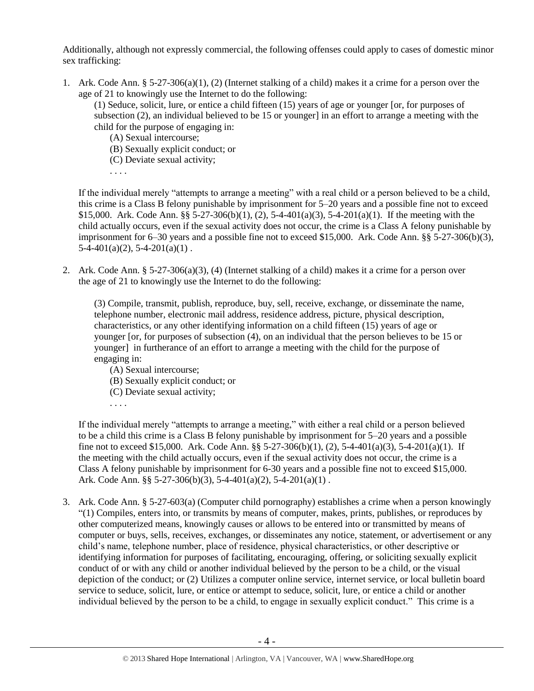Additionally, although not expressly commercial, the following offenses could apply to cases of domestic minor sex trafficking:

1. Ark. Code Ann. § 5-27-306(a)(1), (2) (Internet stalking of a child) makes it a crime for a person over the age of 21 to knowingly use the Internet to do the following:

(1) Seduce, solicit, lure, or entice a child fifteen (15) years of age or younger [or, for purposes of subsection (2), an individual believed to be 15 or younger] in an effort to arrange a meeting with the child for the purpose of engaging in:

- (A) Sexual intercourse;
- (B) Sexually explicit conduct; or
- (C) Deviate sexual activity;
- . . . .

If the individual merely "attempts to arrange a meeting" with a real child or a person believed to be a child, this crime is a Class B felony punishable by imprisonment for 5–20 years and a possible fine not to exceed \$15,000. Ark. Code Ann. §§ 5-27-306(b)(1), (2), 5-4-401(a)(3), 5-4-201(a)(1). If the meeting with the child actually occurs, even if the sexual activity does not occur, the crime is a Class A felony punishable by imprisonment for 6–30 years and a possible fine not to exceed \$15,000. Ark. Code Ann. §§ 5-27-306(b)(3),  $5-4-401(a)(2)$ ,  $5-4-201(a)(1)$ .

2. Ark. Code Ann. § 5-27-306(a)(3), (4) (Internet stalking of a child) makes it a crime for a person over the age of 21 to knowingly use the Internet to do the following:

(3) Compile, transmit, publish, reproduce, buy, sell, receive, exchange, or disseminate the name, telephone number, electronic mail address, residence address, picture, physical description, characteristics, or any other identifying information on a child fifteen (15) years of age or younger [or, for purposes of subsection (4), on an individual that the person believes to be 15 or younger] in furtherance of an effort to arrange a meeting with the child for the purpose of engaging in:

- (A) Sexual intercourse;
- (B) Sexually explicit conduct; or
- (C) Deviate sexual activity;
- . . . .

If the individual merely "attempts to arrange a meeting," with either a real child or a person believed to be a child this crime is a Class B felony punishable by imprisonment for 5–20 years and a possible fine not to exceed \$15,000. Ark. Code Ann. §§ 5-27-306(b)(1), (2), 5-4-401(a)(3), 5-4-201(a)(1). If the meeting with the child actually occurs, even if the sexual activity does not occur, the crime is a Class A felony punishable by imprisonment for 6-30 years and a possible fine not to exceed \$15,000. Ark. Code Ann. §§ 5-27-306(b)(3), 5-4-401(a)(2), 5-4-201(a)(1) .

3. Ark. Code Ann. § 5-27-603(a) (Computer child pornography) establishes a crime when a person knowingly "(1) Compiles, enters into, or transmits by means of computer, makes, prints, publishes, or reproduces by other computerized means, knowingly causes or allows to be entered into or transmitted by means of computer or buys, sells, receives, exchanges, or disseminates any notice, statement, or advertisement or any child's name, telephone number, place of residence, physical characteristics, or other descriptive or identifying information for purposes of facilitating, encouraging, offering, or soliciting sexually explicit conduct of or with any child or another individual believed by the person to be a child, or the visual depiction of the conduct; or (2) Utilizes a computer online service, internet service, or local bulletin board service to seduce, solicit, lure, or entice or attempt to seduce, solicit, lure, or entice a child or another individual believed by the person to be a child, to engage in sexually explicit conduct." This crime is a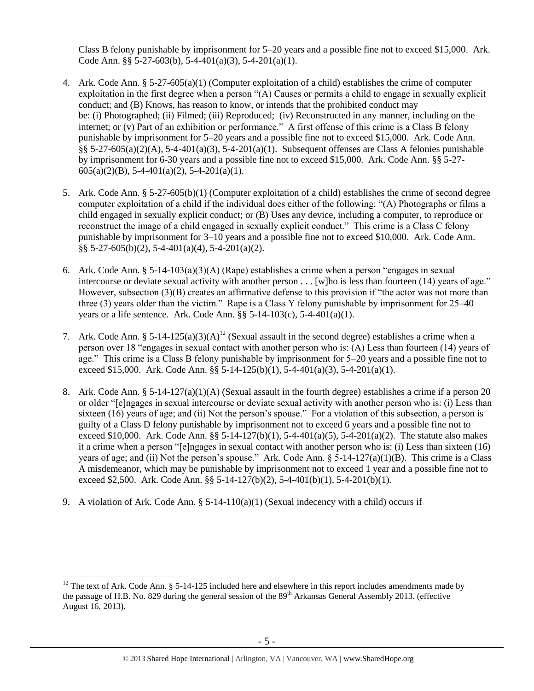Class B felony punishable by imprisonment for 5–20 years and a possible fine not to exceed \$15,000. Ark. Code Ann. §§ 5-27-603(b), 5-4-401(a)(3), 5-4-201(a)(1).

- 4. Ark. Code Ann. § 5-27-605(a)(1) (Computer exploitation of a child) establishes the crime of computer exploitation in the first degree when a person "(A) Causes or permits a child to engage in sexually explicit conduct; and (B) Knows, has reason to know, or intends that the prohibited conduct may be: (i) Photographed; (ii) Filmed; (iii) Reproduced; (iv) Reconstructed in any manner, including on the internet; or (v) Part of an exhibition or performance." A first offense of this crime is a Class B felony punishable by imprisonment for 5–20 years and a possible fine not to exceed \$15,000. Ark. Code Ann. §§ 5-27-605(a)(2)(A), 5-4-401(a)(3), 5-4-201(a)(1). Subsequent offenses are Class A felonies punishable by imprisonment for 6-30 years and a possible fine not to exceed \$15,000. Ark. Code Ann. §§ 5-27-  $605(a)(2)(B)$ , 5-4-401(a)(2), 5-4-201(a)(1).
- 5. Ark. Code Ann. § 5-27-605(b)(1) (Computer exploitation of a child) establishes the crime of second degree computer exploitation of a child if the individual does either of the following: "(A) Photographs or films a child engaged in sexually explicit conduct; or (B) Uses any device, including a computer, to reproduce or reconstruct the image of a child engaged in sexually explicit conduct." This crime is a Class C felony punishable by imprisonment for 3–10 years and a possible fine not to exceed \$10,000. Ark. Code Ann. §§ 5-27-605(b)(2), 5-4-401(a)(4), 5-4-201(a)(2).
- 6. Ark. Code Ann. § 5-14-103(a)(3)(A) (Rape) establishes a crime when a person "engages in sexual intercourse or deviate sexual activity with another person . . . [w]ho is less than fourteen (14) years of age." However, subsection (3)(B) creates an affirmative defense to this provision if "the actor was not more than three (3) years older than the victim." Rape is a Class Y felony punishable by imprisonment for 25–40 years or a life sentence. Ark. Code Ann.  $\S$ § 5-14-103(c), 5-4-401(a)(1).
- <span id="page-4-0"></span>7. Ark. Code Ann. § 5-14-125(a)(3)(A)<sup>12</sup> (Sexual assault in the second degree) establishes a crime when a person over 18 "engages in sexual contact with another person who is: (A) Less than fourteen (14) years of age." This crime is a Class B felony punishable by imprisonment for 5–20 years and a possible fine not to exceed \$15,000. Ark. Code Ann. §§ 5-14-125(b)(1), 5-4-401(a)(3), 5-4-201(a)(1).
- 8. Ark. Code Ann. § 5-14-127(a)(1)(A) (Sexual assault in the fourth degree) establishes a crime if a person 20 or older "[e]ngages in sexual intercourse or deviate sexual activity with another person who is: (i) Less than sixteen (16) years of age; and (ii) Not the person's spouse." For a violation of this subsection, a person is guilty of a Class D felony punishable by imprisonment not to exceed 6 years and a possible fine not to exceed \$10,000. Ark. Code Ann.  $\S$ § 5-14-127(b)(1), 5-4-401(a)(5), 5-4-201(a)(2). The statute also makes it a crime when a person "[e]ngages in sexual contact with another person who is: (i) Less than sixteen (16) years of age; and (ii) Not the person's spouse." Ark. Code Ann.  $\S$  5-14-127(a)(1)(B). This crime is a Class A misdemeanor, which may be punishable by imprisonment not to exceed 1 year and a possible fine not to exceed \$2,500. Ark. Code Ann. §§ 5-14-127(b)(2), 5-4-401(b)(1), 5-4-201(b)(1).
- 9. A violation of Ark. Code Ann.  $\S$  5-14-110(a)(1) (Sexual indecency with a child) occurs if

 $12$  The text of Ark. Code Ann. § 5-14-125 included here and elsewhere in this report includes amendments made by the passage of H.B. No. 829 during the general session of the  $89<sup>th</sup>$  Arkansas General Assembly 2013. (effective August 16, 2013).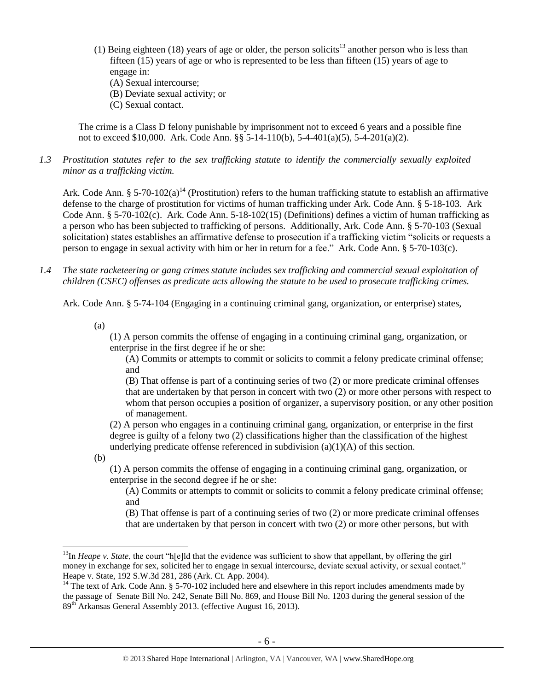- (1) Being eighteen (18) years of age or older, the person solicits<sup>13</sup> another person who is less than fifteen (15) years of age or who is represented to be less than fifteen (15) years of age to engage in:
	- (A) Sexual intercourse;
	- (B) Deviate sexual activity; or
	- (C) Sexual contact.

The crime is a Class D felony punishable by imprisonment not to exceed 6 years and a possible fine not to exceed \$10,000. Ark. Code Ann. §§ 5-14-110(b), 5-4-401(a)(5), 5-4-201(a)(2).

*1.3 Prostitution statutes refer to the sex trafficking statute to identify the commercially sexually exploited minor as a trafficking victim.* 

<span id="page-5-0"></span>Ark. Code Ann. § 5-70-102(a)<sup>14</sup> (Prostitution) refers to the human trafficking statute to establish an affirmative defense to the charge of prostitution for victims of human trafficking under Ark. Code Ann. § 5-18-103. Ark Code Ann. § 5-70-102(c). Ark. Code Ann. 5-18-102(15) (Definitions) defines a victim of human trafficking as a person who has been subjected to trafficking of persons. Additionally, Ark. Code Ann. § 5-70-103 (Sexual solicitation) states establishes an affirmative defense to prosecution if a trafficking victim "solicits or requests a person to engage in sexual activity with him or her in return for a fee." Ark. Code Ann. § 5-70-103(c).

*1.4 The state racketeering or gang crimes statute includes sex trafficking and commercial sexual exploitation of children (CSEC) offenses as predicate acts allowing the statute to be used to prosecute trafficking crimes.* 

Ark. Code Ann. § 5-74-104 (Engaging in a continuing criminal gang, organization, or enterprise) states,

(a)

(1) A person commits the offense of engaging in a continuing criminal gang, organization, or enterprise in the first degree if he or she:

(A) Commits or attempts to commit or solicits to commit a felony predicate criminal offense; and

(B) That offense is part of a continuing series of two (2) or more predicate criminal offenses that are undertaken by that person in concert with two (2) or more other persons with respect to whom that person occupies a position of organizer, a supervisory position, or any other position of management.

(2) A person who engages in a continuing criminal gang, organization, or enterprise in the first degree is guilty of a felony two (2) classifications higher than the classification of the highest underlying predicate offense referenced in subdivision (a)(1)(A) of this section.

(b)

 $\overline{a}$ 

(1) A person commits the offense of engaging in a continuing criminal gang, organization, or enterprise in the second degree if he or she:

(A) Commits or attempts to commit or solicits to commit a felony predicate criminal offense; and

(B) That offense is part of a continuing series of two (2) or more predicate criminal offenses that are undertaken by that person in concert with two (2) or more other persons, but with

<sup>&</sup>lt;sup>13</sup>In *Heape v. State*, the court "h[e]ld that the evidence was sufficient to show that appellant, by offering the girl money in exchange for sex, solicited her to engage in sexual intercourse, deviate sexual activity, or sexual contact." Heape v. State, 192 S.W.3d 281, 286 (Ark. Ct. App. 2004).

<sup>&</sup>lt;sup>14</sup> The text of Ark. Code Ann.  $\S$  5-70-102 included here and elsewhere in this report includes amendments made by the passage of Senate Bill No. 242, Senate Bill No. 869, and House Bill No. 1203 during the general session of the 89th Arkansas General Assembly 2013. (effective August 16, 2013).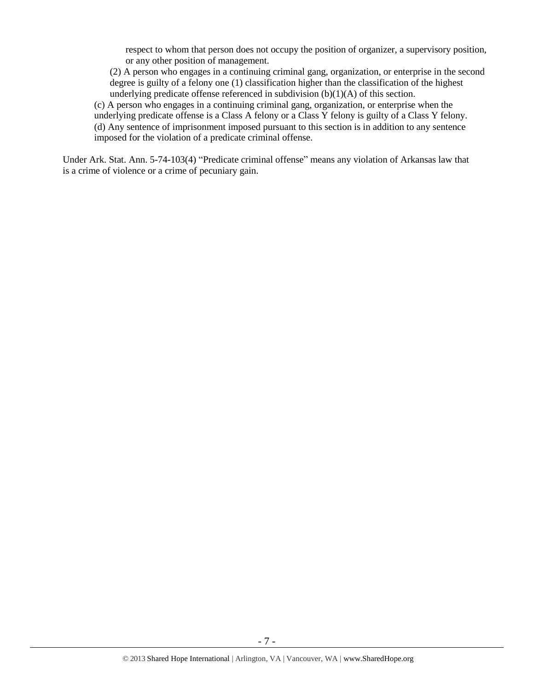respect to whom that person does not occupy the position of organizer, a supervisory position, or any other position of management.

(2) A person who engages in a continuing criminal gang, organization, or enterprise in the second degree is guilty of a felony one (1) classification higher than the classification of the highest underlying predicate offense referenced in subdivision (b)(1)(A) of this section.

(c) A person who engages in a continuing criminal gang, organization, or enterprise when the underlying predicate offense is a Class A felony or a Class Y felony is guilty of a Class Y felony. (d) Any sentence of imprisonment imposed pursuant to this section is in addition to any sentence imposed for the violation of a predicate criminal offense.

Under Ark. Stat. Ann. 5-74-103(4) "Predicate criminal offense" means any violation of Arkansas law that is a crime of violence or a crime of pecuniary gain.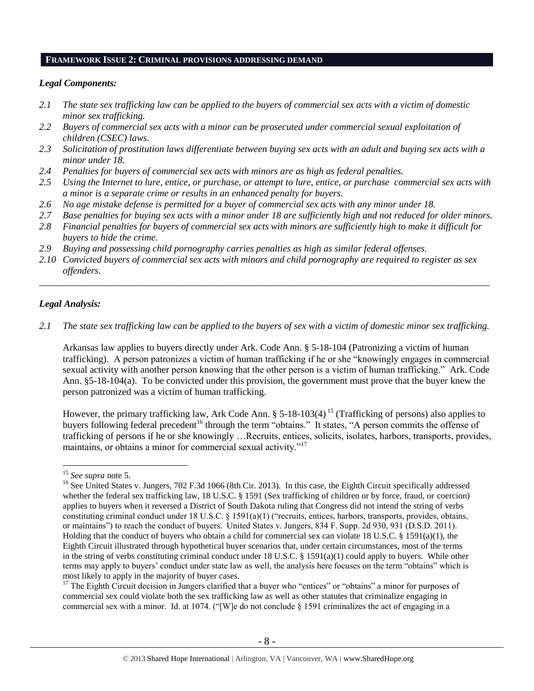#### **FRAMEWORK ISSUE 2: CRIMINAL PROVISIONS ADDRESSING DEMAND**

#### *Legal Components:*

- *2.1 The state sex trafficking law can be applied to the buyers of commercial sex acts with a victim of domestic minor sex trafficking.*
- *2.2 Buyers of commercial sex acts with a minor can be prosecuted under commercial sexual exploitation of children (CSEC) laws.*
- *2.3 Solicitation of prostitution laws differentiate between buying sex acts with an adult and buying sex acts with a minor under 18.*
- *2.4 Penalties for buyers of commercial sex acts with minors are as high as federal penalties.*
- *2.5 Using the Internet to lure, entice, or purchase, or attempt to lure, entice, or purchase commercial sex acts with a minor is a separate crime or results in an enhanced penalty for buyers.*
- *2.6 No age mistake defense is permitted for a buyer of commercial sex acts with any minor under 18.*
- *2.7 Base penalties for buying sex acts with a minor under 18 are sufficiently high and not reduced for older minors.*
- *2.8 Financial penalties for buyers of commercial sex acts with minors are sufficiently high to make it difficult for buyers to hide the crime.*
- *2.9 Buying and possessing child pornography carries penalties as high as similar federal offenses.*
- *2.10 Convicted buyers of commercial sex acts with minors and child pornography are required to register as sex offenders*.

## *Legal Analysis:*

*2.1 The state sex trafficking law can be applied to the buyers of sex with a victim of domestic minor sex trafficking.*

\_\_\_\_\_\_\_\_\_\_\_\_\_\_\_\_\_\_\_\_\_\_\_\_\_\_\_\_\_\_\_\_\_\_\_\_\_\_\_\_\_\_\_\_\_\_\_\_\_\_\_\_\_\_\_\_\_\_\_\_\_\_\_\_\_\_\_\_\_\_\_\_\_\_\_\_\_\_\_\_\_\_\_\_\_\_\_\_\_\_\_\_\_\_

Arkansas law applies to buyers directly under Ark. Code Ann. § 5-18-104 (Patronizing a victim of human trafficking). A person patronizes a victim of human trafficking if he or she "knowingly engages in commercial sexual activity with another person knowing that the other person is a victim of human trafficking." Ark. Code Ann. §5-18-104(a). To be convicted under this provision, the government must prove that the buyer knew the person patronized was a victim of human trafficking.

However, the primary trafficking law, Ark Code Ann. § 5-18-103(4)<sup>15</sup> (Trafficking of persons) also applies to buyers following federal precedent<sup>16</sup> through the term "obtains." It states, "A person commits the offense of trafficking of persons if he or she knowingly …Recruits, entices, solicits, isolates, harbors, transports, provides, maintains, or obtains a minor for commercial sexual activity."<sup>17</sup>

<sup>15</sup> *See supra* note [5.](#page-0-0)

<sup>&</sup>lt;sup>16</sup> See United States v. Jungers, 702 F.3d 1066 (8th Cir. 2013). In this case, the Eighth Circuit specifically addressed whether the federal sex trafficking law, 18 U.S.C. § 1591 (Sex trafficking of children or by force, fraud, or coercion) applies to buyers when it reversed a District of South Dakota ruling that Congress did not intend the string of verbs constituting criminal conduct under 18 U.S.C. § 1591(a)(1) ("recruits, entices, harbors, transports, provides, obtains, or maintains") to reach the conduct of buyers. United States v. Jungers, 834 F. Supp. 2d 930, 931 (D.S.D. 2011). Holding that the conduct of buyers who obtain a child for commercial sex can violate 18 U.S.C. § 1591(a)(1), the Eighth Circuit illustrated through hypothetical buyer scenarios that, under certain circumstances, most of the terms in the string of verbs constituting criminal conduct under 18 U.S.C. § 1591(a)(1) could apply to buyers. While other terms may apply to buyers' conduct under state law as well, the analysis here focuses on the term "obtains" which is most likely to apply in the majority of buyer cases.

<sup>&</sup>lt;sup>17</sup> The Eighth Circuit decision in Jungers clarified that a buyer who "entices" or "obtains" a minor for purposes of commercial sex could violate both the sex trafficking law as well as other statutes that criminalize engaging in commercial sex with a minor. Id. at 1074. ("[W]e do not conclude  $\S$  1591 criminalizes the act of engaging in a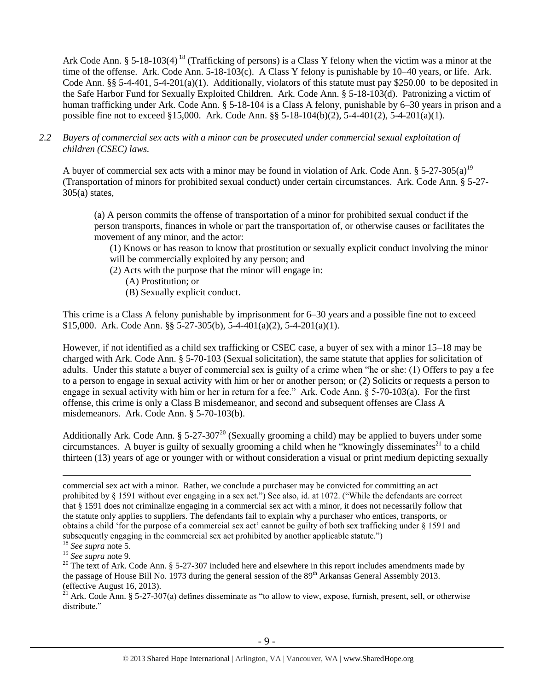Ark Code Ann. § 5-18-103(4)<sup>18</sup> (Trafficking of persons) is a Class Y felony when the victim was a minor at the time of the offense. Ark. Code Ann. 5-18-103(c). A Class Y felony is punishable by 10–40 years, or life. Ark. Code Ann. §§ 5-4-401, 5-4-201(a)(1). Additionally, violators of this statute must pay \$250.00 to be deposited in the Safe Harbor Fund for Sexually Exploited Children. Ark. Code Ann. § 5-18-103(d). Patronizing a victim of human trafficking under Ark. Code Ann. § 5-18-104 is a Class A felony, punishable by 6–30 years in prison and a possible fine not to exceed §15,000. Ark. Code Ann. §§ 5-18-104(b)(2), 5-4-401(2), 5-4-201(a)(1).

*2.2 Buyers of commercial sex acts with a minor can be prosecuted under commercial sexual exploitation of children (CSEC) laws.*

A buyer of commercial sex acts with a minor may be found in violation of Ark. Code Ann. §  $5-27-305(a)^{19}$ (Transportation of minors for prohibited sexual conduct) under certain circumstances. Ark. Code Ann. § 5-27-  $305(a)$  states,

(a) A person commits the offense of transportation of a minor for prohibited sexual conduct if the person transports, finances in whole or part the transportation of, or otherwise causes or facilitates the movement of any minor, and the actor:

(1) Knows or has reason to know that prostitution or sexually explicit conduct involving the minor will be commercially exploited by any person; and

(2) Acts with the purpose that the minor will engage in:

(A) Prostitution; or

(B) Sexually explicit conduct.

This crime is a Class A felony punishable by imprisonment for 6–30 years and a possible fine not to exceed \$15,000. Ark. Code Ann. §§ 5-27-305(b), 5-4-401(a)(2), 5-4-201(a)(1).

However, if not identified as a child sex trafficking or CSEC case, a buyer of sex with a minor 15–18 may be charged with Ark. Code Ann. § 5-70-103 (Sexual solicitation), the same statute that applies for solicitation of adults. Under this statute a buyer of commercial sex is guilty of a crime when "he or she: (1) Offers to pay a fee to a person to engage in sexual activity with him or her or another person; or (2) Solicits or requests a person to engage in sexual activity with him or her in return for a fee." Ark. Code Ann. § 5-70-103(a). For the first offense, this crime is only a Class B misdemeanor, and second and subsequent offenses are Class A misdemeanors. Ark. Code Ann. § 5-70-103(b).

Additionally Ark. Code Ann. § 5-27-307<sup>20</sup> (Sexually grooming a child) may be applied to buyers under some circumstances. A buyer is guilty of sexually grooming a child when he "knowingly disseminates<sup>21</sup> to a child thirteen (13) years of age or younger with or without consideration a visual or print medium depicting sexually

 $\overline{a}$ 

 $^{21}$  Ark. Code Ann. § 5-27-307(a) defines disseminate as "to allow to view, expose, furnish, present, sell, or otherwise distribute."

commercial sex act with a minor. Rather, we conclude a purchaser may be convicted for committing an act prohibited by § 1591 without ever engaging in a sex act.") See also, id. at 1072. ("While the defendants are correct that § 1591 does not criminalize engaging in a commercial sex act with a minor, it does not necessarily follow that the statute only applies to suppliers. The defendants fail to explain why a purchaser who entices, transports, or obtains a child 'for the purpose of a commercial sex act' cannot be guilty of both sex trafficking under § 1591 and subsequently engaging in the commercial sex act prohibited by another applicable statute.")

<sup>18</sup> *See supra* note [5.](#page-0-0)

<sup>19</sup> *See supra* note [9.](#page-2-0)

<sup>&</sup>lt;sup>20</sup> The text of Ark. Code Ann. § 5-27-307 included here and elsewhere in this report includes amendments made by the passage of House Bill No. 1973 during the general session of the  $89<sup>th</sup>$  Arkansas General Assembly 2013. (effective August 16, 2013).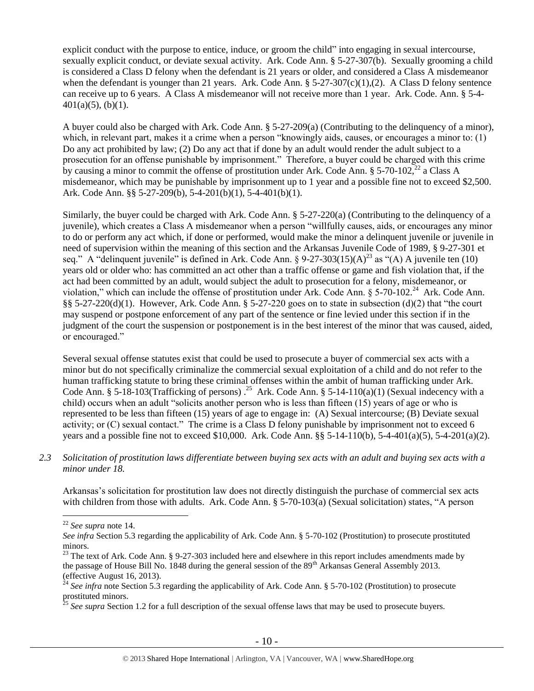explicit conduct with the purpose to entice, induce, or groom the child" into engaging in sexual intercourse, sexually explicit conduct, or deviate sexual activity. Ark. Code Ann. § 5-27-307(b). Sexually grooming a child is considered a Class D felony when the defendant is 21 years or older, and considered a Class A misdemeanor when the defendant is younger than 21 years. Ark. Code Ann.  $\S$  5-27-307(c)(1),(2). A Class D felony sentence can receive up to 6 years. A Class A misdemeanor will not receive more than 1 year. Ark. Code. Ann. § 5-4-  $401(a)(5)$ , (b)(1).

A buyer could also be charged with Ark. Code Ann. § 5-27-209(a) (Contributing to the delinquency of a minor), which, in relevant part, makes it a crime when a person "knowingly aids, causes, or encourages a minor to: (1) Do any act prohibited by law; (2) Do any act that if done by an adult would render the adult subject to a prosecution for an offense punishable by imprisonment." Therefore, a buyer could be charged with this crime by causing a minor to commit the offense of prostitution under Ark. Code Ann. § 5-70-102,<sup>22</sup> a Class A misdemeanor, which may be punishable by imprisonment up to 1 year and a possible fine not to exceed \$2,500. Ark. Code Ann. §§ 5-27-209(b), 5-4-201(b)(1), 5-4-401(b)(1).

<span id="page-9-0"></span>Similarly, the buyer could be charged with Ark. Code Ann. § 5-27-220(a) (Contributing to the delinquency of a juvenile), which creates a Class A misdemeanor when a person "willfully causes, aids, or encourages any minor to do or perform any act which, if done or performed, would make the minor a delinquent juvenile or juvenile in need of supervision within the meaning of this section and the Arkansas Juvenile Code of 1989, § 9-27-301 et seq." A "delinquent juvenile" is defined in Ark. Code Ann. §  $9-27-303(15)(A)^{23}$  as "(A) A juvenile ten (10) years old or older who: has committed an act other than a traffic offense or game and fish violation that, if the act had been committed by an adult, would subject the adult to prosecution for a felony, misdemeanor, or violation," which can include the offense of prostitution under Ark. Code Ann. § 5-70-102.<sup>24</sup> Ark. Code Ann. §§ 5-27-220(d)(1). However, Ark. Code Ann. § 5-27-220 goes on to state in subsection (d)(2) that "the court may suspend or postpone enforcement of any part of the sentence or fine levied under this section if in the judgment of the court the suspension or postponement is in the best interest of the minor that was caused, aided, or encouraged."

Several sexual offense statutes exist that could be used to prosecute a buyer of commercial sex acts with a minor but do not specifically criminalize the commercial sexual exploitation of a child and do not refer to the human trafficking statute to bring these criminal offenses within the ambit of human trafficking under Ark. Code Ann. § 5-18-103(Trafficking of persons).<sup>25</sup> Ark. Code Ann. § 5-14-110(a)(1) (Sexual indecency with a child) occurs when an adult "solicits another person who is less than fifteen (15) years of age or who is represented to be less than fifteen (15) years of age to engage in: (A) Sexual intercourse; (B) Deviate sexual activity; or (C) sexual contact." The crime is a Class D felony punishable by imprisonment not to exceed 6 years and a possible fine not to exceed \$10,000. Ark. Code Ann. §§ 5-14-110(b), 5-4-401(a)(5), 5-4-201(a)(2).

*2.3 Solicitation of prostitution laws differentiate between buying sex acts with an adult and buying sex acts with a minor under 18.*

Arkansas's solicitation for prostitution law does not directly distinguish the purchase of commercial sex acts with children from those with adults. Ark. Code Ann. § 5-70-103(a) (Sexual solicitation) states, "A person

<sup>22</sup> *See supra* note [14.](#page-5-0)

*See infra* Section 5.3 regarding the applicability of Ark. Code Ann. § 5-70-102 (Prostitution) to prosecute prostituted minors.

<sup>&</sup>lt;sup>23</sup> The text of Ark. Code Ann. § 9-27-303 included here and elsewhere in this report includes amendments made by the passage of House Bill No. 1848 during the general session of the  $89<sup>th</sup>$  Arkansas General Assembly 2013. (effective August 16, 2013).

<sup>&</sup>lt;sup>24</sup> See infra note Section 5.3 regarding the applicability of Ark. Code Ann. § 5-70-102 (Prostitution) to prosecute prostituted minors.

<sup>&</sup>lt;sup>25</sup> See supra Section 1.2 for a full description of the sexual offense laws that may be used to prosecute buyers.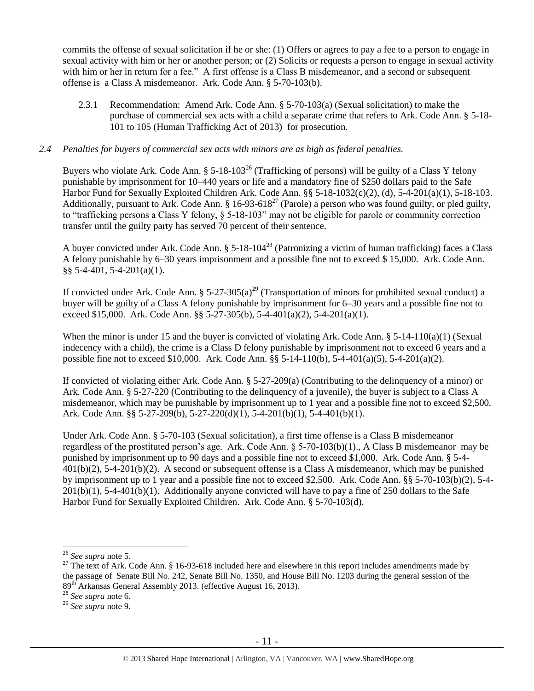commits the offense of sexual solicitation if he or she: (1) Offers or agrees to pay a fee to a person to engage in sexual activity with him or her or another person; or (2) Solicits or requests a person to engage in sexual activity with him or her in return for a fee." A first offense is a Class B misdemeanor, and a second or subsequent offense is a Class A misdemeanor. Ark. Code Ann. § 5-70-103(b).

2.3.1 Recommendation: Amend Ark. Code Ann. § 5-70-103(a) (Sexual solicitation) to make the purchase of commercial sex acts with a child a separate crime that refers to Ark. Code Ann. § 5-18- 101 to 105 (Human Trafficking Act of 2013) for prosecution.

## *2.4 Penalties for buyers of commercial sex acts with minors are as high as federal penalties.*

<span id="page-10-0"></span>Buyers who violate Ark. Code Ann.  $\S 5$ -18-103<sup>26</sup> (Trafficking of persons) will be guilty of a Class Y felony punishable by imprisonment for 10–440 years or life and a mandatory fine of \$250 dollars paid to the Safe Harbor Fund for Sexually Exploited Children Ark. Code Ann. §§ 5-18-1032(c)(2), (d), 5-4-201(a)(1), 5-18-103. Additionally, pursuant to Ark. Code Ann. §  $16-93-618^{27}$  (Parole) a person who was found guilty, or pled guilty, to "trafficking persons a Class Y felony, § 5-18-103" may not be eligible for parole or community correction transfer until the guilty party has served 70 percent of their sentence.

A buyer convicted under Ark. Code Ann. § 5-18-104<sup>28</sup> (Patronizing a victim of human trafficking) faces a Class A felony punishable by 6–30 years imprisonment and a possible fine not to exceed \$ 15,000. Ark. Code Ann. §§ 5-4-401, 5-4-201(a)(1).

If convicted under Ark. Code Ann. §  $5-27-305(a)^{29}$  (Transportation of minors for prohibited sexual conduct) a buyer will be guilty of a Class A felony punishable by imprisonment for 6–30 years and a possible fine not to exceed \$15,000. Ark. Code Ann. §§ 5-27-305(b), 5-4-401(a)(2), 5-4-201(a)(1).

When the minor is under 15 and the buyer is convicted of violating Ark. Code Ann.  $\S$  5-14-110(a)(1) (Sexual indecency with a child), the crime is a Class D felony punishable by imprisonment not to exceed 6 years and a possible fine not to exceed \$10,000. Ark. Code Ann. §§ 5-14-110(b), 5-4-401(a)(5), 5-4-201(a)(2).

If convicted of violating either Ark. Code Ann. § 5-27-209(a) (Contributing to the delinquency of a minor) or Ark. Code Ann. § 5-27-220 (Contributing to the delinquency of a juvenile), the buyer is subject to a Class A misdemeanor, which may be punishable by imprisonment up to 1 year and a possible fine not to exceed \$2,500. Ark. Code Ann. §§ 5-27-209(b), 5-27-220(d)(1), 5-4-201(b)(1), 5-4-401(b)(1).

Under Ark. Code Ann. § 5-70-103 (Sexual solicitation), a first time offense is a Class B misdemeanor regardless of the prostituted person's age. Ark. Code Ann. § 5-70-103(b)(1)., A Class B misdemeanor may be punished by imprisonment up to 90 days and a possible fine not to exceed \$1,000. Ark. Code Ann. § 5-4- 401(b)(2), 5-4-201(b)(2). A second or subsequent offense is a Class A misdemeanor, which may be punished by imprisonment up to 1 year and a possible fine not to exceed \$2,500. Ark. Code Ann. §§ 5-70-103(b)(2), 5-4-  $201(b)(1)$ , 5-4-401(b)(1). Additionally anyone convicted will have to pay a fine of 250 dollars to the Safe Harbor Fund for Sexually Exploited Children. Ark. Code Ann. § 5-70-103(d).

<sup>26</sup> *See supra* note [5.](#page-0-0)

<sup>&</sup>lt;sup>27</sup> The text of Ark. Code Ann. § 16-93-618 included here and elsewhere in this report includes amendments made by the passage of Senate Bill No. 242, Senate Bill No. 1350, and House Bill No. 1203 during the general session of the 89<sup>th</sup> Arkansas General Assembly 2013. (effective August 16, 2013).

<sup>28</sup> *See supra* note 6.

<sup>29</sup> *See supra* note [9.](#page-2-0)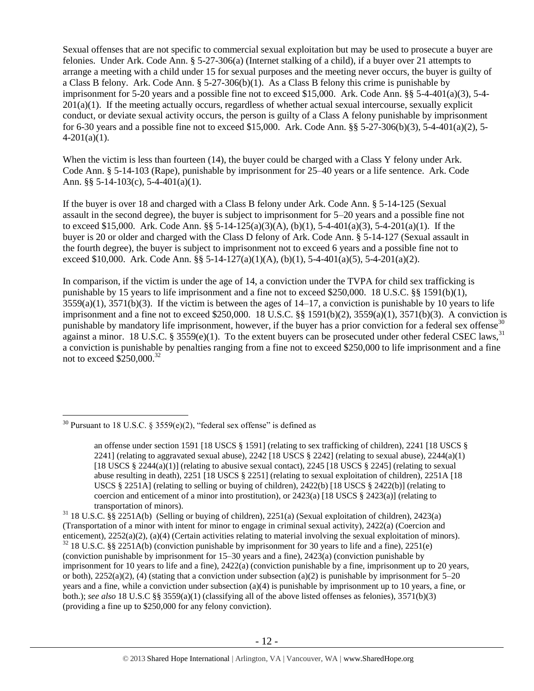Sexual offenses that are not specific to commercial sexual exploitation but may be used to prosecute a buyer are felonies. Under Ark. Code Ann. § 5-27-306(a) (Internet stalking of a child), if a buyer over 21 attempts to arrange a meeting with a child under 15 for sexual purposes and the meeting never occurs, the buyer is guilty of a Class B felony. Ark. Code Ann. § 5-27-306(b)(1). As a Class B felony this crime is punishable by imprisonment for 5-20 years and a possible fine not to exceed \$15,000. Ark. Code Ann. §§ 5-4-401(a)(3), 5-4- 201(a)(1). If the meeting actually occurs, regardless of whether actual sexual intercourse, sexually explicit conduct, or deviate sexual activity occurs, the person is guilty of a Class A felony punishable by imprisonment for 6-30 years and a possible fine not to exceed \$15,000. Ark. Code Ann. §§ 5-27-306(b)(3), 5-4-401(a)(2), 5-  $4-201(a)(1)$ .

When the victim is less than fourteen (14), the buyer could be charged with a Class Y felony under Ark. Code Ann. § 5-14-103 (Rape), punishable by imprisonment for 25–40 years or a life sentence. Ark. Code Ann. §§ 5-14-103(c), 5-4-401(a)(1).

If the buyer is over 18 and charged with a Class B felony under Ark. Code Ann. § 5-14-125 (Sexual assault in the second degree), the buyer is subject to imprisonment for 5–20 years and a possible fine not to exceed \$15,000. Ark. Code Ann. §§ 5-14-125(a)(3)(A), (b)(1), 5-4-401(a)(3), 5-4-201(a)(1). If the buyer is 20 or older and charged with the Class D felony of Ark. Code Ann. § 5-14-127 (Sexual assault in the fourth degree), the buyer is subject to imprisonment not to exceed 6 years and a possible fine not to exceed \$10,000. Ark. Code Ann. §§ 5-14-127(a)(1)(A), (b)(1), 5-4-401(a)(5), 5-4-201(a)(2).

In comparison, if the victim is under the age of 14, a conviction under the TVPA for child sex trafficking is punishable by 15 years to life imprisonment and a fine not to exceed \$250,000. 18 U.S.C. §§ 1591(b)(1),  $3559(a)(1)$ ,  $3571(b)(3)$ . If the victim is between the ages of  $14-17$ , a conviction is punishable by 10 years to life imprisonment and a fine not to exceed \$250,000. 18 U.S.C. §§ 1591(b)(2), 3559(a)(1), 3571(b)(3). A conviction is punishable by mandatory life imprisonment, however, if the buyer has a prior conviction for a federal sex offense<sup>30</sup> against a minor. 18 U.S.C. § 3559 $(e)(1)$ . To the extent buyers can be prosecuted under other federal CSEC laws.<sup>31</sup> a conviction is punishable by penalties ranging from a fine not to exceed \$250,000 to life imprisonment and a fine not to exceed  $$250,000.<sup>32</sup>$ 

 $30$  Pursuant to 18 U.S.C. § 3559(e)(2), "federal sex offense" is defined as

<span id="page-11-0"></span>an offense under section 1591 [18 USCS § 1591] (relating to sex trafficking of children), 2241 [18 USCS § 2241] (relating to aggravated sexual abuse), 2242 [18 USCS  $\S$  2242] (relating to sexual abuse), 2244(a)(1) [18 USCS § 2244(a)(1)] (relating to abusive sexual contact), 2245 [18 USCS § 2245] (relating to sexual abuse resulting in death), 2251 [18 USCS § 2251] (relating to sexual exploitation of children), 2251A [18 USCS  $\S 2251$ A] (relating to selling or buying of children), 2422(b) [18 USCS  $\S 2422$ (b)] (relating to coercion and enticement of a minor into prostitution), or  $2423(a)$  [18 USCS §  $2423(a)$ ] (relating to transportation of minors).

<sup>31</sup> 18 U.S.C. §§ 2251A(b) (Selling or buying of children), 2251(a) (Sexual exploitation of children), 2423(a) (Transportation of a minor with intent for minor to engage in criminal sexual activity), 2422(a) (Coercion and enticement), 2252(a)(2), (a)(4) (Certain activities relating to material involving the sexual exploitation of minors). <sup>32</sup> 18 U.S.C. §§ 2251A(b) (conviction punishable by imprisonment for 30 years to life and a fine), 2251(e) (conviction punishable by imprisonment for 15–30 years and a fine), 2423(a) (conviction punishable by imprisonment for 10 years to life and a fine), 2422(a) (conviction punishable by a fine, imprisonment up to 20 years, or both),  $2252(a)(2)$ , (4) (stating that a conviction under subsection (a)(2) is punishable by imprisonment for 5–20 years and a fine, while a conviction under subsection (a)(4) is punishable by imprisonment up to 10 years, a fine, or both.); *see also* 18 U.S.C §§ 3559(a)(1) (classifying all of the above listed offenses as felonies), 3571(b)(3) (providing a fine up to \$250,000 for any felony conviction).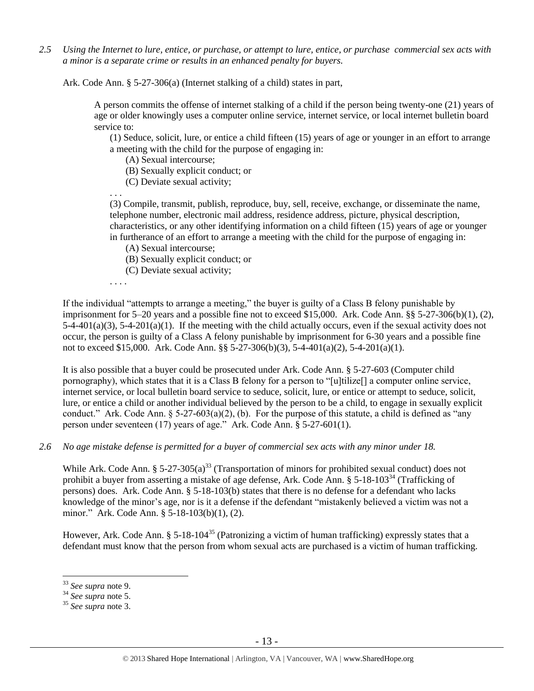*2.5 Using the Internet to lure, entice, or purchase, or attempt to lure, entice, or purchase commercial sex acts with a minor is a separate crime or results in an enhanced penalty for buyers.*

Ark. Code Ann. § 5-27-306(a) (Internet stalking of a child) states in part,

A person commits the offense of internet stalking of a child if the person being twenty-one (21) years of age or older knowingly uses a computer online service, internet service, or local internet bulletin board service to:

(1) Seduce, solicit, lure, or entice a child fifteen (15) years of age or younger in an effort to arrange a meeting with the child for the purpose of engaging in:

(A) Sexual intercourse;

- (B) Sexually explicit conduct; or
- (C) Deviate sexual activity;

. . . (3) Compile, transmit, publish, reproduce, buy, sell, receive, exchange, or disseminate the name, telephone number, electronic mail address, residence address, picture, physical description, characteristics, or any other identifying information on a child fifteen (15) years of age or younger in furtherance of an effort to arrange a meeting with the child for the purpose of engaging in:

- (A) Sexual intercourse;
- (B) Sexually explicit conduct; or
- (C) Deviate sexual activity;

. . . .

If the individual "attempts to arrange a meeting," the buyer is guilty of a Class B felony punishable by imprisonment for 5–20 years and a possible fine not to exceed \$15,000. Ark. Code Ann. §§ 5-27-306(b)(1), (2),  $5-4-401(a)(3)$ ,  $5-4-201(a)(1)$ . If the meeting with the child actually occurs, even if the sexual activity does not occur, the person is guilty of a Class A felony punishable by imprisonment for 6-30 years and a possible fine not to exceed \$15,000. Ark. Code Ann. §§ 5-27-306(b)(3), 5-4-401(a)(2), 5-4-201(a)(1).

It is also possible that a buyer could be prosecuted under Ark. Code Ann. § 5-27-603 (Computer child pornography), which states that it is a Class B felony for a person to "[u]tilize[] a computer online service, internet service, or local bulletin board service to seduce, solicit, lure, or entice or attempt to seduce, solicit, lure, or entice a child or another individual believed by the person to be a child, to engage in sexually explicit conduct." Ark. Code Ann.  $\S 5-27-603(a)(2)$ , (b). For the purpose of this statute, a child is defined as "any person under seventeen (17) years of age." Ark. Code Ann. § 5-27-601(1).

*2.6 No age mistake defense is permitted for a buyer of commercial sex acts with any minor under 18.*

While Ark. Code Ann. §  $5-27-305(a)^{33}$  (Transportation of minors for prohibited sexual conduct) does not prohibit a buyer from asserting a mistake of age defense, Ark. Code Ann.  $\S 5$ -18-103<sup>34</sup> (Trafficking of persons) does. Ark. Code Ann. § 5-18-103(b) states that there is no defense for a defendant who lacks knowledge of the minor's age, nor is it a defense if the defendant "mistakenly believed a victim was not a minor." Ark. Code Ann. § 5-18-103(b)(1), (2).

However, Ark. Code Ann. § 5-18-104<sup>35</sup> (Patronizing a victim of human trafficking) expressly states that a defendant must know that the person from whom sexual acts are purchased is a victim of human trafficking.

<sup>33</sup> *See supra* note [9.](#page-2-0)

<sup>34</sup> *See supra* note [5.](#page-0-0)

<sup>35</sup> *See supra* note [3.](#page-0-1)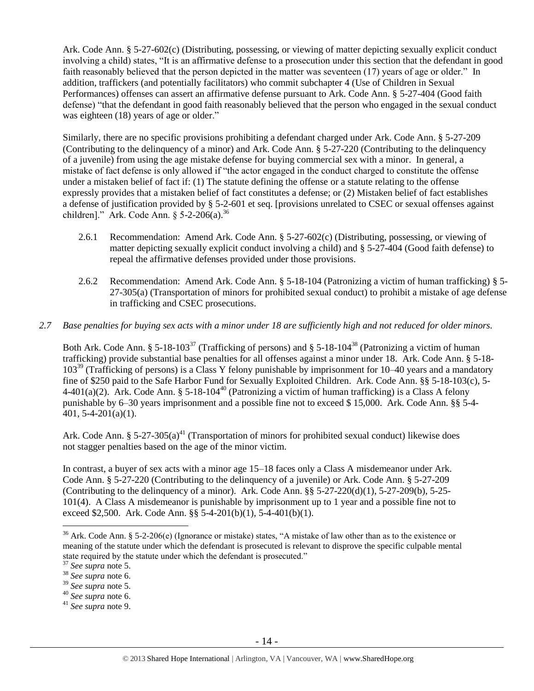Ark. Code Ann. § 5-27-602(c) (Distributing, possessing, or viewing of matter depicting sexually explicit conduct involving a child) states, "It is an affirmative defense to a prosecution under this section that the defendant in good faith reasonably believed that the person depicted in the matter was seventeen (17) years of age or older." In addition, traffickers (and potentially facilitators) who commit subchapter 4 (Use of Children in Sexual Performances) offenses can assert an affirmative defense pursuant to Ark. Code Ann. § 5-27-404 (Good faith defense) "that the defendant in good faith reasonably believed that the person who engaged in the sexual conduct was eighteen (18) years of age or older."

Similarly, there are no specific provisions prohibiting a defendant charged under Ark. Code Ann. § 5-27-209 (Contributing to the delinquency of a minor) and Ark. Code Ann. § 5-27-220 (Contributing to the delinquency of a juvenile) from using the age mistake defense for buying commercial sex with a minor. In general, a mistake of fact defense is only allowed if "the actor engaged in the conduct charged to constitute the offense under a mistaken belief of fact if: (1) The statute defining the offense or a statute relating to the offense expressly provides that a mistaken belief of fact constitutes a defense; or (2) Mistaken belief of fact establishes a defense of justification provided by § 5-2-601 et seq. [provisions unrelated to CSEC or sexual offenses against children]." Ark. Code Ann.  $\S$  5-2-206(a).<sup>36</sup>

- 2.6.1 Recommendation: Amend Ark. Code Ann. § 5-27-602(c) (Distributing, possessing, or viewing of matter depicting sexually explicit conduct involving a child) and § 5-27-404 (Good faith defense) to repeal the affirmative defenses provided under those provisions.
- 2.6.2 Recommendation: Amend Ark. Code Ann. § 5-18-104 (Patronizing a victim of human trafficking) § 5- 27-305(a) (Transportation of minors for prohibited sexual conduct) to prohibit a mistake of age defense in trafficking and CSEC prosecutions.

## *2.7 Base penalties for buying sex acts with a minor under 18 are sufficiently high and not reduced for older minors.*

Both Ark. Code Ann. § 5-18-103<sup>37</sup> (Trafficking of persons) and § 5-18-104<sup>38</sup> (Patronizing a victim of human trafficking) provide substantial base penalties for all offenses against a minor under 18. Ark. Code Ann. § 5-18- 103<sup>39</sup> (Trafficking of persons) is a Class Y felony punishable by imprisonment for 10–40 years and a mandatory fine of \$250 paid to the Safe Harbor Fund for Sexually Exploited Children. Ark. Code Ann. §§ 5-18-103(c), 5- 4-401(a)(2). Ark. Code Ann. § 5-18-104<sup>40</sup> (Patronizing a victim of human trafficking) is a Class A felony punishable by 6–30 years imprisonment and a possible fine not to exceed \$ 15,000. Ark. Code Ann. §§ 5-4- 401, 5-4-201(a)(1).

Ark. Code Ann. §  $5-27-305(a)^{41}$  (Transportation of minors for prohibited sexual conduct) likewise does not stagger penalties based on the age of the minor victim.

In contrast, a buyer of sex acts with a minor age 15–18 faces only a Class A misdemeanor under Ark. Code Ann. § 5-27-220 (Contributing to the delinquency of a juvenile) or Ark. Code Ann. § 5-27-209 (Contributing to the delinquency of a minor). Ark. Code Ann.  $\S$ § 5-27-220(d)(1), 5-27-209(b), 5-25-101(4). A Class A misdemeanor is punishable by imprisonment up to 1 year and a possible fine not to exceed \$2,500. Ark. Code Ann. §§ 5-4-201(b)(1), 5-4-401(b)(1).

<sup>&</sup>lt;sup>36</sup> Ark. Code Ann. § 5-2-206(e) (Ignorance or mistake) states, "A mistake of law other than as to the existence or meaning of the statute under which the defendant is prosecuted is relevant to disprove the specific culpable mental state required by the statute under which the defendant is prosecuted."

<sup>37</sup> *See supra* note [5.](#page-0-0)

<sup>38</sup> *See supra* note 6.

<sup>39</sup> *See supra* note [5.](#page-0-0)

<sup>40</sup> *See supra* note 6.

<sup>41</sup> *See supra* note [9.](#page-2-0)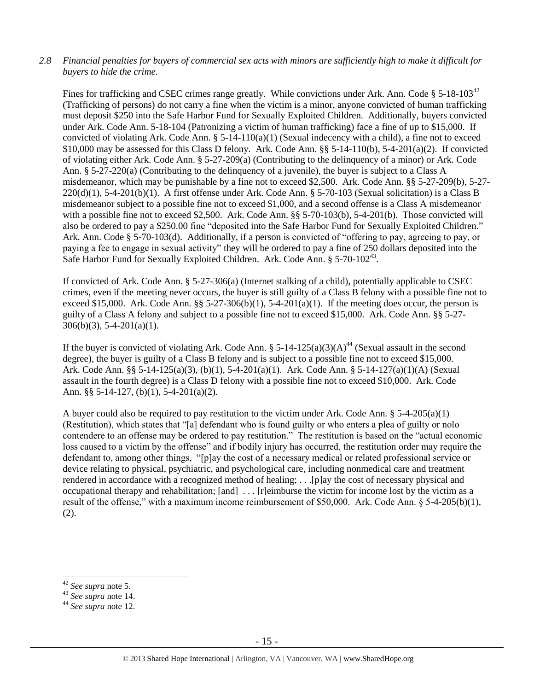## *2.8 Financial penalties for buyers of commercial sex acts with minors are sufficiently high to make it difficult for buyers to hide the crime.*

Fines for trafficking and CSEC crimes range greatly. While convictions under Ark. Ann. Code  $\S 5{\text -}18{\text -}103^{42}$ (Trafficking of persons) do not carry a fine when the victim is a minor, anyone convicted of human trafficking must deposit \$250 into the Safe Harbor Fund for Sexually Exploited Children. Additionally, buyers convicted under Ark. Code Ann. 5-18-104 (Patronizing a victim of human trafficking) face a fine of up to \$15,000. If convicted of violating Ark. Code Ann.  $\S 5$ -14-110(a)(1) (Sexual indecency with a child), a fine not to exceed \$10,000 may be assessed for this Class D felony. Ark. Code Ann. §§ 5-14-110(b), 5-4-201(a)(2). If convicted of violating either Ark. Code Ann. § 5-27-209(a) (Contributing to the delinquency of a minor) or Ark. Code Ann. § 5-27-220(a) (Contributing to the delinquency of a juvenile), the buyer is subject to a Class A misdemeanor, which may be punishable by a fine not to exceed \$2,500. Ark. Code Ann. §§ 5-27-209(b), 5-27-  $220(d)(1)$ , 5-4-201(b)(1). A first offense under Ark. Code Ann. § 5-70-103 (Sexual solicitation) is a Class B misdemeanor subject to a possible fine not to exceed \$1,000, and a second offense is a Class A misdemeanor with a possible fine not to exceed \$2,500. Ark. Code Ann. §§ 5-70-103(b), 5-4-201(b). Those convicted will also be ordered to pay a \$250.00 fine "deposited into the Safe Harbor Fund for Sexually Exploited Children." Ark. Ann. Code § 5-70-103(d). Additionally, if a person is convicted of "offering to pay, agreeing to pay, or paying a fee to engage in sexual activity" they will be ordered to pay a fine of 250 dollars deposited into the Safe Harbor Fund for Sexually Exploited Children. Ark. Code Ann. § 5-70-102<sup>43</sup>.

If convicted of Ark. Code Ann. § 5-27-306(a) (Internet stalking of a child), potentially applicable to CSEC crimes, even if the meeting never occurs, the buyer is still guilty of a Class B felony with a possible fine not to exceed \$15,000. Ark. Code Ann.  $\S$ § 5-27-306(b)(1), 5-4-201(a)(1). If the meeting does occur, the person is guilty of a Class A felony and subject to a possible fine not to exceed \$15,000. Ark. Code Ann. §§ 5-27-  $306(b)(3)$ , 5-4-201(a)(1).

If the buyer is convicted of violating Ark. Code Ann. §  $5-14-125(a)(3)(A)^{44}$  (Sexual assault in the second degree), the buyer is guilty of a Class B felony and is subject to a possible fine not to exceed \$15,000. Ark. Code Ann. §§ 5-14-125(a)(3), (b)(1), 5-4-201(a)(1). Ark. Code Ann. § 5-14-127(a)(1)(A) (Sexual assault in the fourth degree) is a Class D felony with a possible fine not to exceed \$10,000. Ark. Code Ann. §§ 5-14-127, (b)(1), 5-4-201(a)(2).

A buyer could also be required to pay restitution to the victim under Ark. Code Ann.  $\S$  5-4-205(a)(1) (Restitution), which states that "[a] defendant who is found guilty or who enters a plea of guilty or nolo contendere to an offense may be ordered to pay restitution." The restitution is based on the "actual economic loss caused to a victim by the offense" and if bodily injury has occurred, the restitution order may require the defendant to, among other things, "[p]ay the cost of a necessary medical or related professional service or device relating to physical, psychiatric, and psychological care, including nonmedical care and treatment rendered in accordance with a recognized method of healing; . . .[p]ay the cost of necessary physical and occupational therapy and rehabilitation; [and] . . . [r]eimburse the victim for income lost by the victim as a result of the offense," with a maximum income reimbursement of \$50,000. Ark. Code Ann. § 5-4-205(b)(1), (2).

<sup>42</sup> *See supra* note [5.](#page-0-0)

<sup>43</sup> *See supra* note [14.](#page-5-0)

<sup>44</sup> *See supra* note [12.](#page-4-0)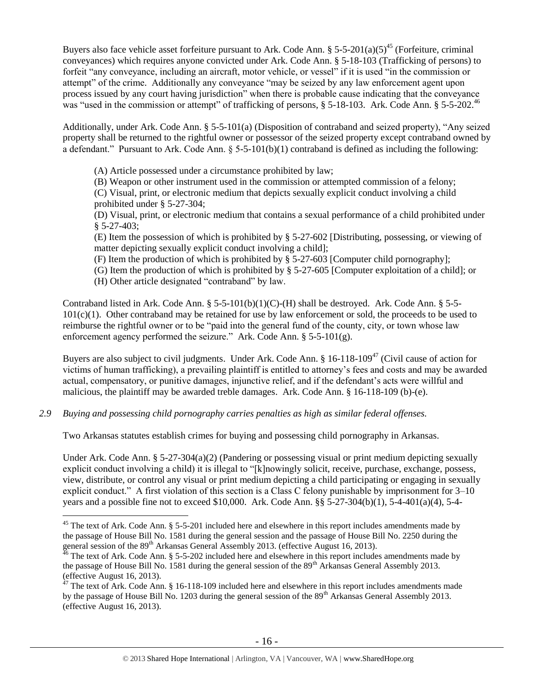Buyers also face vehicle asset forfeiture pursuant to Ark. Code Ann. § 5-5-201(a)(5)<sup>45</sup> (Forfeiture, criminal conveyances) which requires anyone convicted under Ark. Code Ann. § 5-18-103 (Trafficking of persons) to forfeit "any conveyance, including an aircraft, motor vehicle, or vessel" if it is used "in the commission or attempt" of the crime. Additionally any conveyance "may be seized by any law enforcement agent upon process issued by any court having jurisdiction" when there is probable cause indicating that the conveyance was "used in the commission or attempt" of trafficking of persons, § 5-18-103. Ark. Code Ann. § 5-5-202.<sup>46</sup>

Additionally, under Ark. Code Ann. § 5-5-101(a) (Disposition of contraband and seized property), "Any seized property shall be returned to the rightful owner or possessor of the seized property except contraband owned by a defendant." Pursuant to Ark. Code Ann.  $\S$  5-5-101(b)(1) contraband is defined as including the following:

(A) Article possessed under a circumstance prohibited by law;

(B) Weapon or other instrument used in the commission or attempted commission of a felony;

(C) Visual, print, or electronic medium that depicts sexually explicit conduct involving a child prohibited under § 5-27-304;

(D) Visual, print, or electronic medium that contains a sexual performance of a child prohibited under § 5-27-403;

(E) Item the possession of which is prohibited by § 5-27-602 [Distributing, possessing, or viewing of matter depicting sexually explicit conduct involving a child];

(F) Item the production of which is prohibited by § 5-27-603 [Computer child pornography];

(G) Item the production of which is prohibited by § 5-27-605 [Computer exploitation of a child]; or (H) Other article designated "contraband" by law.

Contraband listed in Ark. Code Ann. § 5-5-101(b)(1)(C)-(H) shall be destroyed. Ark. Code Ann. § 5-5-  $101(c)(1)$ . Other contraband may be retained for use by law enforcement or sold, the proceeds to be used to reimburse the rightful owner or to be "paid into the general fund of the county, city, or town whose law enforcement agency performed the seizure." Ark. Code Ann. § 5-5-101(g).

Buyers are also subject to civil judgments. Under Ark. Code Ann. § 16-118-109<sup>47</sup> (Civil cause of action for victims of human trafficking), a prevailing plaintiff is entitled to attorney's fees and costs and may be awarded actual, compensatory, or punitive damages, injunctive relief, and if the defendant's acts were willful and malicious, the plaintiff may be awarded treble damages. Ark. Code Ann. § 16-118-109 (b)-(e).

*2.9 Buying and possessing child pornography carries penalties as high as similar federal offenses.*

 $\overline{a}$ 

Two Arkansas statutes establish crimes for buying and possessing child pornography in Arkansas.

Under Ark. Code Ann. § 5-27-304(a)(2) (Pandering or possessing visual or print medium depicting sexually explicit conduct involving a child) it is illegal to "[k]nowingly solicit, receive, purchase, exchange, possess, view, distribute, or control any visual or print medium depicting a child participating or engaging in sexually explicit conduct." A first violation of this section is a Class C felony punishable by imprisonment for 3–10 years and a possible fine not to exceed \$10,000. Ark. Code Ann. §§ 5-27-304(b)(1), 5-4-401(a)(4), 5-4-

 $45$  The text of Ark. Code Ann. § 5-5-201 included here and elsewhere in this report includes amendments made by the passage of House Bill No. 1581 during the general session and the passage of House Bill No. 2250 during the general session of the 89<sup>th</sup> Arkansas General Assembly 2013. (effective August 16, 2013).

 $^{46}$  The text of Ark. Code Ann. § 5-5-202 included here and elsewhere in this report includes amendments made by the passage of House Bill No. 1581 during the general session of the 89<sup>th</sup> Arkansas General Assembly 2013. (effective August 16, 2013).

 $47$  The text of Ark. Code Ann. § 16-118-109 included here and elsewhere in this report includes amendments made by the passage of House Bill No. 1203 during the general session of the 89<sup>th</sup> Arkansas General Assembly 2013. (effective August 16, 2013).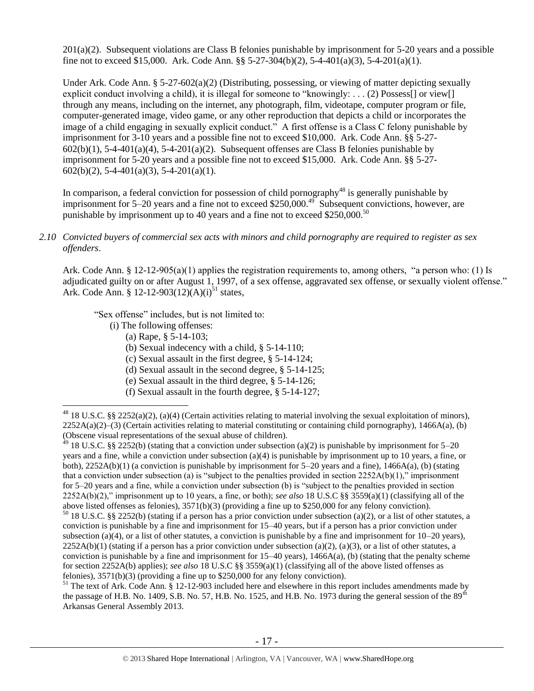201(a)(2). Subsequent violations are Class B felonies punishable by imprisonment for 5-20 years and a possible fine not to exceed \$15,000. Ark. Code Ann. §§ 5-27-304(b)(2), 5-4-401(a)(3), 5-4-201(a)(1).

Under Ark. Code Ann. § 5-27-602(a)(2) (Distributing, possessing, or viewing of matter depicting sexually explicit conduct involving a child), it is illegal for someone to "knowingly: . . . (2) Possess $[$ ] or view $[$ ] through any means, including on the internet, any photograph, film, videotape, computer program or file, computer-generated image, video game, or any other reproduction that depicts a child or incorporates the image of a child engaging in sexually explicit conduct." A first offense is a Class C felony punishable by imprisonment for 3-10 years and a possible fine not to exceed \$10,000. Ark. Code Ann. §§ 5-27-  $602(b)(1)$ , 5-4-401(a)(4), 5-4-201(a)(2). Subsequent offenses are Class B felonies punishable by imprisonment for 5-20 years and a possible fine not to exceed \$15,000. Ark. Code Ann. §§ 5-27-  $602(b)(2)$ , 5-4-401(a)(3), 5-4-201(a)(1).

In comparison, a federal conviction for possession of child pornography<sup>48</sup> is generally punishable by imprisonment for 5–20 years and a fine not to exceed \$250,000.<sup>49</sup> Subsequent convictions, however, are punishable by imprisonment up to 40 years and a fine not to exceed \$250,000.<sup>50</sup>

#### *2.10 Convicted buyers of commercial sex acts with minors and child pornography are required to register as sex offenders*.

Ark. Code Ann. § 12-12-905(a)(1) applies the registration requirements to, among others, "a person who: (1) Is adjudicated guilty on or after August 1, 1997, of a sex offense, aggravated sex offense, or sexually violent offense." Ark. Code Ann. § 12-12-903(12)(A)(i)<sup>51</sup> states,

"Sex offense" includes, but is not limited to:

(i) The following offenses:

 $\overline{a}$ 

- <span id="page-16-0"></span>(a) Rape, § 5-14-103;
- (b) Sexual indecency with a child, § 5-14-110;
- (c) Sexual assault in the first degree, § 5-14-124;
- (d) Sexual assault in the second degree, § 5-14-125;
- (e) Sexual assault in the third degree, § 5-14-126;
- (f) Sexual assault in the fourth degree, § 5-14-127;

<sup>49</sup> 18 U.S.C. §§ 2252(b) (stating that a conviction under subsection (a)(2) is punishable by imprisonment for 5–20 years and a fine, while a conviction under subsection (a)(4) is punishable by imprisonment up to 10 years, a fine, or both),  $2252A(b)(1)$  (a conviction is punishable by imprisonment for  $5-20$  years and a fine),  $1466A(a)$ , (b) (stating that a conviction under subsection (a) is "subject to the penalties provided in section  $2252A(b)(1)$ ," imprisonment for 5–20 years and a fine, while a conviction under subsection (b) is "subject to the penalties provided in section 2252A(b)(2)," imprisonment up to 10 years, a fine, or both); *see also* 18 U.S.C §§ 3559(a)(1) (classifying all of the above listed offenses as felonies), 3571(b)(3) (providing a fine up to \$250,000 for any felony conviction).  $50$  18 U.S.C. §§ 2252(b) (stating if a person has a prior conviction under subsection (a)(2), or a list of other statutes, a conviction is punishable by a fine and imprisonment for 15–40 years, but if a person has a prior conviction under subsection (a)(4), or a list of other statutes, a conviction is punishable by a fine and imprisonment for 10–20 years),

<sup>48</sup> 18 U.S.C. §§ 2252(a)(2), (a)(4) (Certain activities relating to material involving the sexual exploitation of minors),  $2252A(a)(2)$ –(3) (Certain activities relating to material constituting or containing child pornography), 1466A(a), (b) (Obscene visual representations of the sexual abuse of children).

 $2252A(b)(1)$  (stating if a person has a prior conviction under subsection (a)(2), (a)(3), or a list of other statutes, a conviction is punishable by a fine and imprisonment for  $15-40$  years),  $1466A(a)$ , (b) (stating that the penalty scheme for section 2252A(b) applies); *see also* 18 U.S.C §§ 3559(a)(1) (classifying all of the above listed offenses as felonies), 3571(b)(3) (providing a fine up to \$250,000 for any felony conviction).

 $51$  The text of Ark. Code Ann.  $\tilde{\S}$  12-12-903 included here and elsewhere in this report includes amendments made by the passage of H.B. No. 1409, S.B. No. 57, H.B. No. 1525, and H.B. No. 1973 during the general session of the  $89<sup>th</sup>$ Arkansas General Assembly 2013.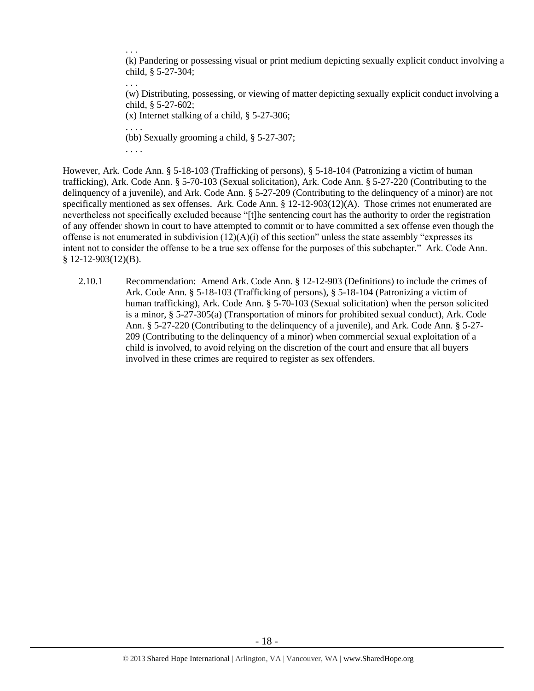. . . (k) Pandering or possessing visual or print medium depicting sexually explicit conduct involving a child, § 5-27-304;

(w) Distributing, possessing, or viewing of matter depicting sexually explicit conduct involving a child, § 5-27-602;

(x) Internet stalking of a child, § 5-27-306;

. . . . (bb) Sexually grooming a child, § 5-27-307;

. . . .

. . .

However, Ark. Code Ann. § 5-18-103 (Trafficking of persons), § 5-18-104 (Patronizing a victim of human trafficking), Ark. Code Ann. § 5-70-103 (Sexual solicitation), Ark. Code Ann. § 5-27-220 (Contributing to the delinquency of a juvenile), and Ark. Code Ann. § 5-27-209 (Contributing to the delinquency of a minor) are not specifically mentioned as sex offenses. Ark. Code Ann. § 12-12-903(12)(A). Those crimes not enumerated are nevertheless not specifically excluded because "[t]he sentencing court has the authority to order the registration of any offender shown in court to have attempted to commit or to have committed a sex offense even though the offense is not enumerated in subdivision  $(12)(A)(i)$  of this section" unless the state assembly "expresses its intent not to consider the offense to be a true sex offense for the purposes of this subchapter." Ark. Code Ann. § 12-12-903(12)(B).

2.10.1 Recommendation: Amend Ark. Code Ann. § 12-12-903 (Definitions) to include the crimes of Ark. Code Ann. § 5-18-103 (Trafficking of persons), § 5-18-104 (Patronizing a victim of human trafficking), Ark. Code Ann. § 5-70-103 (Sexual solicitation) when the person solicited is a minor, § 5-27-305(a) (Transportation of minors for prohibited sexual conduct), Ark. Code Ann. § 5-27-220 (Contributing to the delinquency of a juvenile), and Ark. Code Ann. § 5-27- 209 (Contributing to the delinquency of a minor) when commercial sexual exploitation of a child is involved, to avoid relying on the discretion of the court and ensure that all buyers involved in these crimes are required to register as sex offenders.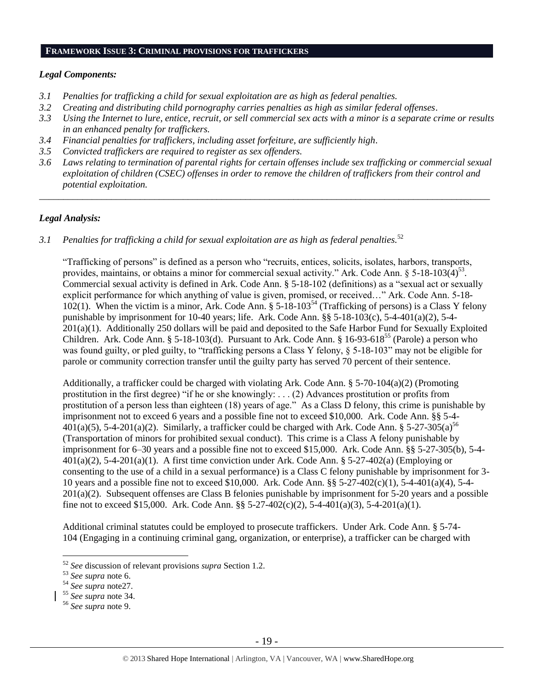#### **FRAMEWORK ISSUE 3: CRIMINAL PROVISIONS FOR TRAFFICKERS**

#### *Legal Components:*

- *3.1 Penalties for trafficking a child for sexual exploitation are as high as federal penalties.*
- *3.2 Creating and distributing child pornography carries penalties as high as similar federal offenses*.
- *3.3 Using the Internet to lure, entice, recruit, or sell commercial sex acts with a minor is a separate crime or results in an enhanced penalty for traffickers.*
- *3.4 Financial penalties for traffickers, including asset forfeiture, are sufficiently high*.
- *3.5 Convicted traffickers are required to register as sex offenders.*
- *3.6 Laws relating to termination of parental rights for certain offenses include sex trafficking or commercial sexual exploitation of children (CSEC) offenses in order to remove the children of traffickers from their control and potential exploitation.*

*\_\_\_\_\_\_\_\_\_\_\_\_\_\_\_\_\_\_\_\_\_\_\_\_\_\_\_\_\_\_\_\_\_\_\_\_\_\_\_\_\_\_\_\_\_\_\_\_\_\_\_\_\_\_\_\_\_\_\_\_\_\_\_\_\_\_\_\_\_\_\_\_\_\_\_\_\_\_\_\_\_\_\_\_\_\_\_\_\_\_\_\_\_\_*

## *Legal Analysis:*

*3.1 Penalties for trafficking a child for sexual exploitation are as high as federal penalties.*<sup>52</sup>

"Trafficking of persons" is defined as a person who "recruits, entices, solicits, isolates, harbors, transports, provides, maintains, or obtains a minor for commercial sexual activity." Ark. Code Ann. § 5-18-103 $\left(4\right)^{53}$ . Commercial sexual activity is defined in Ark. Code Ann. § 5-18-102 (definitions) as a "sexual act or sexually explicit performance for which anything of value is given, promised, or received…" Ark. Code Ann. 5-18-  $102(1)$ . When the victim is a minor, Ark. Code Ann. § 5-18-103<sup>54</sup> (Trafficking of persons) is a Class Y felony punishable by imprisonment for 10-40 years; life. Ark. Code Ann. §§ 5-18-103(c), 5-4-401(a)(2), 5-4- 201(a)(1). Additionally 250 dollars will be paid and deposited to the Safe Harbor Fund for Sexually Exploited Children. Ark. Code Ann. § 5-18-103(d). Pursuant to Ark. Code Ann. § 16-93-618<sup>55</sup> (Parole) a person who was found guilty, or pled guilty, to "trafficking persons a Class Y felony,  $\S$  5-18-103" may not be eligible for parole or community correction transfer until the guilty party has served 70 percent of their sentence.

Additionally, a trafficker could be charged with violating Ark. Code Ann. § 5-70-104(a)(2) (Promoting prostitution in the first degree) "if he or she knowingly: . . . (2) Advances prostitution or profits from prostitution of a person less than eighteen (18) years of age." As a Class D felony, this crime is punishable by imprisonment not to exceed 6 years and a possible fine not to exceed \$10,000. Ark. Code Ann. §§ 5-4-  $401(a)(5)$ , 5-4-201(a)(2). Similarly, a trafficker could be charged with Ark. Code Ann. § 5-27-305(a)<sup>56</sup> (Transportation of minors for prohibited sexual conduct). This crime is a Class A felony punishable by imprisonment for 6–30 years and a possible fine not to exceed \$15,000. Ark. Code Ann. §§ 5-27-305(b), 5-4-  $401(a)(2)$ , 5-4-201(a)(1). A first time conviction under Ark. Code Ann. § 5-27-402(a) (Employing or consenting to the use of a child in a sexual performance) is a Class C felony punishable by imprisonment for 3- 10 years and a possible fine not to exceed \$10,000. Ark. Code Ann. §§ 5-27-402(c)(1), 5-4-401(a)(4), 5-4- 201(a)(2). Subsequent offenses are Class B felonies punishable by imprisonment for 5-20 years and a possible fine not to exceed \$15,000. Ark. Code Ann. §§ 5-27-402(c)(2), 5-4-401(a)(3), 5-4-201(a)(1).

Additional criminal statutes could be employed to prosecute traffickers. Under Ark. Code Ann. § 5-74- 104 (Engaging in a continuing criminal gang, organization, or enterprise), a trafficker can be charged with

<sup>52</sup> *See* discussion of relevant provisions *supra* Section 1.2.

<sup>53</sup> *See supra* note 6.

<sup>54</sup> *See supra* not[e27.](#page-10-0)

<sup>55</sup> *See supra* note 34.

<sup>56</sup> *See supra* note [9.](#page-2-0)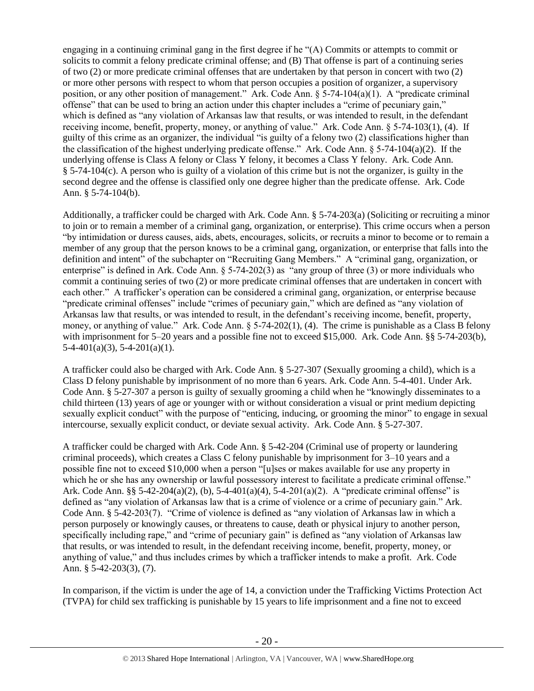engaging in a continuing criminal gang in the first degree if he "(A) Commits or attempts to commit or solicits to commit a felony predicate criminal offense; and (B) That offense is part of a continuing series of two (2) or more predicate criminal offenses that are undertaken by that person in concert with two (2) or more other persons with respect to whom that person occupies a position of organizer, a supervisory position, or any other position of management." Ark. Code Ann.  $\S 5-74-104(a)(1)$ . A "predicate criminal offense" that can be used to bring an action under this chapter includes a "crime of pecuniary gain," which is defined as "any violation of Arkansas law that results, or was intended to result, in the defendant receiving income, benefit, property, money, or anything of value." Ark. Code Ann. § 5-74-103(1), (4). If guilty of this crime as an organizer, the individual "is guilty of a felony two (2) classifications higher than the classification of the highest underlying predicate offense." Ark. Code Ann. § 5-74-104(a)(2). If the underlying offense is Class A felony or Class Y felony, it becomes a Class Y felony. Ark. Code Ann. § 5-74-104(c). A person who is guilty of a violation of this crime but is not the organizer, is guilty in the second degree and the offense is classified only one degree higher than the predicate offense. Ark. Code Ann. § 5-74-104(b).

Additionally, a trafficker could be charged with Ark. Code Ann. § 5-74-203(a) (Soliciting or recruiting a minor to join or to remain a member of a criminal gang, organization, or enterprise). This crime occurs when a person "by intimidation or duress causes, aids, abets, encourages, solicits, or recruits a minor to become or to remain a member of any group that the person knows to be a criminal gang, organization, or enterprise that falls into the definition and intent" of the subchapter on "Recruiting Gang Members." A "criminal gang, organization, or enterprise" is defined in Ark. Code Ann. § 5-74-202(3) as "any group of three (3) or more individuals who commit a continuing series of two (2) or more predicate criminal offenses that are undertaken in concert with each other." A trafficker's operation can be considered a criminal gang, organization, or enterprise because "predicate criminal offenses" include "crimes of pecuniary gain," which are defined as "any violation of Arkansas law that results, or was intended to result, in the defendant's receiving income, benefit, property, money, or anything of value." Ark. Code Ann. § 5-74-202(1), (4). The crime is punishable as a Class B felony with imprisonment for 5–20 years and a possible fine not to exceed \$15,000. Ark. Code Ann. §§ 5-74-203(b),  $5-4-401(a)(3)$ ,  $5-4-201(a)(1)$ .

A trafficker could also be charged with Ark. Code Ann. § 5-27-307 (Sexually grooming a child), which is a Class D felony punishable by imprisonment of no more than 6 years. Ark. Code Ann. 5-4-401. Under Ark. Code Ann. § 5-27-307 a person is guilty of sexually grooming a child when he "knowingly disseminates to a child thirteen (13) years of age or younger with or without consideration a visual or print medium depicting sexually explicit conduct" with the purpose of "enticing, inducing, or grooming the minor" to engage in sexual intercourse, sexually explicit conduct, or deviate sexual activity. Ark. Code Ann. § 5-27-307.

A trafficker could be charged with Ark. Code Ann. § 5-42-204 (Criminal use of property or laundering criminal proceeds), which creates a Class C felony punishable by imprisonment for 3–10 years and a possible fine not to exceed \$10,000 when a person "[u]ses or makes available for use any property in which he or she has any ownership or lawful possessory interest to facilitate a predicate criminal offense." Ark. Code Ann. §§ 5-42-204(a)(2), (b), 5-4-401(a)(4), 5-4-201(a)(2). A "predicate criminal offense" is defined as "any violation of Arkansas law that is a crime of violence or a crime of pecuniary gain." Ark. Code Ann. § 5-42-203(7). "Crime of violence is defined as "any violation of Arkansas law in which a person purposely or knowingly causes, or threatens to cause, death or physical injury to another person, specifically including rape," and "crime of pecuniary gain" is defined as "any violation of Arkansas law that results, or was intended to result, in the defendant receiving income, benefit, property, money, or anything of value," and thus includes crimes by which a trafficker intends to make a profit. Ark. Code Ann. § 5-42-203(3), (7).

In comparison, if the victim is under the age of 14, a conviction under the Trafficking Victims Protection Act (TVPA) for child sex trafficking is punishable by 15 years to life imprisonment and a fine not to exceed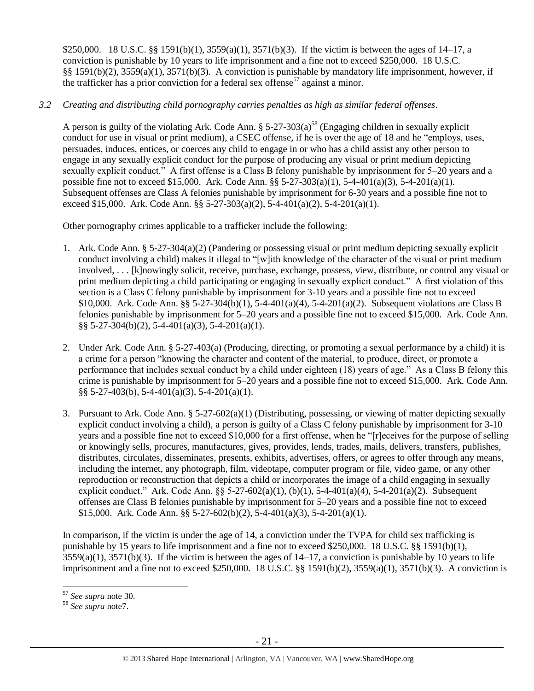\$250,000. 18 U.S.C. §§ 1591(b)(1), 3559(a)(1), 3571(b)(3). If the victim is between the ages of 14–17, a conviction is punishable by 10 years to life imprisonment and a fine not to exceed \$250,000. 18 U.S.C. §§ 1591(b)(2), 3559(a)(1), 3571(b)(3). A conviction is punishable by mandatory life imprisonment, however, if the trafficker has a prior conviction for a federal sex offense<sup>57</sup> against a minor.

# *3.2 Creating and distributing child pornography carries penalties as high as similar federal offenses*.

A person is guilty of the violating Ark. Code Ann.  $\S 5-27-303(a)^{58}$  (Engaging children in sexually explicit conduct for use in visual or print medium), a CSEC offense, if he is over the age of 18 and he "employs, uses, persuades, induces, entices, or coerces any child to engage in or who has a child assist any other person to engage in any sexually explicit conduct for the purpose of producing any visual or print medium depicting sexually explicit conduct." A first offense is a Class B felony punishable by imprisonment for 5–20 years and a possible fine not to exceed \$15,000. Ark. Code Ann. §§ 5-27-303(a)(1), 5-4-401(a)(3), 5-4-201(a)(1). Subsequent offenses are Class A felonies punishable by imprisonment for 6-30 years and a possible fine not to exceed \$15,000. Ark. Code Ann. §§ 5-27-303(a)(2), 5-4-401(a)(2), 5-4-201(a)(1).

Other pornography crimes applicable to a trafficker include the following:

- 1. Ark. Code Ann. § 5-27-304(a)(2) (Pandering or possessing visual or print medium depicting sexually explicit conduct involving a child) makes it illegal to "[w]ith knowledge of the character of the visual or print medium involved, . . . [k]nowingly solicit, receive, purchase, exchange, possess, view, distribute, or control any visual or print medium depicting a child participating or engaging in sexually explicit conduct." A first violation of this section is a Class C felony punishable by imprisonment for 3-10 years and a possible fine not to exceed \$10,000. Ark. Code Ann. §§ 5-27-304(b)(1), 5-4-401(a)(4), 5-4-201(a)(2). Subsequent violations are Class B felonies punishable by imprisonment for 5–20 years and a possible fine not to exceed \$15,000. Ark. Code Ann. §§ 5-27-304(b)(2), 5-4-401(a)(3), 5-4-201(a)(1).
- 2. Under Ark. Code Ann. § 5-27-403(a) (Producing, directing, or promoting a sexual performance by a child) it is a crime for a person "knowing the character and content of the material, to produce, direct, or promote a performance that includes sexual conduct by a child under eighteen (18) years of age." As a Class B felony this crime is punishable by imprisonment for 5–20 years and a possible fine not to exceed \$15,000. Ark. Code Ann. §§ 5-27-403(b), 5-4-401(a)(3), 5-4-201(a)(1).
- 3. Pursuant to Ark. Code Ann. § 5-27-602(a)(1) (Distributing, possessing, or viewing of matter depicting sexually explicit conduct involving a child), a person is guilty of a Class C felony punishable by imprisonment for 3-10 years and a possible fine not to exceed \$10,000 for a first offense, when he "[r]eceives for the purpose of selling or knowingly sells, procures, manufactures, gives, provides, lends, trades, mails, delivers, transfers, publishes, distributes, circulates, disseminates, presents, exhibits, advertises, offers, or agrees to offer through any means, including the internet, any photograph, film, videotape, computer program or file, video game, or any other reproduction or reconstruction that depicts a child or incorporates the image of a child engaging in sexually explicit conduct." Ark. Code Ann.  $\S$ § 5-27-602(a)(1), (b)(1), 5-4-401(a)(4), 5-4-201(a)(2). Subsequent offenses are Class B felonies punishable by imprisonment for 5–20 years and a possible fine not to exceed \$15,000. Ark. Code Ann. §§ 5-27-602(b)(2), 5-4-401(a)(3), 5-4-201(a)(1).

In comparison, if the victim is under the age of 14, a conviction under the TVPA for child sex trafficking is punishable by 15 years to life imprisonment and a fine not to exceed \$250,000. 18 U.S.C. §§ 1591(b)(1),  $3559(a)(1)$ ,  $3571(b)(3)$ . If the victim is between the ages of  $14-17$ , a conviction is punishable by 10 years to life imprisonment and a fine not to exceed \$250,000. 18 U.S.C. §§ 1591(b)(2), 3559(a)(1), 3571(b)(3). A conviction is

<sup>57</sup> *See supra* note [30.](#page-11-0) 

<sup>58</sup> *See supra* not[e7.](#page-1-0)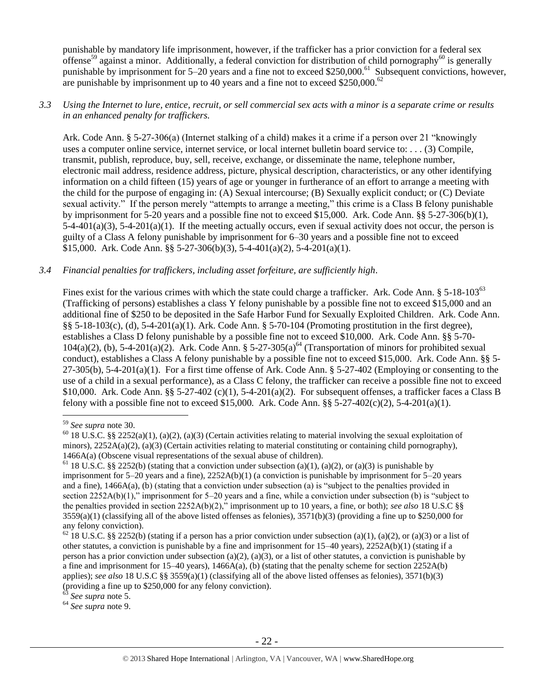punishable by mandatory life imprisonment, however, if the trafficker has a prior conviction for a federal sex offense<sup>59</sup> against a minor. Additionally, a federal conviction for distribution of child pornography<sup>60</sup> is generally punishable by imprisonment for 5–20 years and a fine not to exceed \$250,000.<sup>61</sup> Subsequent convictions, however, are punishable by imprisonment up to 40 years and a fine not to exceed  $$250,000$ .<sup>62</sup>

## *3.3 Using the Internet to lure, entice, recruit, or sell commercial sex acts with a minor is a separate crime or results in an enhanced penalty for traffickers.*

Ark. Code Ann. § 5-27-306(a) (Internet stalking of a child) makes it a crime if a person over 21 "knowingly uses a computer online service, internet service, or local internet bulletin board service to: . . . (3) Compile, transmit, publish, reproduce, buy, sell, receive, exchange, or disseminate the name, telephone number, electronic mail address, residence address, picture, physical description, characteristics, or any other identifying information on a child fifteen (15) years of age or younger in furtherance of an effort to arrange a meeting with the child for the purpose of engaging in: (A) Sexual intercourse; (B) Sexually explicit conduct; or (C) Deviate sexual activity." If the person merely "attempts to arrange a meeting," this crime is a Class B felony punishable by imprisonment for 5-20 years and a possible fine not to exceed \$15,000. Ark. Code Ann. §§ 5-27-306(b)(1),  $5-4-401(a)(3)$ ,  $5-4-201(a)(1)$ . If the meeting actually occurs, even if sexual activity does not occur, the person is guilty of a Class A felony punishable by imprisonment for 6–30 years and a possible fine not to exceed \$15,000. Ark. Code Ann. §§ 5-27-306(b)(3), 5-4-401(a)(2), 5-4-201(a)(1).

## *3.4 Financial penalties for traffickers, including asset forfeiture, are sufficiently high*.

Fines exist for the various crimes with which the state could charge a trafficker. Ark. Code Ann. § 5-18-103<sup>63</sup> (Trafficking of persons) establishes a class Y felony punishable by a possible fine not to exceed \$15,000 and an additional fine of \$250 to be deposited in the Safe Harbor Fund for Sexually Exploited Children. Ark. Code Ann. §§ 5-18-103(c), (d), 5-4-201(a)(1). Ark. Code Ann. § 5-70-104 (Promoting prostitution in the first degree), establishes a Class D felony punishable by a possible fine not to exceed \$10,000. Ark. Code Ann. §§ 5-70-  $104(a)(2)$ , (b),  $5-4-201(a)(2)$ . Ark. Code Ann. §  $5-27-305(a)^{64}$  (Transportation of minors for prohibited sexual conduct), establishes a Class A felony punishable by a possible fine not to exceed \$15,000. Ark. Code Ann. §§ 5-  $27-305(b)$ ,  $5-4-201(a)(1)$ . For a first time offense of Ark. Code Ann. §  $5-27-402$  (Employing or consenting to the use of a child in a sexual performance), as a Class C felony, the trafficker can receive a possible fine not to exceed \$10,000. Ark. Code Ann. §§ 5-27-402 (c)(1), 5-4-201(a)(2). For subsequent offenses, a trafficker faces a Class B felony with a possible fine not to exceed \$15,000. Ark. Code Ann.  $\S$ § 5-27-402(c)(2), 5-4-201(a)(1).

 $\overline{a}$ 

<sup>64</sup> *See supra* note [9.](#page-2-0)

<sup>59</sup> *See supra* note [30.](#page-11-0) 

 $60$  18 U.S.C. §§ 2252(a)(1), (a)(2), (a)(3) (Certain activities relating to material involving the sexual exploitation of minors),  $2252A(a)(2)$ , (a)(3) (Certain activities relating to material constituting or containing child pornography), 1466A(a) (Obscene visual representations of the sexual abuse of children).

<sup>&</sup>lt;sup>61</sup> 18 U.S.C. §§ 2252(b) (stating that a conviction under subsection (a)(1), (a)(2), or (a)(3) is punishable by imprisonment for 5–20 years and a fine), 2252A(b)(1) (a conviction is punishable by imprisonment for 5–20 years and a fine), 1466A(a), (b) (stating that a conviction under subsection (a) is "subject to the penalties provided in section 2252A(b)(1)," imprisonment for 5–20 years and a fine, while a conviction under subsection (b) is "subject to the penalties provided in section 2252A(b)(2)," imprisonment up to 10 years, a fine, or both); *see also* 18 U.S.C §§  $3559(a)(1)$  (classifying all of the above listed offenses as felonies),  $3571(b)(3)$  (providing a fine up to \$250,000 for any felony conviction).

 $62$  18 U.S.C. §§ 2252(b) (stating if a person has a prior conviction under subsection (a)(1), (a)(2), or (a)(3) or a list of other statutes, a conviction is punishable by a fine and imprisonment for 15–40 years), 2252A(b)(1) (stating if a person has a prior conviction under subsection (a)(2), (a)(3), or a list of other statutes, a conviction is punishable by a fine and imprisonment for 15–40 years), 1466A(a), (b) (stating that the penalty scheme for section 2252A(b) applies); *see also* 18 U.S.C §§ 3559(a)(1) (classifying all of the above listed offenses as felonies), 3571(b)(3) (providing a fine up to \$250,000 for any felony conviction).

<sup>63</sup> *See supra* note [5.](#page-0-0)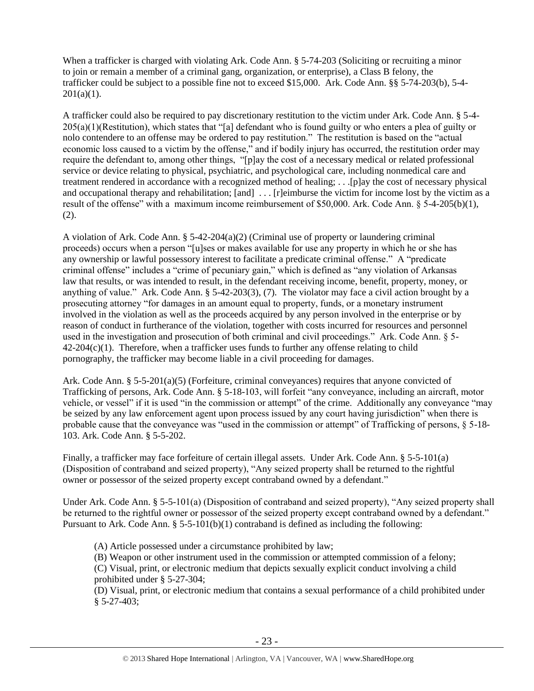When a trafficker is charged with violating Ark. Code Ann. § 5-74-203 (Soliciting or recruiting a minor to join or remain a member of a criminal gang, organization, or enterprise), a Class B felony, the trafficker could be subject to a possible fine not to exceed \$15,000. Ark. Code Ann. §§ 5-74-203(b), 5-4-  $201(a)(1)$ .

A trafficker could also be required to pay discretionary restitution to the victim under Ark. Code Ann. § 5-4- 205(a)(1)(Restitution), which states that "[a] defendant who is found guilty or who enters a plea of guilty or nolo contendere to an offense may be ordered to pay restitution." The restitution is based on the "actual economic loss caused to a victim by the offense," and if bodily injury has occurred, the restitution order may require the defendant to, among other things, "[p]ay the cost of a necessary medical or related professional service or device relating to physical, psychiatric, and psychological care, including nonmedical care and treatment rendered in accordance with a recognized method of healing; . . .[p]ay the cost of necessary physical and occupational therapy and rehabilitation; [and] ... [r]eimburse the victim for income lost by the victim as a result of the offense" with a maximum income reimbursement of \$50,000. Ark. Code Ann. § 5-4-205(b)(1), (2).

A violation of Ark. Code Ann.  $\S$  5-42-204(a)(2) (Criminal use of property or laundering criminal proceeds) occurs when a person "[u]ses or makes available for use any property in which he or she has any ownership or lawful possessory interest to facilitate a predicate criminal offense." A "predicate criminal offense" includes a "crime of pecuniary gain," which is defined as "any violation of Arkansas law that results, or was intended to result, in the defendant receiving income, benefit, property, money, or anything of value." Ark. Code Ann. § 5-42-203(3), (7). The violator may face a civil action brought by a prosecuting attorney "for damages in an amount equal to property, funds, or a monetary instrument involved in the violation as well as the proceeds acquired by any person involved in the enterprise or by reason of conduct in furtherance of the violation, together with costs incurred for resources and personnel used in the investigation and prosecution of both criminal and civil proceedings." Ark. Code Ann. § 5-  $42-204(c)(1)$ . Therefore, when a trafficker uses funds to further any offense relating to child pornography, the trafficker may become liable in a civil proceeding for damages.

Ark. Code Ann. § 5-5-201(a)(5) (Forfeiture, criminal conveyances) requires that anyone convicted of Trafficking of persons, Ark. Code Ann. § 5-18-103, will forfeit "any conveyance, including an aircraft, motor vehicle, or vessel" if it is used "in the commission or attempt" of the crime. Additionally any conveyance "may be seized by any law enforcement agent upon process issued by any court having jurisdiction" when there is probable cause that the conveyance was "used in the commission or attempt" of Trafficking of persons, § 5-18- 103. Ark. Code Ann. § 5-5-202.

Finally, a trafficker may face forfeiture of certain illegal assets. Under Ark. Code Ann. § 5-5-101(a) (Disposition of contraband and seized property), "Any seized property shall be returned to the rightful owner or possessor of the seized property except contraband owned by a defendant."

Under Ark. Code Ann. § 5-5-101(a) (Disposition of contraband and seized property), "Any seized property shall be returned to the rightful owner or possessor of the seized property except contraband owned by a defendant." Pursuant to Ark. Code Ann.  $\S 5-5-101(b)(1)$  contraband is defined as including the following:

(A) Article possessed under a circumstance prohibited by law;

(B) Weapon or other instrument used in the commission or attempted commission of a felony;

(C) Visual, print, or electronic medium that depicts sexually explicit conduct involving a child prohibited under § 5-27-304;

(D) Visual, print, or electronic medium that contains a sexual performance of a child prohibited under § 5-27-403;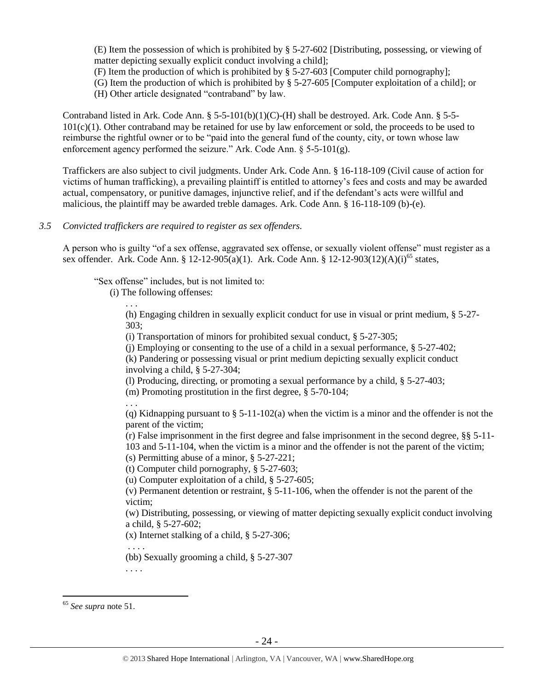(E) Item the possession of which is prohibited by § 5-27-602 [Distributing, possessing, or viewing of matter depicting sexually explicit conduct involving a child];

(F) Item the production of which is prohibited by § 5-27-603 [Computer child pornography];

(G) Item the production of which is prohibited by § 5-27-605 [Computer exploitation of a child]; or

(H) Other article designated "contraband" by law.

Contraband listed in Ark. Code Ann.  $\S$  5-5-101(b)(1)(C)-(H) shall be destroyed. Ark. Code Ann.  $\S$  5-5-101(c)(1). Other contraband may be retained for use by law enforcement or sold, the proceeds to be used to reimburse the rightful owner or to be "paid into the general fund of the county, city, or town whose law enforcement agency performed the seizure." Ark. Code Ann. § 5-5-101(g).

Traffickers are also subject to civil judgments. Under Ark. Code Ann. § 16-118-109 (Civil cause of action for victims of human trafficking), a prevailing plaintiff is entitled to attorney's fees and costs and may be awarded actual, compensatory, or punitive damages, injunctive relief, and if the defendant's acts were willful and malicious, the plaintiff may be awarded treble damages. Ark. Code Ann. § 16-118-109 (b)-(e).

## *3.5 Convicted traffickers are required to register as sex offenders.*

A person who is guilty "of a sex offense, aggravated sex offense, or sexually violent offense" must register as a sex offender. Ark. Code Ann. § 12-12-905(a)(1). Ark. Code Ann. § 12-12-903(12)(A)(i)<sup>65</sup> states,

"Sex offense" includes, but is not limited to:

(i) The following offenses:

. . . (h) Engaging children in sexually explicit conduct for use in visual or print medium, § 5-27- 303;

(i) Transportation of minors for prohibited sexual conduct, § 5-27-305;

(i) Employing or consenting to the use of a child in a sexual performance,  $\S$  5-27-402;

(k) Pandering or possessing visual or print medium depicting sexually explicit conduct involving a child, § 5-27-304;

(l) Producing, directing, or promoting a sexual performance by a child, § 5-27-403;

(m) Promoting prostitution in the first degree, § 5-70-104;

. . .

(q) Kidnapping pursuant to  $\S$  5-11-102(a) when the victim is a minor and the offender is not the parent of the victim;

(r) False imprisonment in the first degree and false imprisonment in the second degree, §§ 5-11- 103 and 5-11-104, when the victim is a minor and the offender is not the parent of the victim; (s) Permitting abuse of a minor, § 5-27-221;

(t) Computer child pornography, § 5-27-603;

(u) Computer exploitation of a child, § 5-27-605;

(v) Permanent detention or restraint, § 5-11-106, when the offender is not the parent of the victim;

(w) Distributing, possessing, or viewing of matter depicting sexually explicit conduct involving a child, § 5-27-602;

(x) Internet stalking of a child, § 5-27-306;

(bb) Sexually grooming a child, § 5-27-307

. . . .

. . . .

<sup>65</sup> *See supra* note [51.](#page-16-0)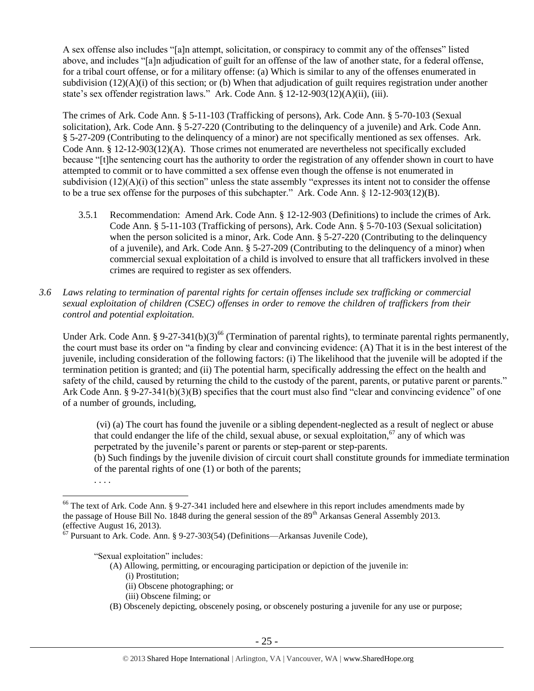A sex offense also includes "[a]n attempt, solicitation, or conspiracy to commit any of the offenses" listed above, and includes "[a]n adjudication of guilt for an offense of the law of another state, for a federal offense, for a tribal court offense, or for a military offense: (a) Which is similar to any of the offenses enumerated in subdivision  $(12)(A)(i)$  of this section; or (b) When that adjudication of guilt requires registration under another state's sex offender registration laws." Ark. Code Ann. § 12-12-903(12)(A)(ii), (iii).

The crimes of Ark. Code Ann. § 5-11-103 (Trafficking of persons), Ark. Code Ann. § 5-70-103 (Sexual solicitation), Ark. Code Ann. § 5-27-220 (Contributing to the delinquency of a juvenile) and Ark. Code Ann. § 5-27-209 (Contributing to the delinquency of a minor) are not specifically mentioned as sex offenses. Ark. Code Ann. § 12-12-903(12)(A). Those crimes not enumerated are nevertheless not specifically excluded because "[t]he sentencing court has the authority to order the registration of any offender shown in court to have attempted to commit or to have committed a sex offense even though the offense is not enumerated in subdivision  $(12)(A)(i)$  of this section" unless the state assembly "expresses its intent not to consider the offense to be a true sex offense for the purposes of this subchapter." Ark. Code Ann. § 12-12-903(12)(B).

- 3.5.1 Recommendation: Amend Ark. Code Ann. § 12-12-903 (Definitions) to include the crimes of Ark. Code Ann. § 5-11-103 (Trafficking of persons), Ark. Code Ann. § 5-70-103 (Sexual solicitation) when the person solicited is a minor, Ark. Code Ann. § 5-27-220 (Contributing to the delinquency of a juvenile), and Ark. Code Ann. § 5-27-209 (Contributing to the delinquency of a minor) when commercial sexual exploitation of a child is involved to ensure that all traffickers involved in these crimes are required to register as sex offenders.
- *3.6 Laws relating to termination of parental rights for certain offenses include sex trafficking or commercial sexual exploitation of children (CSEC) offenses in order to remove the children of traffickers from their control and potential exploitation.*

Under Ark. Code Ann. § 9-27-341(b)(3)<sup>66</sup> (Termination of parental rights), to terminate parental rights permanently, the court must base its order on "a finding by clear and convincing evidence: (A) That it is in the best interest of the juvenile, including consideration of the following factors: (i) The likelihood that the juvenile will be adopted if the termination petition is granted; and (ii) The potential harm, specifically addressing the effect on the health and safety of the child, caused by returning the child to the custody of the parent, parents, or putative parent or parents." Ark Code Ann. § 9-27-341(b)(3)(B) specifies that the court must also find "clear and convincing evidence" of one of a number of grounds, including,

(vi) (a) The court has found the juvenile or a sibling dependent-neglected as a result of neglect or abuse that could endanger the life of the child, sexual abuse, or sexual exploitation,  $\sigma$  any of which was perpetrated by the juvenile's parent or parents or step-parent or step-parents.

(b) Such findings by the juvenile division of circuit court shall constitute grounds for immediate termination of the parental rights of one (1) or both of the parents;

 $\overline{a}$ 

"Sexual exploitation" includes:

- (A) Allowing, permitting, or encouraging participation or depiction of the juvenile in:
	- (i) Prostitution;
	- (ii) Obscene photographing; or
	- (iii) Obscene filming; or
- (B) Obscenely depicting, obscenely posing, or obscenely posturing a juvenile for any use or purpose;

 <sup>. . . .</sup>

<sup>&</sup>lt;sup>66</sup> The text of Ark. Code Ann. § 9-27-341 included here and elsewhere in this report includes amendments made by the passage of House Bill No. 1848 during the general session of the  $89<sup>th</sup>$  Arkansas General Assembly 2013. (effective August 16, 2013).

 $67$  Pursuant to Ark. Code. Ann. § 9-27-303(54) (Definitions—Arkansas Juvenile Code),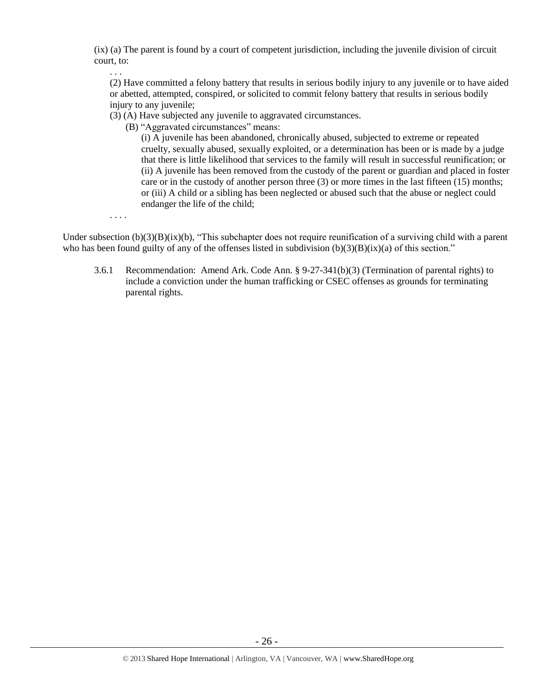(ix) (a) The parent is found by a court of competent jurisdiction, including the juvenile division of circuit court, to:

(2) Have committed a felony battery that results in serious bodily injury to any juvenile or to have aided or abetted, attempted, conspired, or solicited to commit felony battery that results in serious bodily injury to any juvenile;

(3) (A) Have subjected any juvenile to aggravated circumstances.

(B) "Aggravated circumstances" means:

(i) A juvenile has been abandoned, chronically abused, subjected to extreme or repeated cruelty, sexually abused, sexually exploited, or a determination has been or is made by a judge that there is little likelihood that services to the family will result in successful reunification; or (ii) A juvenile has been removed from the custody of the parent or guardian and placed in foster care or in the custody of another person three (3) or more times in the last fifteen (15) months; or (iii) A child or a sibling has been neglected or abused such that the abuse or neglect could endanger the life of the child;

. . . .

. . .

Under subsection  $(b)(3)(B)(ix)(b)$ , "This subchapter does not require reunification of a surviving child with a parent who has been found guilty of any of the offenses listed in subdivision  $(b)(3)(B)(ix)(a)$  of this section."

3.6.1 Recommendation: Amend Ark. Code Ann. § 9-27-341(b)(3) (Termination of parental rights) to include a conviction under the human trafficking or CSEC offenses as grounds for terminating parental rights.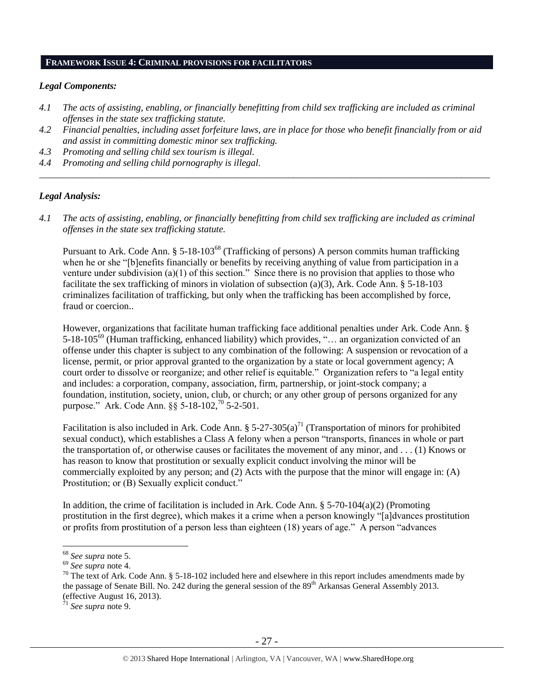#### **FRAMEWORK ISSUE 4: CRIMINAL PROVISIONS FOR FACILITATORS**

## *Legal Components:*

- *4.1 The acts of assisting, enabling, or financially benefitting from child sex trafficking are included as criminal offenses in the state sex trafficking statute.*
- *4.2 Financial penalties, including asset forfeiture laws, are in place for those who benefit financially from or aid and assist in committing domestic minor sex trafficking.*

*\_\_\_\_\_\_\_\_\_\_\_\_\_\_\_\_\_\_\_\_\_\_\_\_\_\_\_\_\_\_\_\_\_\_\_\_\_\_\_\_\_\_\_\_\_\_\_\_\_\_\_\_\_\_\_\_\_\_\_\_\_\_\_\_\_\_\_\_\_\_\_\_\_\_\_\_\_\_\_\_\_\_\_\_\_\_\_\_\_\_\_\_\_\_*

- *4.3 Promoting and selling child sex tourism is illegal.*
- *4.4 Promoting and selling child pornography is illegal.*

## *Legal Analysis:*

*4.1 The acts of assisting, enabling, or financially benefitting from child sex trafficking are included as criminal offenses in the state sex trafficking statute.*

Pursuant to Ark. Code Ann. § 5-18-103<sup>68</sup> (Trafficking of persons) A person commits human trafficking when he or she "[b]enefits financially or benefits by receiving anything of value from participation in a venture under subdivision (a)(1) of this section." Since there is no provision that applies to those who facilitate the sex trafficking of minors in violation of subsection (a)(3), Ark. Code Ann. § 5-18-103 criminalizes facilitation of trafficking, but only when the trafficking has been accomplished by force, fraud or coercion..

However, organizations that facilitate human trafficking face additional penalties under Ark. Code Ann. § 5-18-105<sup>69</sup> (Human trafficking, enhanced liability) which provides, "… an organization convicted of an offense under this chapter is subject to any combination of the following: A suspension or revocation of a license, permit, or prior approval granted to the organization by a state or local government agency; A court order to dissolve or reorganize; and other relief is equitable." Organization refers to "a legal entity and includes: a corporation, company, association, firm, partnership, or joint-stock company; a foundation, institution, society, union, club, or church; or any other group of persons organized for any purpose." Ark. Code Ann. §§ 5-18-102,<sup>70</sup> 5-2-501.

Facilitation is also included in Ark. Code Ann.  $\S 5-27-305(a)^{71}$  (Transportation of minors for prohibited sexual conduct), which establishes a Class A felony when a person "transports, finances in whole or part the transportation of, or otherwise causes or facilitates the movement of any minor, and . . . (1) Knows or has reason to know that prostitution or sexually explicit conduct involving the minor will be commercially exploited by any person; and (2) Acts with the purpose that the minor will engage in: (A) Prostitution; or (B) Sexually explicit conduct."

In addition, the crime of facilitation is included in Ark. Code Ann.  $\S$  5-70-104(a)(2) (Promoting prostitution in the first degree), which makes it a crime when a person knowingly "[a]dvances prostitution or profits from prostitution of a person less than eighteen (18) years of age." A person "advances

<sup>68</sup> *See supra* note [5.](#page-0-0)

<sup>69</sup> *See supra* note [4.](#page-0-2)

 $70$  The text of Ark. Code Ann. § 5-18-102 included here and elsewhere in this report includes amendments made by the passage of Senate Bill. No. 242 during the general session of the 89<sup>th</sup> Arkansas General Assembly 2013. (effective August 16, 2013).

<sup>71</sup> *See supra* note [9.](#page-2-0)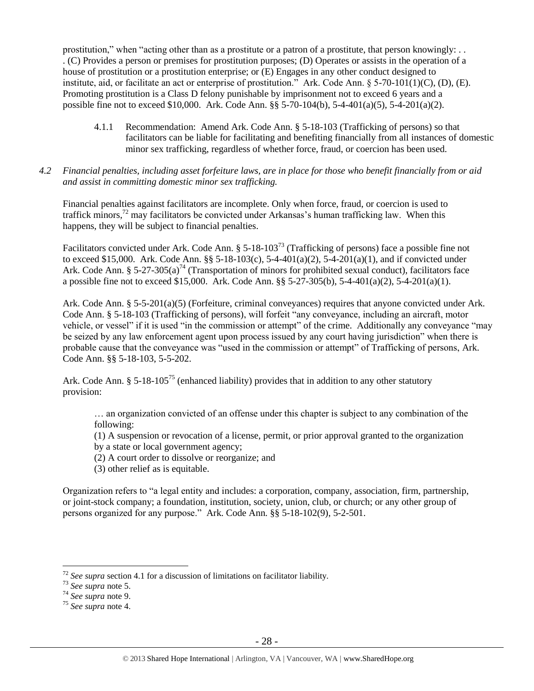prostitution," when "acting other than as a prostitute or a patron of a prostitute, that person knowingly: . . . (C) Provides a person or premises for prostitution purposes; (D) Operates or assists in the operation of a house of prostitution or a prostitution enterprise; or (E) Engages in any other conduct designed to institute, aid, or facilitate an act or enterprise of prostitution." Ark. Code Ann. § 5-70-101(1)(C), (D), (E). Promoting prostitution is a Class D felony punishable by imprisonment not to exceed 6 years and a possible fine not to exceed \$10,000. Ark. Code Ann. §§ 5-70-104(b), 5-4-401(a)(5), 5-4-201(a)(2).

- 4.1.1 Recommendation: Amend Ark. Code Ann. § 5-18-103 (Trafficking of persons) so that facilitators can be liable for facilitating and benefiting financially from all instances of domestic minor sex trafficking, regardless of whether force, fraud, or coercion has been used.
- *4.2 Financial penalties, including asset forfeiture laws, are in place for those who benefit financially from or aid and assist in committing domestic minor sex trafficking.*

Financial penalties against facilitators are incomplete. Only when force, fraud, or coercion is used to traffick minors,<sup>72</sup> may facilitators be convicted under Arkansas's human trafficking law. When this happens, they will be subject to financial penalties.

Facilitators convicted under Ark. Code Ann. § 5-18-103<sup>73</sup> (Trafficking of persons) face a possible fine not to exceed \$15,000. Ark. Code Ann. §§ 5-18-103(c), 5-4-401(a)(2), 5-4-201(a)(1), and if convicted under Ark. Code Ann. §  $5-27-305(a)^{74}$  (Transportation of minors for prohibited sexual conduct), facilitators face a possible fine not to exceed \$15,000. Ark. Code Ann. §§ 5-27-305(b), 5-4-401(a)(2), 5-4-201(a)(1).

Ark. Code Ann. § 5-5-201(a)(5) (Forfeiture, criminal conveyances) requires that anyone convicted under Ark. Code Ann. § 5-18-103 (Trafficking of persons), will forfeit "any conveyance, including an aircraft, motor vehicle, or vessel" if it is used "in the commission or attempt" of the crime. Additionally any conveyance "may be seized by any law enforcement agent upon process issued by any court having jurisdiction" when there is probable cause that the conveyance was "used in the commission or attempt" of Trafficking of persons, Ark. Code Ann. §§ 5-18-103, 5-5-202.

Ark. Code Ann. § 5-18-105<sup>75</sup> (enhanced liability) provides that in addition to any other statutory provision:

… an organization convicted of an offense under this chapter is subject to any combination of the following:

(1) A suspension or revocation of a license, permit, or prior approval granted to the organization

by a state or local government agency;

- (2) A court order to dissolve or reorganize; and
- (3) other relief as is equitable.

Organization refers to "a legal entity and includes: a corporation, company, association, firm, partnership, or joint-stock company; a foundation, institution, society, union, club, or church; or any other group of persons organized for any purpose." Ark. Code Ann. §§ 5-18-102(9), 5-2-501.

<sup>72</sup> *See supra* section 4.1 for a discussion of limitations on facilitator liability.

<sup>73</sup> *See supra* note [5.](#page-0-0)

<sup>74</sup> *See supra* note [9.](#page-2-0)

<sup>75</sup> *See supra* note [4.](#page-0-2)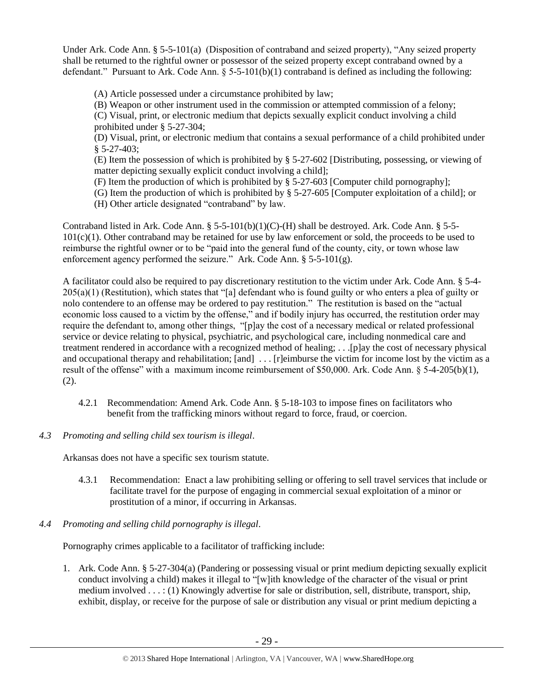Under Ark. Code Ann. § 5-5-101(a) (Disposition of contraband and seized property), "Any seized property shall be returned to the rightful owner or possessor of the seized property except contraband owned by a defendant." Pursuant to Ark. Code Ann.  $\S 5-5-101(b)(1)$  contraband is defined as including the following:

(A) Article possessed under a circumstance prohibited by law;

(B) Weapon or other instrument used in the commission or attempted commission of a felony;

(C) Visual, print, or electronic medium that depicts sexually explicit conduct involving a child prohibited under § 5-27-304;

(D) Visual, print, or electronic medium that contains a sexual performance of a child prohibited under § 5-27-403;

(E) Item the possession of which is prohibited by § 5-27-602 [Distributing, possessing, or viewing of matter depicting sexually explicit conduct involving a child];

(F) Item the production of which is prohibited by § 5-27-603 [Computer child pornography];

(G) Item the production of which is prohibited by § 5-27-605 [Computer exploitation of a child]; or

(H) Other article designated "contraband" by law.

Contraband listed in Ark. Code Ann. § 5-5-101(b)(1)(C)-(H) shall be destroyed. Ark. Code Ann. § 5-5-  $101(c)(1)$ . Other contraband may be retained for use by law enforcement or sold, the proceeds to be used to reimburse the rightful owner or to be "paid into the general fund of the county, city, or town whose law enforcement agency performed the seizure." Ark. Code Ann. § 5-5-101(g).

A facilitator could also be required to pay discretionary restitution to the victim under Ark. Code Ann. § 5-4- 205(a)(1) (Restitution), which states that "[a] defendant who is found guilty or who enters a plea of guilty or nolo contendere to an offense may be ordered to pay restitution." The restitution is based on the "actual economic loss caused to a victim by the offense," and if bodily injury has occurred, the restitution order may require the defendant to, among other things, "[p]ay the cost of a necessary medical or related professional service or device relating to physical, psychiatric, and psychological care, including nonmedical care and treatment rendered in accordance with a recognized method of healing; . . .[p]ay the cost of necessary physical and occupational therapy and rehabilitation; [and] ... [r]eimburse the victim for income lost by the victim as a result of the offense" with a maximum income reimbursement of \$50,000. Ark. Code Ann. § 5-4-205(b)(1), (2).

- 4.2.1 Recommendation: Amend Ark. Code Ann. § 5-18-103 to impose fines on facilitators who benefit from the trafficking minors without regard to force, fraud, or coercion.
- *4.3 Promoting and selling child sex tourism is illegal*.

Arkansas does not have a specific sex tourism statute.

- 4.3.1 Recommendation: Enact a law prohibiting selling or offering to sell travel services that include or facilitate travel for the purpose of engaging in commercial sexual exploitation of a minor or prostitution of a minor, if occurring in Arkansas.
- *4.4 Promoting and selling child pornography is illegal*.

Pornography crimes applicable to a facilitator of trafficking include:

1. Ark. Code Ann. § 5-27-304(a) (Pandering or possessing visual or print medium depicting sexually explicit conduct involving a child) makes it illegal to "[w]ith knowledge of the character of the visual or print medium involved . . . : (1) Knowingly advertise for sale or distribution, sell, distribute, transport, ship, exhibit, display, or receive for the purpose of sale or distribution any visual or print medium depicting a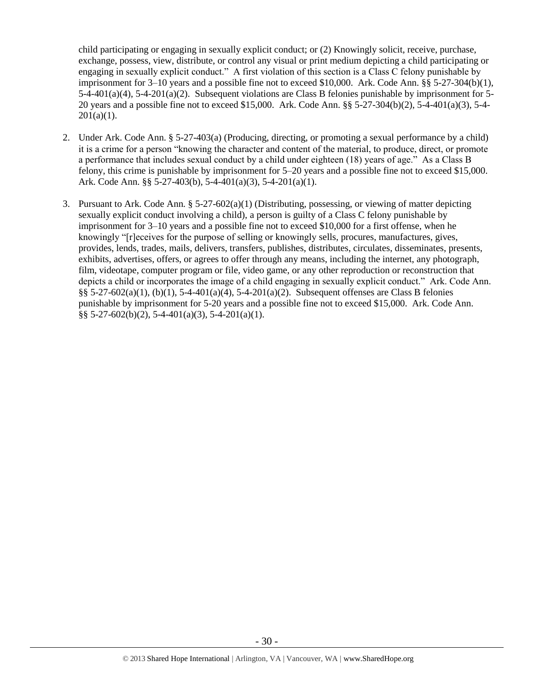child participating or engaging in sexually explicit conduct; or (2) Knowingly solicit, receive, purchase, exchange, possess, view, distribute, or control any visual or print medium depicting a child participating or engaging in sexually explicit conduct." A first violation of this section is a Class C felony punishable by imprisonment for 3–10 years and a possible fine not to exceed \$10,000. Ark. Code Ann. §§ 5-27-304(b)(1), 5-4-401(a)(4), 5-4-201(a)(2). Subsequent violations are Class B felonies punishable by imprisonment for 5- 20 years and a possible fine not to exceed \$15,000. Ark. Code Ann. §§ 5-27-304(b)(2), 5-4-401(a)(3), 5-4-  $201(a)(1)$ .

- 2. Under Ark. Code Ann. § 5-27-403(a) (Producing, directing, or promoting a sexual performance by a child) it is a crime for a person "knowing the character and content of the material, to produce, direct, or promote a performance that includes sexual conduct by a child under eighteen (18) years of age." As a Class B felony, this crime is punishable by imprisonment for 5–20 years and a possible fine not to exceed \$15,000. Ark. Code Ann. §§ 5-27-403(b), 5-4-401(a)(3), 5-4-201(a)(1).
- 3. Pursuant to Ark. Code Ann. § 5-27-602(a)(1) (Distributing, possessing, or viewing of matter depicting sexually explicit conduct involving a child), a person is guilty of a Class C felony punishable by imprisonment for 3–10 years and a possible fine not to exceed \$10,000 for a first offense, when he knowingly "[r]eceives for the purpose of selling or knowingly sells, procures, manufactures, gives, provides, lends, trades, mails, delivers, transfers, publishes, distributes, circulates, disseminates, presents, exhibits, advertises, offers, or agrees to offer through any means, including the internet, any photograph, film, videotape, computer program or file, video game, or any other reproduction or reconstruction that depicts a child or incorporates the image of a child engaging in sexually explicit conduct." Ark. Code Ann. §§ 5-27-602(a)(1), (b)(1), 5-4-401(a)(4), 5-4-201(a)(2). Subsequent offenses are Class B felonies punishable by imprisonment for 5-20 years and a possible fine not to exceed \$15,000. Ark. Code Ann. §§ 5-27-602(b)(2), 5-4-401(a)(3), 5-4-201(a)(1).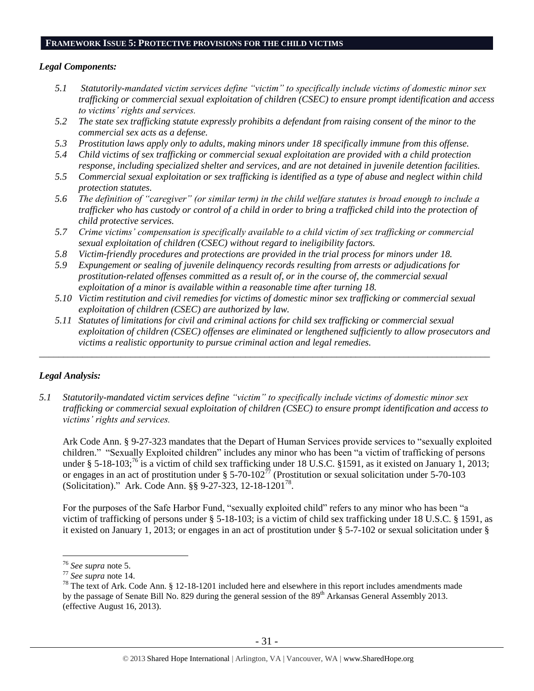#### **FRAMEWORK ISSUE 5: PROTECTIVE PROVISIONS FOR THE CHILD VICTIMS**

#### *Legal Components:*

- *5.1 Statutorily-mandated victim services define "victim" to specifically include victims of domestic minor sex trafficking or commercial sexual exploitation of children (CSEC) to ensure prompt identification and access to victims' rights and services.*
- *5.2 The state sex trafficking statute expressly prohibits a defendant from raising consent of the minor to the commercial sex acts as a defense.*
- *5.3 Prostitution laws apply only to adults, making minors under 18 specifically immune from this offense.*
- *5.4 Child victims of sex trafficking or commercial sexual exploitation are provided with a child protection response, including specialized shelter and services, and are not detained in juvenile detention facilities.*
- *5.5 Commercial sexual exploitation or sex trafficking is identified as a type of abuse and neglect within child protection statutes.*
- *5.6 The definition of "caregiver" (or similar term) in the child welfare statutes is broad enough to include a trafficker who has custody or control of a child in order to bring a trafficked child into the protection of child protective services.*
- *5.7 Crime victims' compensation is specifically available to a child victim of sex trafficking or commercial sexual exploitation of children (CSEC) without regard to ineligibility factors.*
- *5.8 Victim-friendly procedures and protections are provided in the trial process for minors under 18.*
- *5.9 Expungement or sealing of juvenile delinquency records resulting from arrests or adjudications for prostitution-related offenses committed as a result of, or in the course of, the commercial sexual exploitation of a minor is available within a reasonable time after turning 18.*
- *5.10 Victim restitution and civil remedies for victims of domestic minor sex trafficking or commercial sexual exploitation of children (CSEC) are authorized by law.*

*\_\_\_\_\_\_\_\_\_\_\_\_\_\_\_\_\_\_\_\_\_\_\_\_\_\_\_\_\_\_\_\_\_\_\_\_\_\_\_\_\_\_\_\_\_\_\_\_\_\_\_\_\_\_\_\_\_\_\_\_\_\_\_\_\_\_\_\_\_\_\_\_\_\_\_\_\_\_\_\_\_\_\_\_\_\_\_\_\_\_\_\_\_\_*

*5.11 Statutes of limitations for civil and criminal actions for child sex trafficking or commercial sexual exploitation of children (CSEC) offenses are eliminated or lengthened sufficiently to allow prosecutors and victims a realistic opportunity to pursue criminal action and legal remedies.*

## *Legal Analysis:*

*5.1 Statutorily-mandated victim services define "victim" to specifically include victims of domestic minor sex trafficking or commercial sexual exploitation of children (CSEC) to ensure prompt identification and access to victims' rights and services.* 

Ark Code Ann. § 9-27-323 mandates that the Depart of Human Services provide services to "sexually exploited children." "Sexually Exploited children" includes any minor who has been "a victim of trafficking of persons under § 5-18-103;<sup>76</sup> is a victim of child sex trafficking under 18 U.S.C. §1591, as it existed on January 1, 2013; or engages in an act of prostitution under § 5-70-102 $^{77}$  (Prostitution or sexual solicitation under 5-70-103 (Solicitation)." Ark. Code Ann. §§ 9-27-323, 12-18-1201<sup>78</sup>.

For the purposes of the Safe Harbor Fund, "sexually exploited child" refers to any minor who has been "a victim of trafficking of persons under § 5-18-103; is a victim of child sex trafficking under 18 U.S.C. § 1591, as it existed on January 1, 2013; or engages in an act of prostitution under § 5-7-102 or sexual solicitation under §

<sup>76</sup> *See supra* note [5.](#page-0-0)

<sup>77</sup> *See supra* note [14.](#page-5-0)

<sup>&</sup>lt;sup>78</sup> The text of Ark. Code Ann. § 12-18-1201 included here and elsewhere in this report includes amendments made by the passage of Senate Bill No. 829 during the general session of the 89<sup>th</sup> Arkansas General Assembly 2013. (effective August 16, 2013).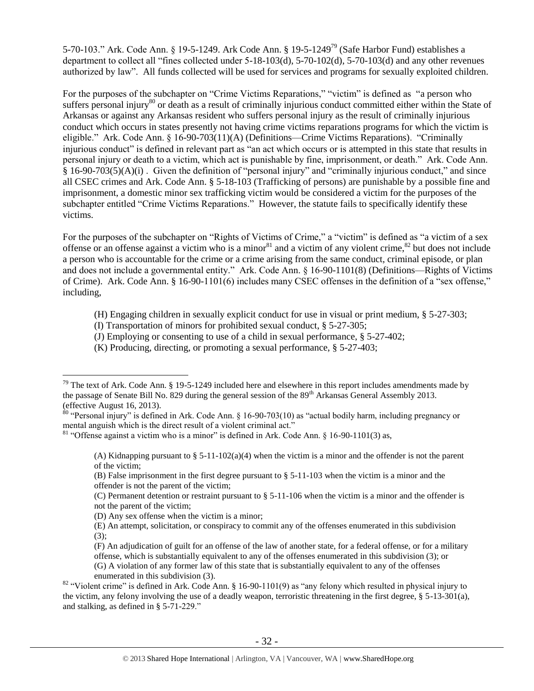5-70-103." Ark. Code Ann. § 19-5-1249. Ark Code Ann. § 19-5-1249<sup>79</sup> (Safe Harbor Fund) establishes a department to collect all "fines collected under 5-18-103(d), 5-70-102(d), 5-70-103(d) and any other revenues authorized by law". All funds collected will be used for services and programs for sexually exploited children.

For the purposes of the subchapter on "Crime Victims Reparations," "victim" is defined as "a person who suffers personal injury<sup>80</sup> or death as a result of criminally injurious conduct committed either within the State of Arkansas or against any Arkansas resident who suffers personal injury as the result of criminally injurious conduct which occurs in states presently not having crime victims reparations programs for which the victim is eligible." Ark. Code Ann. § 16-90-703(11)(A) (Definitions—Crime Victims Reparations). "Criminally injurious conduct" is defined in relevant part as "an act which occurs or is attempted in this state that results in personal injury or death to a victim, which act is punishable by fine, imprisonment, or death." Ark. Code Ann. § 16-90-703(5)(A)(i) . Given the definition of "personal injury" and "criminally injurious conduct," and since all CSEC crimes and Ark. Code Ann. § 5-18-103 (Trafficking of persons) are punishable by a possible fine and imprisonment, a domestic minor sex trafficking victim would be considered a victim for the purposes of the subchapter entitled "Crime Victims Reparations." However, the statute fails to specifically identify these victims.

For the purposes of the subchapter on "Rights of Victims of Crime," a "victim" is defined as "a victim of a sex offense or an offense against a victim who is a minor<sup>81</sup> and a victim of any violent crime,<sup>82</sup> but does not include a person who is accountable for the crime or a crime arising from the same conduct, criminal episode, or plan and does not include a governmental entity." Ark. Code Ann. § 16-90-1101(8) (Definitions—Rights of Victims of Crime). Ark. Code Ann. § 16-90-1101(6) includes many CSEC offenses in the definition of a "sex offense," including,

- (H) Engaging children in sexually explicit conduct for use in visual or print medium, § 5-27-303;
- (I) Transportation of minors for prohibited sexual conduct, § 5-27-305;
- (J) Employing or consenting to use of a child in sexual performance, § 5-27-402;
- (K) Producing, directing, or promoting a sexual performance, § 5-27-403;

 $80$  "Personal injury" is defined in Ark. Code Ann. § 16-90-703(10) as "actual bodily harm, including pregnancy or mental anguish which is the direct result of a violent criminal act."

 $\overline{a}$ 

(F) An adjudication of guilt for an offense of the law of another state, for a federal offense, or for a military offense, which is substantially equivalent to any of the offenses enumerated in this subdivision (3); or

 $79$  The text of Ark. Code Ann. § 19-5-1249 included here and elsewhere in this report includes amendments made by the passage of Senate Bill No. 829 during the general session of the 89<sup>th</sup> Arkansas General Assembly 2013. (effective August 16, 2013).

 $81$  "Offense against a victim who is a minor" is defined in Ark. Code Ann. § 16-90-1101(3) as,

<sup>(</sup>A) Kidnapping pursuant to  $\S 5-11-102(a)(4)$  when the victim is a minor and the offender is not the parent of the victim;

<sup>(</sup>B) False imprisonment in the first degree pursuant to § 5-11-103 when the victim is a minor and the offender is not the parent of the victim;

<sup>(</sup>C) Permanent detention or restraint pursuant to § 5-11-106 when the victim is a minor and the offender is not the parent of the victim;

<sup>(</sup>D) Any sex offense when the victim is a minor;

<sup>(</sup>E) An attempt, solicitation, or conspiracy to commit any of the offenses enumerated in this subdivision  $(3)$ ;

<sup>(</sup>G) A violation of any former law of this state that is substantially equivalent to any of the offenses enumerated in this subdivision (3).

<sup>&</sup>lt;sup>82</sup> "Violent crime" is defined in Ark. Code Ann. § 16-90-1101(9) as "any felony which resulted in physical injury to the victim, any felony involving the use of a deadly weapon, terroristic threatening in the first degree, § 5-13-301(a), and stalking, as defined in § 5-71-229."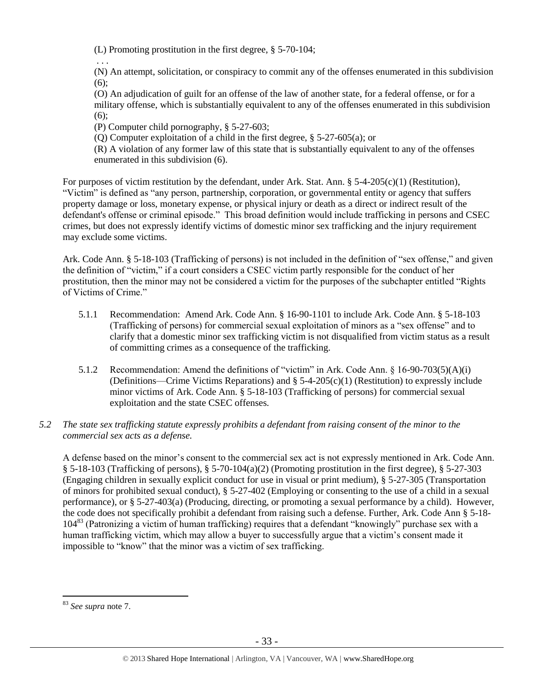(L) Promoting prostitution in the first degree, § 5-70-104;

(N) An attempt, solicitation, or conspiracy to commit any of the offenses enumerated in this subdivision (6);

(O) An adjudication of guilt for an offense of the law of another state, for a federal offense, or for a military offense, which is substantially equivalent to any of the offenses enumerated in this subdivision (6);

(P) Computer child pornography, § 5-27-603;

. . .

(Q) Computer exploitation of a child in the first degree, § 5-27-605(a); or

(R) A violation of any former law of this state that is substantially equivalent to any of the offenses enumerated in this subdivision (6).

For purposes of victim restitution by the defendant, under Ark. Stat. Ann. § 5-4-205(c)(1) (Restitution), "Victim" is defined as "any person, partnership, corporation, or governmental entity or agency that suffers property damage or loss, monetary expense, or physical injury or death as a direct or indirect result of the defendant's offense or criminal episode." This broad definition would include trafficking in persons and CSEC crimes, but does not expressly identify victims of domestic minor sex trafficking and the injury requirement may exclude some victims.

Ark. Code Ann. § 5-18-103 (Trafficking of persons) is not included in the definition of "sex offense," and given the definition of "victim," if a court considers a CSEC victim partly responsible for the conduct of her prostitution, then the minor may not be considered a victim for the purposes of the subchapter entitled "Rights of Victims of Crime."

- 5.1.1 Recommendation: Amend Ark. Code Ann. § 16-90-1101 to include Ark. Code Ann. § 5-18-103 (Trafficking of persons) for commercial sexual exploitation of minors as a "sex offense" and to clarify that a domestic minor sex trafficking victim is not disqualified from victim status as a result of committing crimes as a consequence of the trafficking.
- 5.1.2 Recommendation: Amend the definitions of "victim" in Ark. Code Ann. § 16-90-703(5)(A)(i) (Definitions—Crime Victims Reparations) and  $\S$  5-4-205(c)(1) (Restitution) to expressly include minor victims of Ark. Code Ann. § 5-18-103 (Trafficking of persons) for commercial sexual exploitation and the state CSEC offenses.
- *5.2 The state sex trafficking statute expressly prohibits a defendant from raising consent of the minor to the commercial sex acts as a defense.*

A defense based on the minor's consent to the commercial sex act is not expressly mentioned in Ark. Code Ann.  $\S$  5-18-103 (Trafficking of persons),  $\S$  5-70-104(a)(2) (Promoting prostitution in the first degree),  $\S$  5-27-303 (Engaging children in sexually explicit conduct for use in visual or print medium), § 5-27-305 (Transportation of minors for prohibited sexual conduct), § 5-27-402 (Employing or consenting to the use of a child in a sexual performance), or § 5-27-403(a) (Producing, directing, or promoting a sexual performance by a child). However, the code does not specifically prohibit a defendant from raising such a defense. Further, Ark. Code Ann § 5-18-  $104^{83}$  (Patronizing a victim of human trafficking) requires that a defendant "knowingly" purchase sex with a human trafficking victim, which may allow a buyer to successfully argue that a victim's consent made it impossible to "know" that the minor was a victim of sex trafficking.

<sup>83</sup> *See supra* note 7.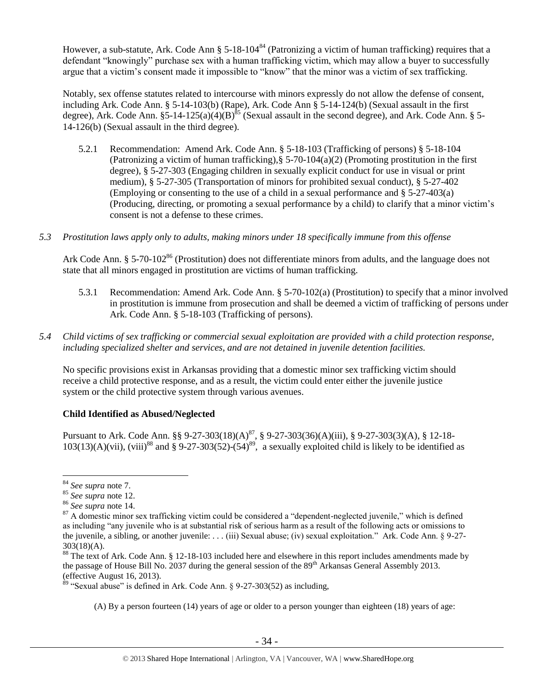However, a sub-statute, Ark. Code Ann §  $5-18-104^{84}$  (Patronizing a victim of human trafficking) requires that a defendant "knowingly" purchase sex with a human trafficking victim, which may allow a buyer to successfully argue that a victim's consent made it impossible to "know" that the minor was a victim of sex trafficking.

Notably, sex offense statutes related to intercourse with minors expressly do not allow the defense of consent, including Ark. Code Ann. § 5-14-103(b) (Rape), Ark. Code Ann § 5-14-124(b) (Sexual assault in the first degree), Ark. Code Ann.  $\S$ 5-14-125(a)(4)(B)<sup>85</sup> (Sexual assault in the second degree), and Ark. Code Ann. § 5-14-126(b) (Sexual assault in the third degree).

- 5.2.1 Recommendation: Amend Ark. Code Ann. § 5-18-103 (Trafficking of persons) § 5-18-104 (Patronizing a victim of human trafficking),  $\S 5-70-104(a)(2)$  (Promoting prostitution in the first degree), § 5-27-303 (Engaging children in sexually explicit conduct for use in visual or print medium), § 5-27-305 (Transportation of minors for prohibited sexual conduct), § 5-27-402 (Employing or consenting to the use of a child in a sexual performance and § 5-27-403(a) (Producing, directing, or promoting a sexual performance by a child) to clarify that a minor victim's consent is not a defense to these crimes.
- *5.3 Prostitution laws apply only to adults, making minors under 18 specifically immune from this offense*

Ark Code Ann. § 5-70-102<sup>86</sup> (Prostitution) does not differentiate minors from adults, and the language does not state that all minors engaged in prostitution are victims of human trafficking.

- 5.3.1 Recommendation: Amend Ark. Code Ann. § 5-70-102(a) (Prostitution) to specify that a minor involved in prostitution is immune from prosecution and shall be deemed a victim of trafficking of persons under Ark. Code Ann. § 5-18-103 (Trafficking of persons).
- *5.4 Child victims of sex trafficking or commercial sexual exploitation are provided with a child protection response, including specialized shelter and services, and are not detained in juvenile detention facilities.*

No specific provisions exist in Arkansas providing that a domestic minor sex trafficking victim should receive a child protective response, and as a result, the victim could enter either the juvenile justice system or the child protective system through various avenues.

## **Child Identified as Abused/Neglected**

<span id="page-33-0"></span>Pursuant to Ark. Code Ann. §§ 9-27-303(18)(A)<sup>87</sup>, § 9-27-303(36)(A)(iii), § 9-27-303(3)(A), § 12-18- $103(13)(A)(vii)$ , (viii)<sup>88</sup> and § 9-27-303(52)-(54)<sup>89</sup>, a sexually exploited child is likely to be identified as

 $\overline{a}$ 

(A) By a person fourteen (14) years of age or older to a person younger than eighteen (18) years of age:

<sup>84</sup> *See supra* note 7.

<sup>85</sup> *See supra* note [12.](#page-4-0)

<sup>86</sup> *See supra* note [14.](#page-5-0)

 $87$  A domestic minor sex trafficking victim could be considered a "dependent-neglected juvenile," which is defined as including "any juvenile who is at substantial risk of serious harm as a result of the following acts or omissions to the juvenile, a sibling, or another juvenile: . . . (iii) Sexual abuse; (iv) sexual exploitation." Ark. Code Ann. § 9-27-  $303(18)(A)$ .

<sup>88</sup> The text of Ark. Code Ann. § 12-18-103 included here and elsewhere in this report includes amendments made by the passage of House Bill No. 2037 during the general session of the  $89<sup>th</sup>$  Arkansas General Assembly 2013. (effective August 16, 2013).

 $89$  "Sexual abuse" is defined in Ark. Code Ann. § 9-27-303(52) as including,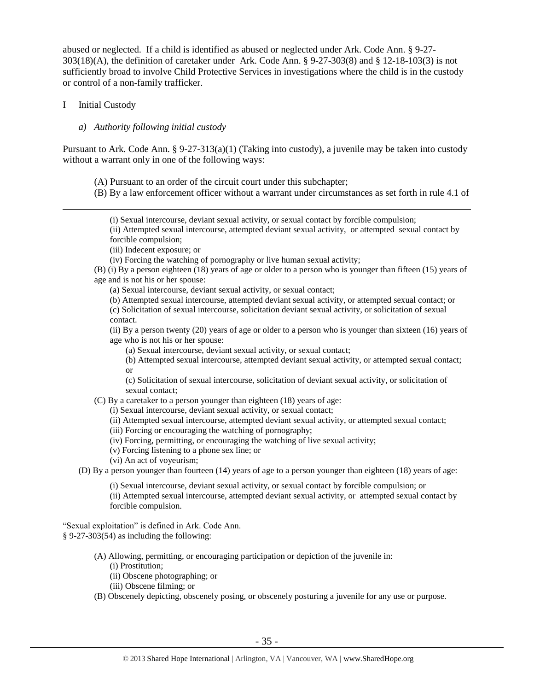abused or neglected. If a child is identified as abused or neglected under Ark. Code Ann. § 9-27- 303(18)(A), the definition of caretaker under Ark. Code Ann. § 9-27-303(8) and § 12-18-103(3) is not sufficiently broad to involve Child Protective Services in investigations where the child is in the custody or control of a non-family trafficker.

#### I Initial Custody

 $\overline{a}$ 

#### *a) Authority following initial custody*

Pursuant to Ark. Code Ann. § 9-27-313(a)(1) (Taking into custody), a juvenile may be taken into custody without a warrant only in one of the following ways:

(A) Pursuant to an order of the circuit court under this subchapter;

(B) By a law enforcement officer without a warrant under circumstances as set forth in rule 4.1 of

(i) Sexual intercourse, deviant sexual activity, or sexual contact by forcible compulsion;

(ii) Attempted sexual intercourse, attempted deviant sexual activity, or attempted sexual contact by forcible compulsion;

(iii) Indecent exposure; or

(iv) Forcing the watching of pornography or live human sexual activity;

(B) (i) By a person eighteen (18) years of age or older to a person who is younger than fifteen (15) years of age and is not his or her spouse:

(a) Sexual intercourse, deviant sexual activity, or sexual contact;

(b) Attempted sexual intercourse, attempted deviant sexual activity, or attempted sexual contact; or

(c) Solicitation of sexual intercourse, solicitation deviant sexual activity, or solicitation of sexual contact.

(ii) By a person twenty (20) years of age or older to a person who is younger than sixteen (16) years of age who is not his or her spouse:

(a) Sexual intercourse, deviant sexual activity, or sexual contact;

(b) Attempted sexual intercourse, attempted deviant sexual activity, or attempted sexual contact; or

(c) Solicitation of sexual intercourse, solicitation of deviant sexual activity, or solicitation of sexual contact;

(C) By a caretaker to a person younger than eighteen (18) years of age:

(i) Sexual intercourse, deviant sexual activity, or sexual contact;

(ii) Attempted sexual intercourse, attempted deviant sexual activity, or attempted sexual contact;

(iii) Forcing or encouraging the watching of pornography;

(iv) Forcing, permitting, or encouraging the watching of live sexual activity;

(v) Forcing listening to a phone sex line; or

(vi) An act of voyeurism;

(D) By a person younger than fourteen (14) years of age to a person younger than eighteen (18) years of age:

(i) Sexual intercourse, deviant sexual activity, or sexual contact by forcible compulsion; or

(ii) Attempted sexual intercourse, attempted deviant sexual activity, or attempted sexual contact by forcible compulsion.

"Sexual exploitation" is defined in Ark. Code Ann. § 9-27-303(54) as including the following:

- (A) Allowing, permitting, or encouraging participation or depiction of the juvenile in:
	- (i) Prostitution;
	- (ii) Obscene photographing; or
	- (iii) Obscene filming; or

(B) Obscenely depicting, obscenely posing, or obscenely posturing a juvenile for any use or purpose.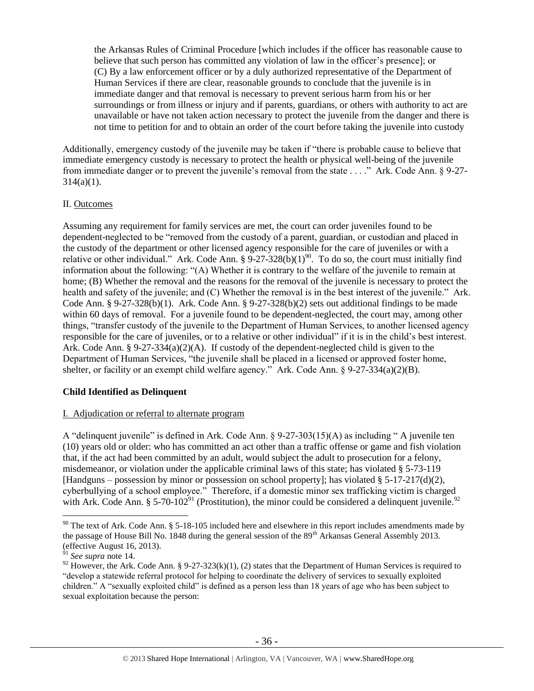the Arkansas Rules of Criminal Procedure [which includes if the officer has reasonable cause to believe that such person has committed any violation of law in the officer's presence]; or (C) By a law enforcement officer or by a duly authorized representative of the Department of Human Services if there are clear, reasonable grounds to conclude that the juvenile is in immediate danger and that removal is necessary to prevent serious harm from his or her surroundings or from illness or injury and if parents, guardians, or others with authority to act are unavailable or have not taken action necessary to protect the juvenile from the danger and there is not time to petition for and to obtain an order of the court before taking the juvenile into custody

Additionally, emergency custody of the juvenile may be taken if "there is probable cause to believe that immediate emergency custody is necessary to protect the health or physical well-being of the juvenile from immediate danger or to prevent the juvenile's removal from the state . . . ." Ark. Code Ann. § 9-27-  $314(a)(1)$ .

## II. Outcomes

Assuming any requirement for family services are met, the court can order juveniles found to be dependent-neglected to be "removed from the custody of a parent, guardian, or custodian and placed in the custody of the department or other licensed agency responsible for the care of juveniles or with a relative or other individual." Ark. Code Ann.  $\S 9-27-328(b)(1)^{90}$ . To do so, the court must initially find information about the following: "(A) Whether it is contrary to the welfare of the juvenile to remain at home; (B) Whether the removal and the reasons for the removal of the juvenile is necessary to protect the health and safety of the juvenile; and (C) Whether the removal is in the best interest of the juvenile." Ark. Code Ann. §  $9-27-328(b)(1)$ . Ark. Code Ann. §  $9-27-328(b)(2)$  sets out additional findings to be made within 60 days of removal. For a juvenile found to be dependent-neglected, the court may, among other things, "transfer custody of the juvenile to the Department of Human Services, to another licensed agency responsible for the care of juveniles, or to a relative or other individual" if it is in the child's best interest. Ark. Code Ann. § 9-27-334(a)(2)(A). If custody of the dependent-neglected child is given to the Department of Human Services, "the juvenile shall be placed in a licensed or approved foster home, shelter, or facility or an exempt child welfare agency." Ark. Code Ann. § 9-27-334(a)(2)(B).

# **Child Identified as Delinquent**

## I. Adjudication or referral to alternate program

A "delinquent juvenile" is defined in Ark. Code Ann. § 9-27-303(15)(A) as including " A juvenile ten (10) years old or older: who has committed an act other than a traffic offense or game and fish violation that, if the act had been committed by an adult, would subject the adult to prosecution for a felony, misdemeanor, or violation under the applicable criminal laws of this state; has violated § 5-73-119 [Handguns – possession by minor or possession on school property]; has violated § 5-17-217(d)(2), cyberbullying of a school employee." Therefore, if a domestic minor sex trafficking victim is charged with Ark. Code Ann. § 5-70-102<sup>91</sup> (Prostitution), the minor could be considered a delinquent juvenile.<sup>92</sup>

 $90$  The text of Ark. Code Ann. § 5-18-105 included here and elsewhere in this report includes amendments made by the passage of House Bill No. 1848 during the general session of the 89<sup>th</sup> Arkansas General Assembly 2013. (effective August 16, 2013).

<sup>91</sup> *See supra* note [14.](#page-5-0)

<sup>&</sup>lt;sup>92</sup> However, the Ark. Code Ann. § 9-27-323(k)(1), (2) states that the Department of Human Services is required to "develop a statewide referral protocol for helping to coordinate the delivery of services to sexually exploited children." A "sexually exploited child" is defined as a person less than 18 years of age who has been subject to sexual exploitation because the person: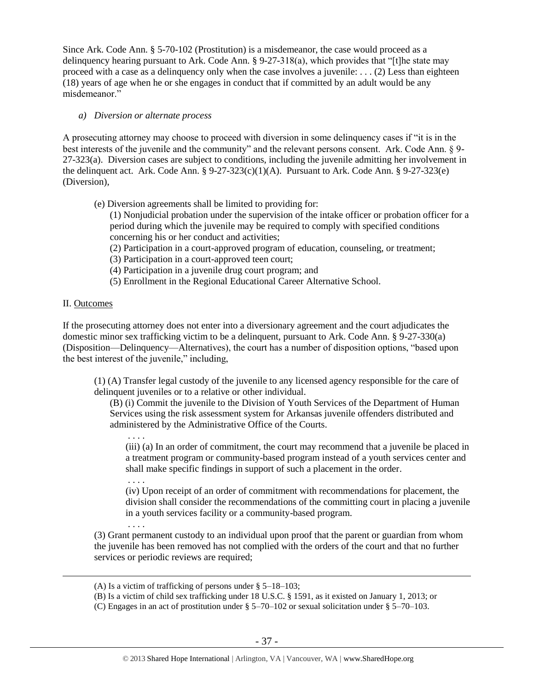Since Ark. Code Ann. § 5-70-102 (Prostitution) is a misdemeanor, the case would proceed as a delinquency hearing pursuant to Ark. Code Ann. § 9-27-318(a), which provides that "[t]he state may proceed with a case as a delinquency only when the case involves a juvenile: . . . (2) Less than eighteen (18) years of age when he or she engages in conduct that if committed by an adult would be any misdemeanor."

## *a) Diversion or alternate process*

. . . .

A prosecuting attorney may choose to proceed with diversion in some delinquency cases if "it is in the best interests of the juvenile and the community" and the relevant persons consent. Ark. Code Ann. § 9- 27-323(a). Diversion cases are subject to conditions, including the juvenile admitting her involvement in the delinquent act. Ark. Code Ann.  $\S 9-27-323(c)(1)(A)$ . Pursuant to Ark. Code Ann.  $\S 9-27-323(e)$ (Diversion),

(e) Diversion agreements shall be limited to providing for:

(1) Nonjudicial probation under the supervision of the intake officer or probation officer for a period during which the juvenile may be required to comply with specified conditions concerning his or her conduct and activities;

- (2) Participation in a court-approved program of education, counseling, or treatment;
- (3) Participation in a court-approved teen court;
- (4) Participation in a juvenile drug court program; and
- (5) Enrollment in the Regional Educational Career Alternative School.

## II. Outcomes

 $\overline{a}$ 

If the prosecuting attorney does not enter into a diversionary agreement and the court adjudicates the domestic minor sex trafficking victim to be a delinquent, pursuant to Ark. Code Ann. § 9-27-330(a) (Disposition—Delinquency—Alternatives), the court has a number of disposition options, "based upon the best interest of the juvenile," including,

(1) (A) Transfer legal custody of the juvenile to any licensed agency responsible for the care of delinquent juveniles or to a relative or other individual.

(B) (i) Commit the juvenile to the Division of Youth Services of the Department of Human Services using the risk assessment system for Arkansas juvenile offenders distributed and administered by the Administrative Office of the Courts.

(iii) (a) In an order of commitment, the court may recommend that a juvenile be placed in a treatment program or community-based program instead of a youth services center and shall make specific findings in support of such a placement in the order.

(iv) Upon receipt of an order of commitment with recommendations for placement, the division shall consider the recommendations of the committing court in placing a juvenile in a youth services facility or a community-based program.

. . . . (3) Grant permanent custody to an individual upon proof that the parent or guardian from whom the juvenile has been removed has not complied with the orders of the court and that no further services or periodic reviews are required;

<sup>(</sup>A) Is a victim of trafficking of persons under § 5–18–103;

<sup>(</sup>B) Is a victim of child sex trafficking under 18 U.S.C. § 1591, as it existed on January 1, 2013; or

<sup>(</sup>C) Engages in an act of prostitution under § 5–70–102 or sexual solicitation under § 5–70–103.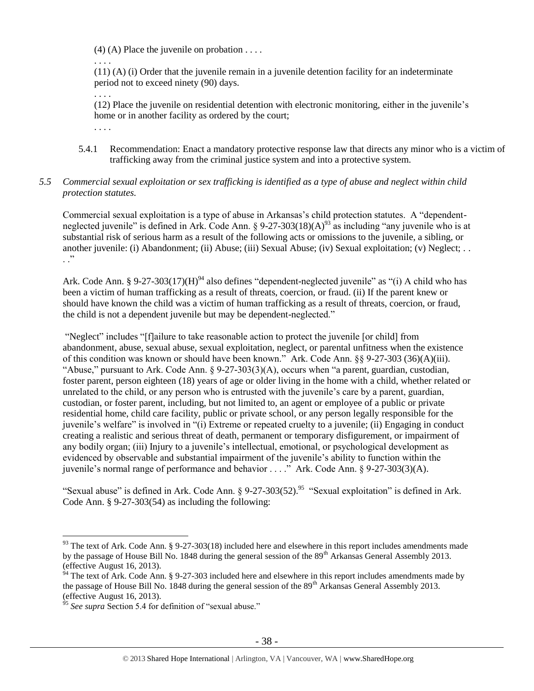$(4)$  (A) Place the juvenile on probation . . . .

 $(11)$  (A) (i) Order that the juvenile remain in a juvenile detention facility for an indeterminate period not to exceed ninety (90) days.

(12) Place the juvenile on residential detention with electronic monitoring, either in the juvenile's home or in another facility as ordered by the court;

. . . .

. . . .

. . . .

5.4.1 Recommendation: Enact a mandatory protective response law that directs any minor who is a victim of trafficking away from the criminal justice system and into a protective system.

# *5.5 Commercial sexual exploitation or sex trafficking is identified as a type of abuse and neglect within child protection statutes.*

Commercial sexual exploitation is a type of abuse in Arkansas's child protection statutes. A "dependentneglected juvenile" is defined in Ark. Code Ann.  $\S 9-27-303(18)(A)^{93}$  as including "any juvenile who is at substantial risk of serious harm as a result of the following acts or omissions to the juvenile, a sibling, or another juvenile: (i) Abandonment; (ii) Abuse; (iii) Sexual Abuse; (iv) Sexual exploitation; (v) Neglect; . .  $\cdot$  .  $\cdot$ 

Ark. Code Ann. § 9-27-303(17)(H)<sup>94</sup> also defines "dependent-neglected juvenile" as "(i) A child who has been a victim of human trafficking as a result of threats, coercion, or fraud. (ii) If the parent knew or should have known the child was a victim of human trafficking as a result of threats, coercion, or fraud, the child is not a dependent juvenile but may be dependent-neglected."

"Neglect" includes "[f]ailure to take reasonable action to protect the juvenile [or child] from abandonment, abuse, sexual abuse, sexual exploitation, neglect, or parental unfitness when the existence of this condition was known or should have been known." Ark. Code Ann. §§ 9-27-303 (36)(A)(iii). "Abuse," pursuant to Ark. Code Ann. § 9-27-303(3)(A), occurs when "a parent, guardian, custodian, foster parent, person eighteen (18) years of age or older living in the home with a child, whether related or unrelated to the child, or any person who is entrusted with the juvenile's care by a parent, guardian, custodian, or foster parent, including, but not limited to, an agent or employee of a public or private residential home, child care facility, public or private school, or any person legally responsible for the juvenile's welfare" is involved in "(i) Extreme or repeated cruelty to a juvenile; (ii) Engaging in conduct creating a realistic and serious threat of death, permanent or temporary disfigurement, or impairment of any bodily organ; (iii) Injury to a juvenile's intellectual, emotional, or psychological development as evidenced by observable and substantial impairment of the juvenile's ability to function within the juvenile's normal range of performance and behavior . . . ." Ark. Code Ann. § 9-27-303(3)(A).

"Sexual abuse" is defined in Ark. Code Ann. § 9-27-303(52).<sup>95</sup> "Sexual exploitation" is defined in Ark. Code Ann. § 9-27-303(54) as including the following:

 $93$  The text of Ark. Code Ann. § 9-27-303(18) included here and elsewhere in this report includes amendments made by the passage of House Bill No. 1848 during the general session of the 89<sup>th</sup> Arkansas General Assembly 2013. (effective August 16, 2013).

 $^{94}$  The text of Ark. Code Ann. § 9-27-303 included here and elsewhere in this report includes amendments made by the passage of House Bill No. 1848 during the general session of the 89<sup>th</sup> Arkansas General Assembly 2013. (effective August 16, 2013).

<sup>&</sup>lt;sup>95</sup> See supra Section 5.4 for definition of "sexual abuse."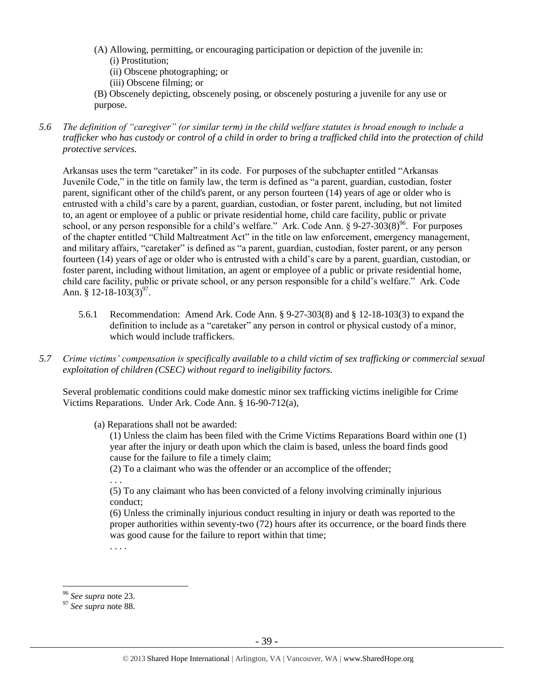- (A) Allowing, permitting, or encouraging participation or depiction of the juvenile in: (i) Prostitution;
	- (ii) Obscene photographing; or
	- (iii) Obscene filming; or
- (B) Obscenely depicting, obscenely posing, or obscenely posturing a juvenile for any use or purpose.
- *5.6 The definition of "caregiver" (or similar term) in the child welfare statutes is broad enough to include a trafficker who has custody or control of a child in order to bring a trafficked child into the protection of child protective services.*

Arkansas uses the term "caretaker" in its code. For purposes of the subchapter entitled "Arkansas Juvenile Code," in the title on family law, the term is defined as "a parent, guardian, custodian, foster parent, significant other of the child's parent, or any person fourteen (14) years of age or older who is entrusted with a child's care by a parent, guardian, custodian, or foster parent, including, but not limited to, an agent or employee of a public or private residential home, child care facility, public or private school, or any person responsible for a child's welfare." Ark. Code Ann. §  $9-27-303(8)^{96}$ . For purposes of the chapter entitled "Child Maltreatment Act" in the title on law enforcement, emergency management, and military affairs, "caretaker" is defined as "a parent, guardian, custodian, foster parent, or any person fourteen (14) years of age or older who is entrusted with a child's care by a parent, guardian, custodian, or foster parent, including without limitation, an agent or employee of a public or private residential home, child care facility, public or private school, or any person responsible for a child's welfare." Ark. Code Ann. § 12-18-103 $(3)^{97}$ .

- 5.6.1 Recommendation: Amend Ark. Code Ann. § 9-27-303(8) and § 12-18-103(3) to expand the definition to include as a "caretaker" any person in control or physical custody of a minor, which would include traffickers.
- *5.7 Crime victims' compensation is specifically available to a child victim of sex trafficking or commercial sexual exploitation of children (CSEC) without regard to ineligibility factors.*

Several problematic conditions could make domestic minor sex trafficking victims ineligible for Crime Victims Reparations. Under Ark. Code Ann. § 16-90-712(a),

(a) Reparations shall not be awarded:

(1) Unless the claim has been filed with the Crime Victims Reparations Board within one (1) year after the injury or death upon which the claim is based, unless the board finds good cause for the failure to file a timely claim;

(2) To a claimant who was the offender or an accomplice of the offender;

. . .

(5) To any claimant who has been convicted of a felony involving criminally injurious conduct;

(6) Unless the criminally injurious conduct resulting in injury or death was reported to the proper authorities within seventy-two (72) hours after its occurrence, or the board finds there was good cause for the failure to report within that time;

. . . .

<sup>96</sup> *See supra* note [23.](#page-9-0)

<sup>97</sup> *See supra* note [88.](#page-33-0)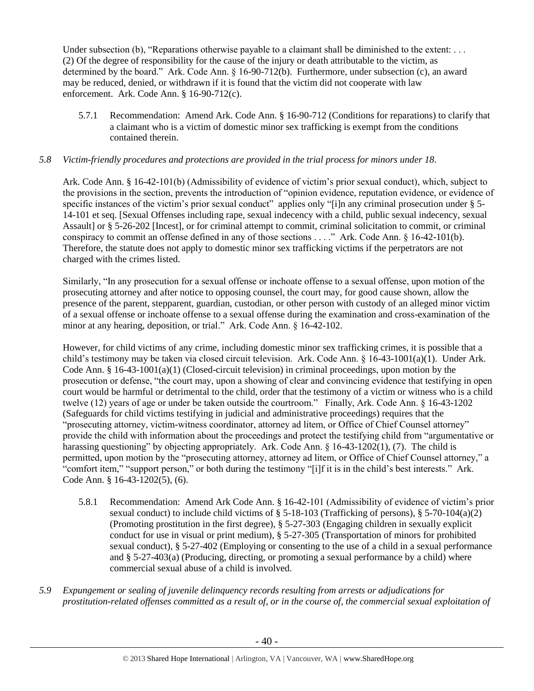Under subsection (b), "Reparations otherwise payable to a claimant shall be diminished to the extent:  $\dots$ (2) Of the degree of responsibility for the cause of the injury or death attributable to the victim, as determined by the board." Ark. Code Ann. § 16-90-712(b). Furthermore, under subsection (c), an award may be reduced, denied, or withdrawn if it is found that the victim did not cooperate with law enforcement. Ark. Code Ann. § 16-90-712(c).

5.7.1 Recommendation: Amend Ark. Code Ann. § 16-90-712 (Conditions for reparations) to clarify that a claimant who is a victim of domestic minor sex trafficking is exempt from the conditions contained therein.

## *5.8 Victim-friendly procedures and protections are provided in the trial process for minors under 18.*

Ark. Code Ann. § 16-42-101(b) (Admissibility of evidence of victim's prior sexual conduct), which, subject to the provisions in the section, prevents the introduction of "opinion evidence, reputation evidence, or evidence of specific instances of the victim's prior sexual conduct" applies only "[i]n any criminal prosecution under § 5-14-101 et seq. [Sexual Offenses including rape, sexual indecency with a child, public sexual indecency, sexual Assault] or § 5-26-202 [Incest], or for criminal attempt to commit, criminal solicitation to commit, or criminal conspiracy to commit an offense defined in any of those sections . . . ." Ark. Code Ann. § 16-42-101(b). Therefore, the statute does not apply to domestic minor sex trafficking victims if the perpetrators are not charged with the crimes listed.

Similarly, "In any prosecution for a sexual offense or inchoate offense to a sexual offense, upon motion of the prosecuting attorney and after notice to opposing counsel, the court may, for good cause shown, allow the presence of the parent, stepparent, guardian, custodian, or other person with custody of an alleged minor victim of a sexual offense or inchoate offense to a sexual offense during the examination and cross-examination of the minor at any hearing, deposition, or trial." Ark. Code Ann. § 16-42-102.

However, for child victims of any crime, including domestic minor sex trafficking crimes, it is possible that a child's testimony may be taken via closed circuit television. Ark. Code Ann. § 16-43-1001(a)(1). Under Ark. Code Ann. § 16-43-1001(a)(1) (Closed-circuit television) in criminal proceedings, upon motion by the prosecution or defense, "the court may, upon a showing of clear and convincing evidence that testifying in open court would be harmful or detrimental to the child, order that the testimony of a victim or witness who is a child twelve (12) years of age or under be taken outside the courtroom." Finally, Ark. Code Ann. § 16-43-1202 (Safeguards for child victims testifying in judicial and administrative proceedings) requires that the "prosecuting attorney, victim-witness coordinator, attorney ad litem, or Office of Chief Counsel attorney" provide the child with information about the proceedings and protect the testifying child from "argumentative or harassing questioning" by objecting appropriately. Ark. Code Ann. § 16-43-1202(1), (7). The child is permitted, upon motion by the "prosecuting attorney, attorney ad litem, or Office of Chief Counsel attorney," a "comfort item," "support person," or both during the testimony "[i]f it is in the child's best interests." Ark. Code Ann. § 16-43-1202(5), (6).

- 5.8.1 Recommendation: Amend Ark Code Ann. § 16-42-101 (Admissibility of evidence of victim's prior sexual conduct) to include child victims of § 5-18-103 (Trafficking of persons), § 5-70-104(a)(2) (Promoting prostitution in the first degree), § 5-27-303 (Engaging children in sexually explicit conduct for use in visual or print medium), § 5-27-305 (Transportation of minors for prohibited sexual conduct), § 5-27-402 (Employing or consenting to the use of a child in a sexual performance and § 5-27-403(a) (Producing, directing, or promoting a sexual performance by a child) where commercial sexual abuse of a child is involved.
- *5.9 Expungement or sealing of juvenile delinquency records resulting from arrests or adjudications for prostitution-related offenses committed as a result of, or in the course of, the commercial sexual exploitation of*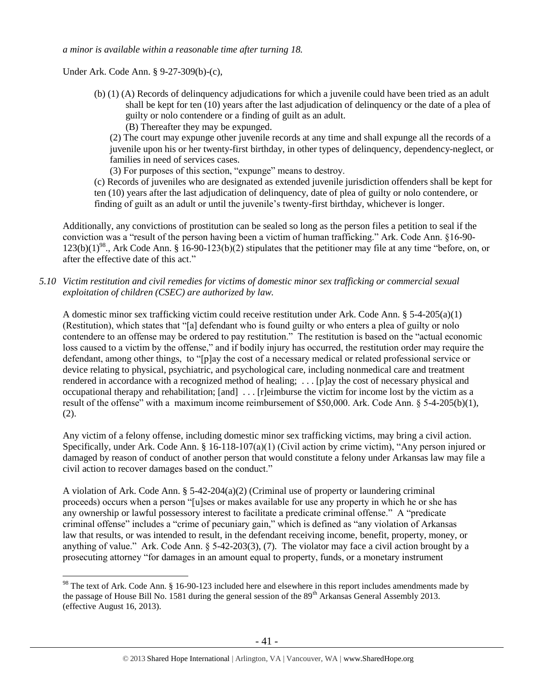*a minor is available within a reasonable time after turning 18.*

Under Ark. Code Ann. § 9-27-309(b)-(c),

 $\overline{a}$ 

- (b) (1) (A) Records of delinquency adjudications for which a juvenile could have been tried as an adult shall be kept for ten (10) years after the last adjudication of delinquency or the date of a plea of guilty or nolo contendere or a finding of guilt as an adult.
	- (B) Thereafter they may be expunged.

(2) The court may expunge other juvenile records at any time and shall expunge all the records of a juvenile upon his or her twenty-first birthday, in other types of delinquency, dependency-neglect, or families in need of services cases.

(3) For purposes of this section, "expunge" means to destroy.

(c) Records of juveniles who are designated as extended juvenile jurisdiction offenders shall be kept for ten (10) years after the last adjudication of delinquency, date of plea of guilty or nolo contendere, or finding of guilt as an adult or until the juvenile's twenty-first birthday, whichever is longer.

Additionally, any convictions of prostitution can be sealed so long as the person files a petition to seal if the conviction was a "result of the person having been a victim of human trafficking." Ark. Code Ann. §16-90-  $123(b)(1)^{98}$ ., Ark Code Ann. § 16-90-123(b)(2) stipulates that the petitioner may file at any time "before, on, or after the effective date of this act."

*5.10 Victim restitution and civil remedies for victims of domestic minor sex trafficking or commercial sexual exploitation of children (CSEC) are authorized by law.* 

A domestic minor sex trafficking victim could receive restitution under Ark. Code Ann. §  $5-4-205(a)(1)$ (Restitution), which states that "[a] defendant who is found guilty or who enters a plea of guilty or nolo contendere to an offense may be ordered to pay restitution." The restitution is based on the "actual economic loss caused to a victim by the offense," and if bodily injury has occurred, the restitution order may require the defendant, among other things, to "[p]ay the cost of a necessary medical or related professional service or device relating to physical, psychiatric, and psychological care, including nonmedical care and treatment rendered in accordance with a recognized method of healing; . . . [p]ay the cost of necessary physical and occupational therapy and rehabilitation; [and] . . . [r]eimburse the victim for income lost by the victim as a result of the offense" with a maximum income reimbursement of \$50,000. Ark. Code Ann. § 5-4-205(b)(1), (2).

Any victim of a felony offense, including domestic minor sex trafficking victims, may bring a civil action. Specifically, under Ark. Code Ann. § 16-118-107(a)(1) (Civil action by crime victim), "Any person injured or damaged by reason of conduct of another person that would constitute a felony under Arkansas law may file a civil action to recover damages based on the conduct."

A violation of Ark. Code Ann.  $\S$  5-42-204(a)(2) (Criminal use of property or laundering criminal proceeds) occurs when a person "[u]ses or makes available for use any property in which he or she has any ownership or lawful possessory interest to facilitate a predicate criminal offense." A "predicate criminal offense" includes a "crime of pecuniary gain," which is defined as "any violation of Arkansas law that results, or was intended to result, in the defendant receiving income, benefit, property, money, or anything of value." Ark. Code Ann.  $\S$  5-42-203(3), (7). The violator may face a civil action brought by a prosecuting attorney "for damages in an amount equal to property, funds, or a monetary instrument

<sup>&</sup>lt;sup>98</sup> The text of Ark. Code Ann. § 16-90-123 included here and elsewhere in this report includes amendments made by the passage of House Bill No. 1581 during the general session of the  $89<sup>th</sup>$  Arkansas General Assembly 2013. (effective August 16, 2013).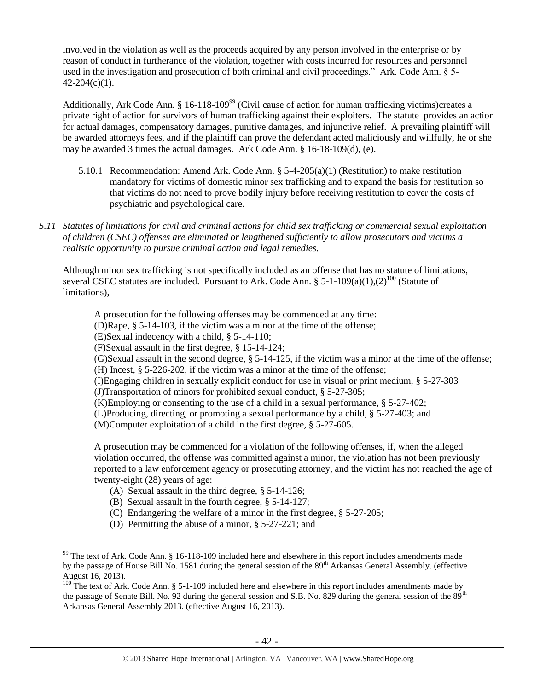involved in the violation as well as the proceeds acquired by any person involved in the enterprise or by reason of conduct in furtherance of the violation, together with costs incurred for resources and personnel used in the investigation and prosecution of both criminal and civil proceedings." Ark. Code Ann. § 5-  $42-204(c)(1)$ .

Additionally, Ark Code Ann. § 16-118-109<sup>99</sup> (Civil cause of action for human trafficking victims)creates a private right of action for survivors of human trafficking against their exploiters. The statute provides an action for actual damages, compensatory damages, punitive damages, and injunctive relief. A prevailing plaintiff will be awarded attorneys fees, and if the plaintiff can prove the defendant acted maliciously and willfully, he or she may be awarded 3 times the actual damages. Ark Code Ann. § 16-18-109(d), (e).

- 5.10.1 Recommendation: Amend Ark. Code Ann. §  $5-4-205(a)(1)$  (Restitution) to make restitution mandatory for victims of domestic minor sex trafficking and to expand the basis for restitution so that victims do not need to prove bodily injury before receiving restitution to cover the costs of psychiatric and psychological care.
- *5.11 Statutes of limitations for civil and criminal actions for child sex trafficking or commercial sexual exploitation of children (CSEC) offenses are eliminated or lengthened sufficiently to allow prosecutors and victims a realistic opportunity to pursue criminal action and legal remedies.*

Although minor sex trafficking is not specifically included as an offense that has no statute of limitations, several CSEC statutes are included. Pursuant to Ark. Code Ann. §  $5-1-109(a)(1),(2)^{100}$  (Statute of limitations),

A prosecution for the following offenses may be commenced at any time:

(D)Rape, § 5-14-103, if the victim was a minor at the time of the offense;

(E)Sexual indecency with a child, § 5-14-110;

(F)Sexual assault in the first degree, § 15-14-124;

(G)Sexual assault in the second degree, § 5-14-125, if the victim was a minor at the time of the offense; (H) Incest, § 5-226-202, if the victim was a minor at the time of the offense;

(I)Engaging children in sexually explicit conduct for use in visual or print medium, § 5-27-303

(J)Transportation of minors for prohibited sexual conduct, § 5-27-305;

(K)Employing or consenting to the use of a child in a sexual performance,  $\S$  5-27-402;

(L)Producing, directing, or promoting a sexual performance by a child, § 5-27-403; and

(M)Computer exploitation of a child in the first degree, § 5-27-605.

A prosecution may be commenced for a violation of the following offenses, if, when the alleged violation occurred, the offense was committed against a minor, the violation has not been previously reported to a law enforcement agency or prosecuting attorney, and the victim has not reached the age of twenty-eight (28) years of age:

- (A) Sexual assault in the third degree, § 5-14-126;
- (B) Sexual assault in the fourth degree, § 5-14-127;
- (C) Endangering the welfare of a minor in the first degree, § 5-27-205;
- (D) Permitting the abuse of a minor, § 5-27-221; and

 $99$  The text of Ark. Code Ann. § 16-118-109 included here and elsewhere in this report includes amendments made by the passage of House Bill No. 1581 during the general session of the 89<sup>th</sup> Arkansas General Assembly. (effective August 16, 2013).

<sup>&</sup>lt;sup>100</sup> The text of Ark. Code Ann. § 5-1-109 included here and elsewhere in this report includes amendments made by the passage of Senate Bill. No. 92 during the general session and S.B. No. 829 during the general session of the  $89<sup>th</sup>$ Arkansas General Assembly 2013. (effective August 16, 2013).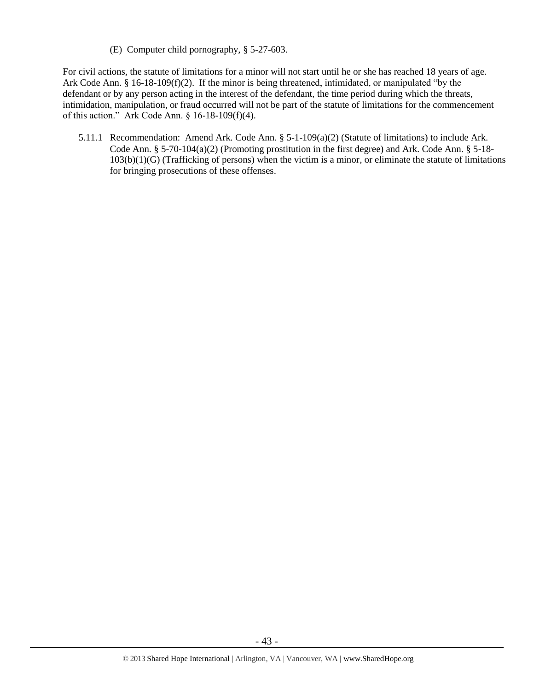(E) Computer child pornography, § 5-27-603.

For civil actions, the statute of limitations for a minor will not start until he or she has reached 18 years of age. Ark Code Ann. § 16-18-109(f)(2). If the minor is being threatened, intimidated, or manipulated "by the defendant or by any person acting in the interest of the defendant, the time period during which the threats, intimidation, manipulation, or fraud occurred will not be part of the statute of limitations for the commencement of this action." Ark Code Ann. § 16-18-109(f)(4).

5.11.1 Recommendation: Amend Ark. Code Ann. § 5-1-109(a)(2) (Statute of limitations) to include Ark. Code Ann. § 5-70-104(a)(2) (Promoting prostitution in the first degree) and Ark. Code Ann. § 5-18-  $103(b)(1)(G)$  (Trafficking of persons) when the victim is a minor, or eliminate the statute of limitations for bringing prosecutions of these offenses.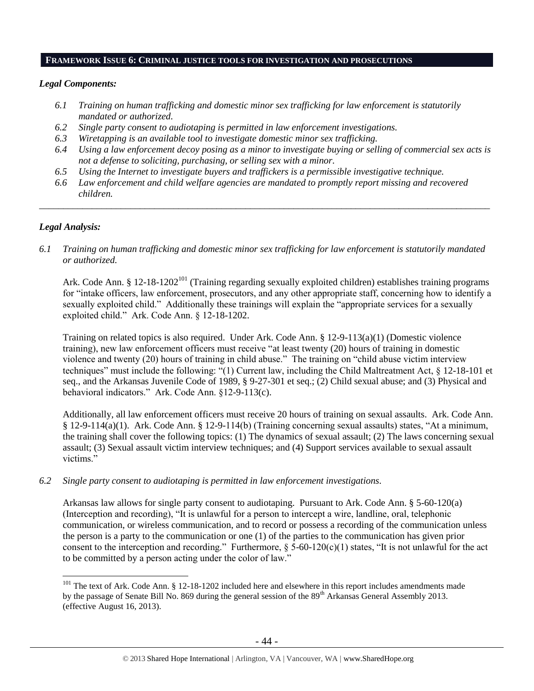#### **FRAMEWORK ISSUE 6: CRIMINAL JUSTICE TOOLS FOR INVESTIGATION AND PROSECUTIONS**

#### *Legal Components:*

- *6.1 Training on human trafficking and domestic minor sex trafficking for law enforcement is statutorily mandated or authorized.*
- *6.2 Single party consent to audiotaping is permitted in law enforcement investigations.*
- *6.3 Wiretapping is an available tool to investigate domestic minor sex trafficking.*
- *6.4 Using a law enforcement decoy posing as a minor to investigate buying or selling of commercial sex acts is not a defense to soliciting, purchasing, or selling sex with a minor.*
- *6.5 Using the Internet to investigate buyers and traffickers is a permissible investigative technique.*
- *6.6 Law enforcement and child welfare agencies are mandated to promptly report missing and recovered children.*

*\_\_\_\_\_\_\_\_\_\_\_\_\_\_\_\_\_\_\_\_\_\_\_\_\_\_\_\_\_\_\_\_\_\_\_\_\_\_\_\_\_\_\_\_\_\_\_\_\_\_\_\_\_\_\_\_\_\_\_\_\_\_\_\_\_\_\_\_\_\_\_\_\_\_\_\_\_\_\_\_\_\_\_\_\_\_\_\_\_\_\_\_\_\_*

#### *Legal Analysis:*

 $\overline{a}$ 

## *6.1 Training on human trafficking and domestic minor sex trafficking for law enforcement is statutorily mandated or authorized.*

Ark. Code Ann. § 12-18-1202<sup>101</sup> (Training regarding sexually exploited children) establishes training programs for "intake officers, law enforcement, prosecutors, and any other appropriate staff, concerning how to identify a sexually exploited child." Additionally these trainings will explain the "appropriate services for a sexually exploited child." Ark. Code Ann. § 12-18-1202.

Training on related topics is also required. Under Ark. Code Ann. § 12-9-113(a)(1) (Domestic violence training), new law enforcement officers must receive "at least twenty (20) hours of training in domestic violence and twenty (20) hours of training in child abuse." The training on "child abuse victim interview techniques" must include the following: "(1) Current law, including the Child Maltreatment Act, § 12-18-101 et seq., and the Arkansas Juvenile Code of 1989, § 9-27-301 et seq.; (2) Child sexual abuse; and (3) Physical and behavioral indicators." Ark. Code Ann. §12-9-113(c).

Additionally, all law enforcement officers must receive 20 hours of training on sexual assaults. Ark. Code Ann. § 12-9-114(a)(1). Ark. Code Ann. § 12-9-114(b) (Training concerning sexual assaults) states, "At a minimum, the training shall cover the following topics: (1) The dynamics of sexual assault; (2) The laws concerning sexual assault; (3) Sexual assault victim interview techniques; and (4) Support services available to sexual assault victims."

#### *6.2 Single party consent to audiotaping is permitted in law enforcement investigations.*

Arkansas law allows for single party consent to audiotaping. Pursuant to Ark. Code Ann. § 5-60-120(a) (Interception and recording), "It is unlawful for a person to intercept a wire, landline, oral, telephonic communication, or wireless communication, and to record or possess a recording of the communication unless the person is a party to the communication or one (1) of the parties to the communication has given prior consent to the interception and recording." Furthermore,  $\S$  5-60-120(c)(1) states, "It is not unlawful for the act to be committed by a person acting under the color of law."

 $101$  The text of Ark. Code Ann. § 12-18-1202 included here and elsewhere in this report includes amendments made by the passage of Senate Bill No. 869 during the general session of the 89<sup>th</sup> Arkansas General Assembly 2013. (effective August 16, 2013).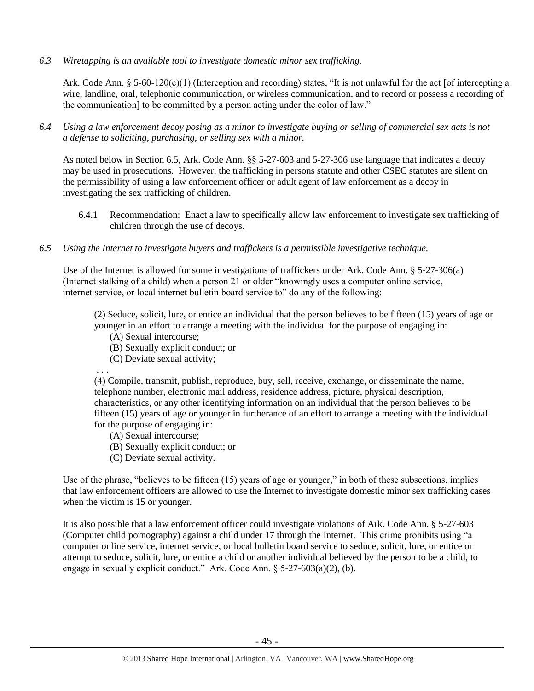*6.3 Wiretapping is an available tool to investigate domestic minor sex trafficking.* 

Ark. Code Ann. § 5-60-120(c)(1) (Interception and recording) states, "It is not unlawful for the act [of intercepting a wire, landline, oral, telephonic communication, or wireless communication, and to record or possess a recording of the communication] to be committed by a person acting under the color of law."

*6.4 Using a law enforcement decoy posing as a minor to investigate buying or selling of commercial sex acts is not a defense to soliciting, purchasing, or selling sex with a minor.*

As noted below in Section 6.5, Ark. Code Ann. §§ 5-27-603 and 5-27-306 use language that indicates a decoy may be used in prosecutions. However, the trafficking in persons statute and other CSEC statutes are silent on the permissibility of using a law enforcement officer or adult agent of law enforcement as a decoy in investigating the sex trafficking of children.

- 6.4.1 Recommendation: Enact a law to specifically allow law enforcement to investigate sex trafficking of children through the use of decoys.
- *6.5 Using the Internet to investigate buyers and traffickers is a permissible investigative technique.*

Use of the Internet is allowed for some investigations of traffickers under Ark. Code Ann. § 5-27-306(a) (Internet stalking of a child) when a person 21 or older "knowingly uses a computer online service, internet service, or local internet bulletin board service to" do any of the following:

(2) Seduce, solicit, lure, or entice an individual that the person believes to be fifteen (15) years of age or younger in an effort to arrange a meeting with the individual for the purpose of engaging in:

- (A) Sexual intercourse;
- (B) Sexually explicit conduct; or
- (C) Deviate sexual activity;

. . .

(4) Compile, transmit, publish, reproduce, buy, sell, receive, exchange, or disseminate the name, telephone number, electronic mail address, residence address, picture, physical description, characteristics, or any other identifying information on an individual that the person believes to be fifteen (15) years of age or younger in furtherance of an effort to arrange a meeting with the individual for the purpose of engaging in:

- (A) Sexual intercourse;
- (B) Sexually explicit conduct; or
- (C) Deviate sexual activity.

Use of the phrase, "believes to be fifteen (15) years of age or younger," in both of these subsections, implies that law enforcement officers are allowed to use the Internet to investigate domestic minor sex trafficking cases when the victim is 15 or younger.

It is also possible that a law enforcement officer could investigate violations of Ark. Code Ann. § 5-27-603 (Computer child pornography) against a child under 17 through the Internet. This crime prohibits using "a computer online service, internet service, or local bulletin board service to seduce, solicit, lure, or entice or attempt to seduce, solicit, lure, or entice a child or another individual believed by the person to be a child, to engage in sexually explicit conduct." Ark. Code Ann. § 5-27-603(a)(2), (b).